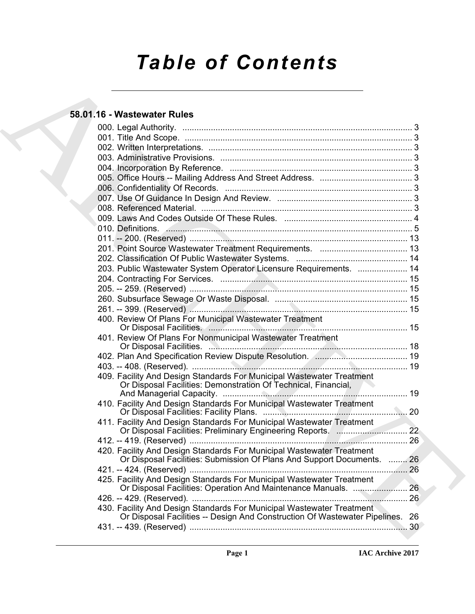# *Table of Contents*

# **58.01.16 - Wastewater Rules**

| 58.01.16 - Wastewater Rules                                                                                                                            |  |
|--------------------------------------------------------------------------------------------------------------------------------------------------------|--|
|                                                                                                                                                        |  |
|                                                                                                                                                        |  |
|                                                                                                                                                        |  |
|                                                                                                                                                        |  |
|                                                                                                                                                        |  |
|                                                                                                                                                        |  |
|                                                                                                                                                        |  |
|                                                                                                                                                        |  |
|                                                                                                                                                        |  |
|                                                                                                                                                        |  |
|                                                                                                                                                        |  |
|                                                                                                                                                        |  |
|                                                                                                                                                        |  |
|                                                                                                                                                        |  |
| 203. Public Wastewater System Operator Licensure Requirements.  14                                                                                     |  |
|                                                                                                                                                        |  |
|                                                                                                                                                        |  |
|                                                                                                                                                        |  |
|                                                                                                                                                        |  |
| 400. Review Of Plans For Municipal Wastewater Treatment                                                                                                |  |
| 401. Review Of Plans For Nonmunicipal Wastewater Treatment                                                                                             |  |
| 402. Plan And Specification Review Dispute Resolution. <b>Manual Analysis And Specification Review</b>                                                 |  |
|                                                                                                                                                        |  |
| 409. Facility And Design Standards For Municipal Wastewater Treatment<br>Or Disposal Facilities: Demonstration Of Technical, Financial,                |  |
| 410. Facility And Design Standards For Municipal Wastewater Treatment                                                                                  |  |
| 411. Facility And Design Standards For Municipal Wastewater Treatment                                                                                  |  |
|                                                                                                                                                        |  |
| 420. Facility And Design Standards For Municipal Wastewater Treatment<br>Or Disposal Facilities: Submission Of Plans And Support Documents.  26        |  |
|                                                                                                                                                        |  |
| 425. Facility And Design Standards For Municipal Wastewater Treatment                                                                                  |  |
|                                                                                                                                                        |  |
| 430. Facility And Design Standards For Municipal Wastewater Treatment<br>Or Disposal Facilities -- Design And Construction Of Wastewater Pipelines. 26 |  |
|                                                                                                                                                        |  |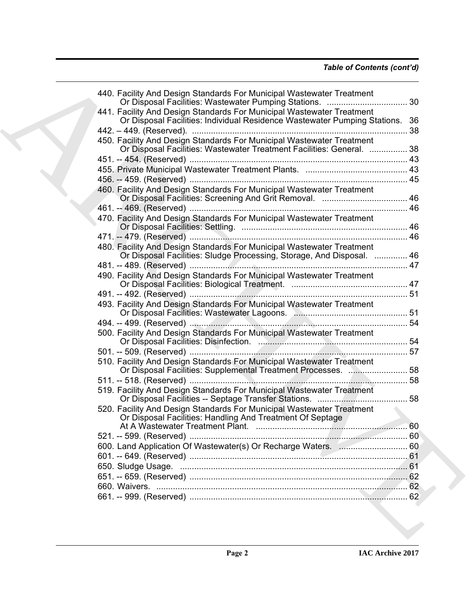| 440. Facility And Design Standards For Municipal Wastewater Treatment                                                                                 |  |
|-------------------------------------------------------------------------------------------------------------------------------------------------------|--|
| 441. Facility And Design Standards For Municipal Wastewater Treatment<br>Or Disposal Facilities: Individual Residence Wastewater Pumping Stations. 36 |  |
|                                                                                                                                                       |  |
| 450. Facility And Design Standards For Municipal Wastewater Treatment<br>Or Disposal Facilities: Wastewater Treatment Facilities: General.  38        |  |
|                                                                                                                                                       |  |
|                                                                                                                                                       |  |
|                                                                                                                                                       |  |
|                                                                                                                                                       |  |
| 460. Facility And Design Standards For Municipal Wastewater Treatment                                                                                 |  |
|                                                                                                                                                       |  |
|                                                                                                                                                       |  |
| 470. Facility And Design Standards For Municipal Wastewater Treatment                                                                                 |  |
|                                                                                                                                                       |  |
| 480. Facility And Design Standards For Municipal Wastewater Treatment<br>Or Disposal Facilities: Sludge Processing, Storage, And Disposal.  46        |  |
|                                                                                                                                                       |  |
| 490. Facility And Design Standards For Municipal Wastewater Treatment                                                                                 |  |
|                                                                                                                                                       |  |
| 493. Facility And Design Standards For Municipal Wastewater Treatment                                                                                 |  |
|                                                                                                                                                       |  |
| 500. Facility And Design Standards For Municipal Wastewater Treatment                                                                                 |  |
|                                                                                                                                                       |  |
|                                                                                                                                                       |  |
| 510. Facility And Design Standards For Municipal Wastewater Treatment<br>Or Disposal Facilities: Supplemental Treatment Processes.  58                |  |
|                                                                                                                                                       |  |
| 519. Facility And Design Standards For Municipal Wastewater Treatment                                                                                 |  |
| 520. Facility And Design Standards For Municipal Wastewater Treatment<br>Or Disposal Facilities: Handling And Treatment Of Septage                    |  |
|                                                                                                                                                       |  |
|                                                                                                                                                       |  |
|                                                                                                                                                       |  |
|                                                                                                                                                       |  |
|                                                                                                                                                       |  |
|                                                                                                                                                       |  |
|                                                                                                                                                       |  |
|                                                                                                                                                       |  |
|                                                                                                                                                       |  |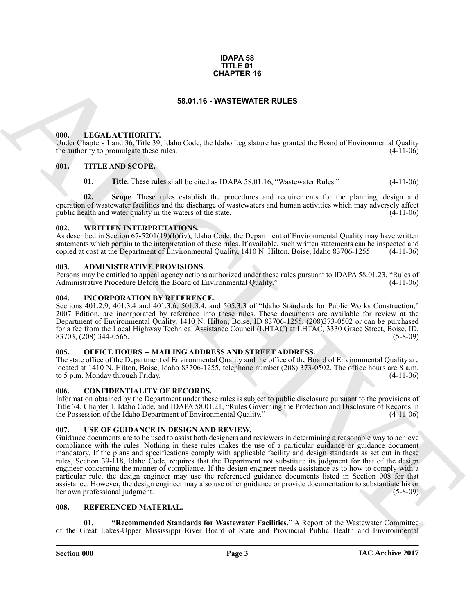#### **IDAPA 58 TITLE 01 CHAPTER 16**

## **58.01.16 - WASTEWATER RULES**

#### <span id="page-2-1"></span><span id="page-2-0"></span>**000. LEGAL AUTHORITY.**

Under Chapters 1 and 36, Title 39, Idaho Code, the Idaho Legislature has granted the Board of Environmental Quality the authority to promulgate these rules. (4-11-06)

#### <span id="page-2-2"></span>**001. TITLE AND SCOPE.**

**01.** Title. These rules shall be cited as IDAPA 58.01.16, "Wastewater Rules." (4-11-06)

**02. Scope**. These rules establish the procedures and requirements for the planning, design and operation of wastewater facilities and the discharge of wastewaters and human activities which may adversely affect public health and water quality in the waters of the state.

#### <span id="page-2-3"></span>**002. WRITTEN INTERPRETATIONS.**

As described in Section 67-5201(19)(b)(iv), Idaho Code, the Department of Environmental Quality may have written statements which pertain to the interpretation of these rules. If available, such written statements can be inspected and copied at cost at the Department of Environmental Quality, 1410 N. Hilton, Boise, Idaho 83706-1255. (4-11-06)

#### <span id="page-2-4"></span>**003. ADMINISTRATIVE PROVISIONS.**

Persons may be entitled to appeal agency actions authorized under these rules pursuant to IDAPA 58.01.23, "Rules of Administrative Procedure Before the Board of Environmental Quality."

#### <span id="page-2-5"></span>**004. INCORPORATION BY REFERENCE.**

Sections 401.2.9, 401.3.4 and 401.3.6, 501.3.4, and 505.3.3 of "Idaho Standards for Public Works Construction," 2007 Edition, are incorporated by reference into these rules. These documents are available for review at the Department of Environmental Quality, 1410 N. Hilton, Boise, ID 83706-1255, (208)373-0502 or can be purchased for a fee from the Local Highway Technical Assistance Council (LHTAC) at LHTAC, 3330 Grace Street, Boise, ID, 83703, (208) 344-0565. (5-8-09)

## <span id="page-2-6"></span>**005. OFFICE HOURS -- MAILING ADDRESS AND STREET ADDRESS.**

The state office of the Department of Environmental Quality and the office of the Board of Environmental Quality are located at 1410 N. Hilton, Boise, Idaho 83706-1255, telephone number (208) 373-0502. The office hours are 8 a.m. to 5 p.m. Monday through Friday. (4-11-06) to 5 p.m. Monday through Friday.

#### <span id="page-2-7"></span>**006. CONFIDENTIALITY OF RECORDS.**

Information obtained by the Department under these rules is subject to public disclosure pursuant to the provisions of Title 74, Chapter 1, Idaho Code, and IDAPA 58.01.21, "Rules Governing the Protection and Disclosure of Records in the Possession of the Idaho Department of Environmental Quality."

## <span id="page-2-8"></span>**007. USE OF GUIDANCE IN DESIGN AND REVIEW.**

**SSO.1.6 - WASTEWHER RULES**<br> **SSO.1.6 - WASTEWHER RULES**<br> **SSO.1.6 - WASTEWHER RULES**<br> **EVALUATION 1799**<br> **EVALUATION 1799**<br> **EVALUATION 1799**<br> **EVALUATION 1799**<br> **EVALUATION 1799**<br> **EVALUATION 1799**<br> **EVALUATION 1799**<br> Guidance documents are to be used to assist both designers and reviewers in determining a reasonable way to achieve compliance with the rules. Nothing in these rules makes the use of a particular guidance or guidance document mandatory. If the plans and specifications comply with applicable facility and design standards as set out in these rules, Section 39-118, Idaho Code, requires that the Department not substitute its judgment for that of the design engineer concerning the manner of compliance. If the design engineer needs assistance as to how to comply with a particular rule, the design engineer may use the referenced guidance documents listed in Section 008 for that assistance. However, the design engineer may also use other guidance or provide documentation to substantiate his or<br>the own professional indement. (5-8-09) her own professional judgment.

#### <span id="page-2-9"></span>**008. REFERENCED MATERIAL.**

<span id="page-2-10"></span>**01. "Recommended Standards for Wastewater Facilities."** A Report of the Wastewater Committee of the Great Lakes-Upper Mississippi River Board of State and Provincial Public Health and Environmental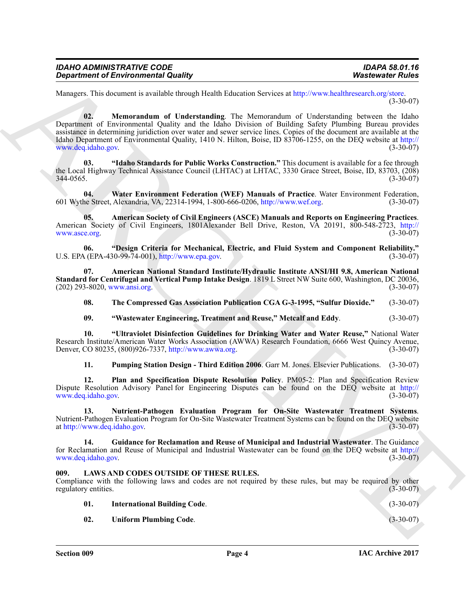| IDAHO ADMINISTRATIVE CODE           |  |
|-------------------------------------|--|
|                                     |  |
| Department of Environmental Quality |  |

<span id="page-3-9"></span>Managers. This document is available through Health Education Services at http://www.healthresearch.org/store. (3-30-07)

Gegardment of Environmental [C](http://www.epa.gov)olumby<br>
Marcowski Policies Statistics (1986)<br>
Marcowski Policies Statistics (1986)<br>
Noncontrol (1987)<br>
2. Marcowski Rubby (1988)<br>
2. Marcowski Rubby (1988)<br>
2. Marcowski Policies Statistics (1 **02. Memorandum of Understanding**. The Memorandum of Understanding between the Idaho Department of Environmental Quality and the Idaho Division of Building Safety Plumbing Bureau provides assistance in determining juridiction over water and sewer service lines. Copies of the document are available at the Idaho Department of Environmental Quality, 1410 N. Hilton, Boise, ID 83706-1255, on the DEQ website at http:// www.deq.idaho.gov.

<span id="page-3-8"></span>**03. "Idaho Standards for Public Works Construction."** This document is available for a fee through the Local Highway Technical Assistance Council (LHTAC) at LHTAC, 3330 Grace Street, Boise, ID, 83703, (208) 344-0565. (3-30-07)

<span id="page-3-15"></span>**04. Water Environment Federation (WEF) Manuals of Practice**. Water Environment Federation, 601 Wythe Street, Alexandria, VA, 22314-1994, 1-800-666-0206, http://www.wef.org. (3-30-07)

<span id="page-3-5"></span>**05. American Society of Civil Engineers (ASCE) Manuals and Reports on Engineering Practices**. American Society of Civil Engineers, 1801Alexander Bell Drive, Reston, VA 20191, 800-548-2723, http:// www.asce.org. (3-30-07)

<span id="page-3-6"></span>**06. "Design Criteria for Mechanical, Electric, and Fluid System and Component Reliability."** U.S. EPA (EPA-430-99-74-001), http://www.epa.gov.

**07. American National Standard Institute/Hydraulic Institute ANSI/HI 9.8, American National Standard for Centrifugal and Vertical Pump Intake Design**. 1819 L Street NW Suite 600, Washington, DC 20036, (202) 293-8020, www.ansi.org.

<span id="page-3-13"></span><span id="page-3-4"></span>**08. The Compressed Gas Association Publication CGA G-3-1995, "Sulfur Dioxide."** (3-30-07)

<span id="page-3-14"></span><span id="page-3-3"></span>**09. "Wastewater Engineering, Treatment and Reuse," Metcalf and Eddy**. (3-30-07)

**10. "Ultraviolet Disinfection Guidelines for Drinking Water and Water Reuse,"** National Water Research Institute/American Water Works Association (AWWA) Research Foundation, 6666 West Quincy Avenue, Denver, CO 80235, (800)926-7337, http://www.awwa.org. (3-30-07) Denver, CO 80235, (800)926-7337, http://www.awwa.org.

<span id="page-3-12"></span><span id="page-3-11"></span><span id="page-3-10"></span>**11. Pumping Station Design - Third Edition 2006**. Garr M. Jones. Elsevier Publications. (3-30-07)

**12. Plan and Specification Dispute Resolution Policy**. PM05-2: Plan and Specification Review Dispute Resolution Advisory Panel for Engineering Disputes can be found on the DEQ website at http:// www.deq.idaho.gov.

**13. Nutrient-Pathogen Evaluation Program for On-Site Wastewater Treatment Systems**. Nutrient-Pathogen Evaluation Program for On-Site Wastewater Treatment Systems can be found on the DEQ website at http://www.deq.idaho.gov. (3-30-07) at http://www.deq.idaho.gov.

<span id="page-3-7"></span>**14. Guidance for Reclamation and Reuse of Municipal and Industrial Wastewater**. The Guidance for Reclamation and Reuse of Municipal and Industrial Wastewater can be found on the DEQ website at http:// www.deq.idaho.gov. (3-30-07)

#### <span id="page-3-0"></span>**009. LAWS AND CODES OUTSIDE OF THESE RULES.**

Compliance with the following laws and codes are not required by these rules, but may be required by other regulatory entities. (3-30-07)

<span id="page-3-2"></span><span id="page-3-1"></span>

| 01. | <b>International Building Code.</b> | $(3-30-07)$ |
|-----|-------------------------------------|-------------|
|     |                                     |             |

**02. Uniform Plumbing Code**. (3-30-07)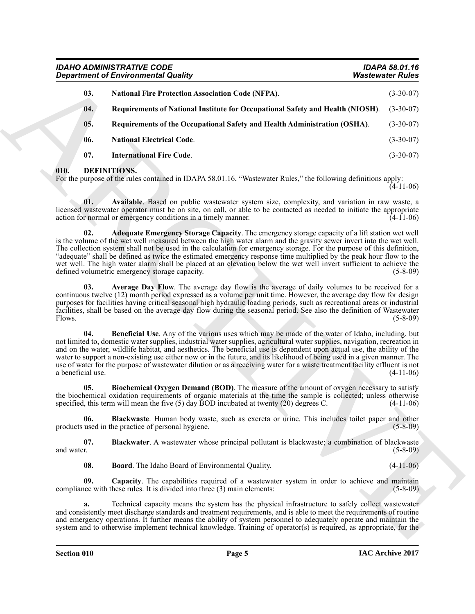|                          | <b>Department of Environmental Quality</b>                                                                                                                                                                                                                                                                                                                                                                                                                                                                                                                                                                                                   | <b>Wastewater Rules</b> |
|--------------------------|----------------------------------------------------------------------------------------------------------------------------------------------------------------------------------------------------------------------------------------------------------------------------------------------------------------------------------------------------------------------------------------------------------------------------------------------------------------------------------------------------------------------------------------------------------------------------------------------------------------------------------------------|-------------------------|
| 03.                      | <b>National Fire Protection Association Code (NFPA).</b>                                                                                                                                                                                                                                                                                                                                                                                                                                                                                                                                                                                     | $(3-30-07)$             |
| 04.                      | Requirements of National Institute for Occupational Safety and Health (NIOSH).                                                                                                                                                                                                                                                                                                                                                                                                                                                                                                                                                               | $(3-30-07)$             |
| 05.                      | Requirements of the Occupational Safety and Health Administration (OSHA).                                                                                                                                                                                                                                                                                                                                                                                                                                                                                                                                                                    | $(3-30-07)$             |
| 06.                      | <b>National Electrical Code.</b>                                                                                                                                                                                                                                                                                                                                                                                                                                                                                                                                                                                                             | $(3-30-07)$             |
| 07.                      | <b>International Fire Code.</b>                                                                                                                                                                                                                                                                                                                                                                                                                                                                                                                                                                                                              | $(3-30-07)$             |
| 010.                     | DEFINITIONS.<br>For the purpose of the rules contained in IDAPA 58.01.16, "Wastewater Rules," the following definitions apply:                                                                                                                                                                                                                                                                                                                                                                                                                                                                                                               | $(4-11-06)$             |
| 01.                      | Available. Based on public wastewater system size, complexity, and variation in raw waste, a<br>licensed wastewater operator must be on site, on call, or able to be contacted as needed to initiate the appropriate<br>action for normal or emergency conditions in a timely manner.                                                                                                                                                                                                                                                                                                                                                        | $(4-11-06)$             |
| 02.                      | Adequate Emergency Storage Capacity. The emergency storage capacity of a lift station wet well<br>is the volume of the wet well measured between the high water alarm and the gravity sewer invert into the wet well.<br>The collection system shall not be used in the calculation for emergency storage. For the purpose of this definition,<br>"adequate" shall be defined as twice the estimated emergency response time multiplied by the peak hour flow to the<br>wet well. The high water alarm shall be placed at an elevation below the wet well invert sufficient to achieve the<br>defined volumetric emergency storage capacity. | $(5-8-09)$              |
| 03.<br>Flows.            | Average Day Flow. The average day flow is the average of daily volumes to be received for a<br>continuous twelve (12) month period expressed as a volume per unit time. However, the average day flow for design<br>purposes for facilities having critical seasonal high hydraulic loading periods, such as recreational areas or industrial<br>facilities, shall be based on the average day flow during the seasonal period. See also the definition of Wastewater                                                                                                                                                                        | $(5-8-09)$              |
| 04.<br>a beneficial use. | <b>Beneficial Use</b> . Any of the various uses which may be made of the water of Idaho, including, but<br>not limited to, domestic water supplies, industrial water supplies, agricultural water supplies, navigation, recreation in<br>and on the water, wildlife habitat, and aesthetics. The beneficial use is dependent upon actual use, the ability of the<br>water to support a non-existing use either now or in the future, and its likelihood of being used in a given manner. The<br>use of water for the purpose of wastewater dilution or as a receiving water for a waste treatment facility effluent is not                   | $(4-11-06)$             |
| 05.                      | Biochemical Oxygen Demand (BOD). The measure of the amount of oxygen necessary to satisfy<br>the biochemical oxidation requirements of organic materials at the time the sample is collected; unless otherwise<br>specified, this term will mean the five $(5)$ day BOD incubated at twenty $(20)$ degrees C.                                                                                                                                                                                                                                                                                                                                | $(4-11-06)$             |
| 06.                      | <b>Blackwaste</b> . Human body waste, such as excreta or urine. This includes toilet paper and other<br>products used in the practice of personal hygiene.                                                                                                                                                                                                                                                                                                                                                                                                                                                                                   | $(5 - 8 - 09)$          |
| 07.<br>and water.        | Blackwater. A wastewater whose principal pollutant is blackwaste; a combination of blackwaste                                                                                                                                                                                                                                                                                                                                                                                                                                                                                                                                                | $(5-8-09)$              |
| 08.                      | <b>Board</b> . The Idaho Board of Environmental Quality.                                                                                                                                                                                                                                                                                                                                                                                                                                                                                                                                                                                     | $(4-11-06)$             |
| 09.                      | Capacity. The capabilities required of a wastewater system in order to achieve and maintain<br>compliance with these rules. It is divided into three (3) main elements:                                                                                                                                                                                                                                                                                                                                                                                                                                                                      | $(5-8-09)$              |
| a.                       | Technical capacity means the system has the physical infrastructure to safely collect wastewater<br>and consistently meet discharge standards and treatment requirements, and is able to meet the requirements of routine<br>and emergency operations. It further means the ability of system personnel to adequately operate and maintain the<br>system and to otherwise implement technical knowledge. Training of operator(s) is required, as appropriate, for the                                                                                                                                                                        |                         |

## <span id="page-4-15"></span><span id="page-4-14"></span><span id="page-4-13"></span><span id="page-4-12"></span><span id="page-4-11"></span><span id="page-4-10"></span><span id="page-4-9"></span><span id="page-4-8"></span><span id="page-4-7"></span><span id="page-4-6"></span><span id="page-4-5"></span><span id="page-4-4"></span><span id="page-4-3"></span><span id="page-4-2"></span><span id="page-4-1"></span><span id="page-4-0"></span>**010. DEFINITIONS.**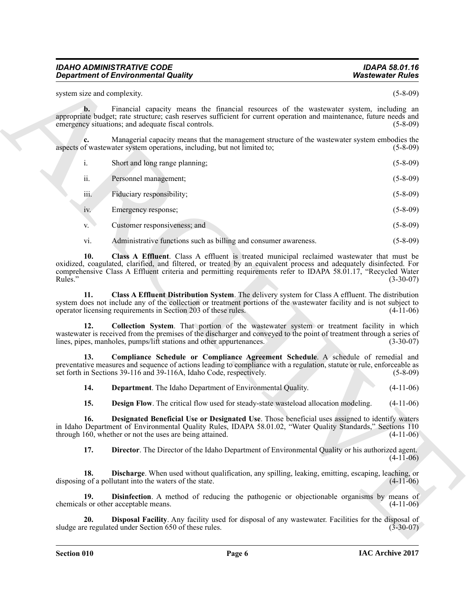system size and complexity. (5-8-09)

**b.** Financial capacity means the financial resources of the wastewater system, including an appropriate budget; rate structure; cash reserves sufficient for current operation and maintenance, future needs and emergency situations; and adequate fiscal controls. (5-8-09) (5-8-09)

**c.** Managerial capacity means that the management structure of the wastewater system embodies the aspects of wastewater system operations, including, but not limited to; (5-8-09)

| Short and long range planning; | $(5 - 8 - 09)$ |
|--------------------------------|----------------|
|                                |                |

ii. Personnel management; (5-8-09)

iii. Fiduciary responsibility; (5-8-09)

iv. Emergency response; (5-8-09)

v. Customer responsiveness; and (5-8-09) (5-8-09)

<span id="page-5-1"></span><span id="page-5-0"></span>vi. Administrative functions such as billing and consumer awareness. (5-8-09)

**Department of Environmental Quality.**<br> **Washers of Environmental Quality,**<br>
The spin and complete the spin and the spin and the spin and the spin and the spin and the spin and the spin and the spin and the spin and the s **10. Class A Effluent**. Class A effluent is treated municipal reclaimed wastewater that must be oxidized, coagulated, clarified, and filtered, or treated by an equivalent process and adequately disinfected. For comprehensive Class A Effluent criteria and permitting requirements refer to IDAPA 58.01.17, "Recycled Water Rules." (3-30-07)

**11. Class A Effluent Distribution System**. The delivery system for Class A effluent. The distribution system does not include any of the collection or treatment portions of the wastewater facility and is not subject to operator licensing requirements in Section 203 of these rules. (4-11-06) operator licensing requirements in Section 203 of these rules.

<span id="page-5-2"></span>**12. Collection System**. That portion of the wastewater system or treatment facility in which wastewater is received from the premises of the discharger and conveyed to the point of treatment through a series of lines, pipes, manholes, pumps/lift stations and other appurtenances. (3-30-07) lines, pipes, manholes, pumps/lift stations and other appurtenances.

**13. Compliance Schedule or Compliance Agreement Schedule**. A schedule of remedial and preventative measures and sequence of actions leading to compliance with a regulation, statute or rule, enforceable as set forth in Sections 39-116 and 39-116A. Idaho Code, respectively. set forth in Sections 39-116 and 39-116A, Idaho Code, respectively.

<span id="page-5-4"></span><span id="page-5-3"></span>**14. Department**. The Idaho Department of Environmental Quality. (4-11-06)

<span id="page-5-6"></span><span id="page-5-5"></span>**15. Design Flow**. The critical flow used for steady-state wasteload allocation modeling. (4-11-06)

**16. Designated Beneficial Use or Designated Use**. Those beneficial uses assigned to identify waters in Idaho Department of Environmental Quality Rules, IDAPA 58.01.02, "Water Quality Standards," Sections 110 through 160, whether or not the uses are being attained. (4-11-06) through 160, whether or not the uses are being attained.

<span id="page-5-9"></span><span id="page-5-8"></span><span id="page-5-7"></span>**17. Director**. The Director of the Idaho Department of Environmental Quality or his authorized agent.  $(4-11-06)$ 

**18. Discharge**. When used without qualification, any spilling, leaking, emitting, escaping, leaching, or g of a pollutant into the waters of the state. (4-11-06) disposing of a pollutant into the waters of the state.

**19. Disinfection**. A method of reducing the pathogenic or objectionable organisms by means of s or other acceptable means. (4-11-06) chemicals or other acceptable means.

<span id="page-5-10"></span>**Disposal Facility**. Any facility used for disposal of any wastewater. Facilities for the disposal of ed under Section 650 of these rules. (3-30-07) sludge are regulated under Section 650 of these rules.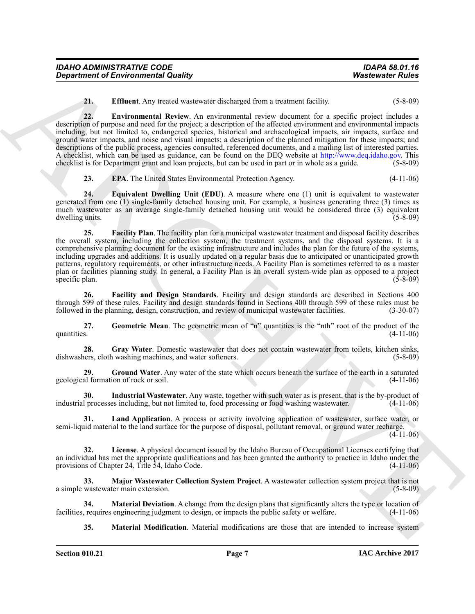| <b>IDAHO ADMINISTRATIVE CODE</b>           | <b>IDAPA 58.01.16</b>   |
|--------------------------------------------|-------------------------|
| <b>Department of Environmental Quality</b> | <b>Wastewater Rules</b> |

<span id="page-6-1"></span><span id="page-6-0"></span>**21. Effluent**. Any treated wastewater discharged from a treatment facility. (5-8-09)

**22. Environmental Review**. An environmental review document for a specific project includes a description of purpose and need for the project; a description of the affected environment and environmental impacts including, but not limited to, endangered species, historical and archaeological impacts, air impacts, surface and ground water impacts, and noise and visual impacts; a description of the planned mitigation for these impacts; and descriptions of the public process, agencies consulted, referenced documents, and a mailing list of interested parties. A checklist, which can be used as guidance, can be found on the DEQ website at http://www.deq.idaho.gov. This checklist is for Department grant and loan projects, but can be used in part or in whole as a guide. (5-8-09)

<span id="page-6-5"></span><span id="page-6-3"></span><span id="page-6-2"></span>**23. EPA**. The United States Environmental Protection Agency. (4-11-06)

**24. Equivalent Dwelling Unit (EDU)**. A measure where one (1) unit is equivalent to wastewater generated from one (1) single-family detached housing unit. For example, a business generating three (3) times as much wastewater as an average single-family detached housing unit would be considered three (3) equivalent dwelling units. (5-8-09) dwelling units.

**Department of Environmental Quality<br>
22. Environmental Review Are dissurged Journ accurates factors.** (43-60)<br>
23. Environmental Review Are dissurgated and results for a results for a precise project includes a<br>
dissurga **25. Facility Plan**. The facility plan for a municipal wastewater treatment and disposal facility describes the overall system, including the collection system, the treatment systems, and the disposal systems. It is a comprehensive planning document for the existing infrastructure and includes the plan for the future of the systems, including upgrades and additions. It is usually updated on a regular basis due to anticipated or unanticipated growth patterns, regulatory requirements, or other infrastructure needs. A Facility Plan is sometimes referred to as a master plan or facilities planning study. In general, a Facility Plan is an overall system-wide plan as opposed to a project specific plan. (5-8-09) (5-8-09)

<span id="page-6-4"></span>**26. Facility and Design Standards**. Facility and design standards are described in Sections 400 through 599 of these rules. Facility and design standards found in Sections 400 through 599 of these rules must be followed in the planning, design, construction, and review of municipal wastewater facilities. (3-30-07) followed in the planning, design, construction, and review of municipal wastewater facilities.

<span id="page-6-6"></span>**27.** Geometric Mean. The geometric mean of "n" quantities is the "nth" root of the product of the quantities. (4-11-06) quantities.  $(4-11-06)$ 

<span id="page-6-7"></span>**28.** Gray Water. Domestic wastewater that does not contain wastewater from toilets, kitchen sinks, lers, cloth washing machines, and water softeners. (5-8-09) dishwashers, cloth washing machines, and water softeners.

<span id="page-6-8"></span>**29. Ground Water**. Any water of the state which occurs beneath the surface of the earth in a saturated ion of rock or soil. (4-11-06) geological formation of rock or soil.

<span id="page-6-9"></span>**30.** Industrial Wastewater. Any waste, together with such water as is present, that is the by-product of processes including, but not limited to, food processing or food washing wastewater. (4-11-06) industrial processes including, but not limited to, food processing or food washing wastewater.

<span id="page-6-10"></span>**31. Land Application**. A process or activity involving application of wastewater, surface water, or semi-liquid material to the land surface for the purpose of disposal, pollutant removal, or ground water recharge.

(4-11-06)

<span id="page-6-11"></span>**32. License**. A physical document issued by the Idaho Bureau of Occupational Licenses certifying that an individual has met the appropriate qualifications and has been granted the authority to practice in Idaho under the provisions of Chapter 24, Title 54, Idaho Code. (4-11-06)

<span id="page-6-12"></span>**33. Major Wastewater Collection System Project**. A wastewater collection system project that is not a simple wastewater main extension. (5-8-09)

**34. Material Deviation**. A change from the design plans that significantly alters the type or location of requires engineering judgment to design, or impacts the public safety or welfare. (4-11-06) facilities, requires engineering judgment to design, or impacts the public safety or welfare.

<span id="page-6-14"></span><span id="page-6-13"></span>**35. Material Modification**. Material modifications are those that are intended to increase system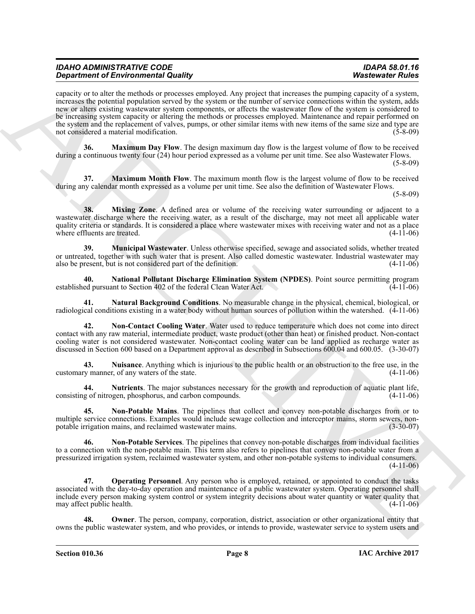**Similarly of Environmental Configuration** (a) the state of the state of the state of Euler Configuration (a) the state of the state of the state of the state of the state of the state of the state of the state of the sta capacity or to alter the methods or processes employed. Any project that increases the pumping capacity of a system, increases the potential population served by the system or the number of service connections within the system, adds new or alters existing wastewater system components, or affects the wastewater flow of the system is considered to be increasing system capacity or altering the methods or processes employed. Maintenance and repair performed on the system and the replacement of valves, pumps, or other similar items with new items of the same size and type are not considered a material modification. (5-8-09)

<span id="page-7-0"></span>**36. Maximum Day Flow**. The design maximum day flow is the largest volume of flow to be received during a continuous twenty four (24) hour period expressed as a volume per unit time. See also Wastewater Flows.  $(5-8-09)$ 

<span id="page-7-1"></span>**37. Maximum Month Flow**. The maximum month flow is the largest volume of flow to be received during any calendar month expressed as a volume per unit time. See also the definition of Wastewater Flows.

(5-8-09)

<span id="page-7-2"></span>**38. Mixing Zone.** A defined area or volume of the receiving water surrounding or adjacent to a wastewater discharge where the receiving water, as a result of the discharge, may not meet all applicable water quality criteria or standards. It is considered a place where wastewater mixes with receiving water and not as a place where effluents are treated. (4-11-06)

<span id="page-7-3"></span>**39. Municipal Wastewater**. Unless otherwise specified, sewage and associated solids, whether treated or untreated, together with such water that is present. Also called domestic wastewater. Industrial wastewater may also be present, but is not considered part of the definition. (4-11-06) also be present, but is not considered part of the definition.

<span id="page-7-4"></span>**40. National Pollutant Discharge Elimination System (NPDES)**. Point source permitting program established pursuant to Section 402 of the federal Clean Water Act.

<span id="page-7-5"></span>**41. Natural Background Conditions**. No measurable change in the physical, chemical, biological, or radiological conditions existing in a water body without human sources of pollution within the watershed. (4-11-06)

<span id="page-7-6"></span>**42. Non-Contact Cooling Water**. Water used to reduce temperature which does not come into direct contact with any raw material, intermediate product, waste product (other than heat) or finished product. Non-contact cooling water is not considered wastewater. Non-contact cooling water can be land applied as recharge water as discussed in Section 600 based on a Department approval as described in Subsections 600.04 and 600.05. (3-30-07)

<span id="page-7-9"></span>**43. Nuisance**. Anything which is injurious to the public health or an obstruction to the free use, in the customary manner, of any waters of the state. (4-11-06)

<span id="page-7-10"></span>**44. Nutrients**. The major substances necessary for the growth and reproduction of aquatic plant life, consisting of nitrogen, phosphorus, and carbon compounds.

<span id="page-7-7"></span>**45. Non-Potable Mains**. The pipelines that collect and convey non-potable discharges from or to multiple service connections. Examples would include sewage collection and interceptor mains, storm sewers, non-<br>potable irrigation mains, and reclaimed wastewater mains. (3-30-07) potable irrigation mains, and reclaimed wastewater mains.

<span id="page-7-8"></span>**46. Non-Potable Services**. The pipelines that convey non-potable discharges from individual facilities to a connection with the non-potable main. This term also refers to pipelines that convey non-potable water from a pressurized irrigation system, reclaimed wastewater system, and other non-potable systems to individual consumers. (4-11-06)

<span id="page-7-11"></span>**47. Operating Personnel**. Any person who is employed, retained, or appointed to conduct the tasks associated with the day-to-day operation and maintenance of a public wastewater system. Operating personnel shall include every person making system control or system integrity decisions about water quantity or water quality that may affect public health.

<span id="page-7-12"></span>**Owner**. The person, company, corporation, district, association or other organizational entity that owns the public wastewater system, and who provides, or intends to provide, wastewater service to system users and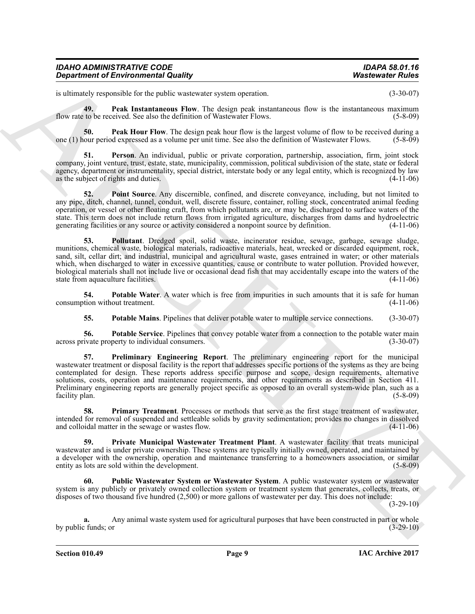| <b>IDAHO ADMINISTRATIVE CODE</b>           | IDAPA 58.01.16          |
|--------------------------------------------|-------------------------|
| <b>Department of Environmental Quality</b> | <b>Wastewater Rules</b> |

<span id="page-8-1"></span>is ultimately responsible for the public wastewater system operation. (3-30-07)

**49. Peak Instantaneous Flow**. The design peak instantaneous flow is the instantaneous maximum flow rate to be received. See also the definition of Wastewater Flows. (5-8-09)

<span id="page-8-0"></span>**50. Peak Hour Flow**. The design peak hour flow is the largest volume of flow to be received during a our period expressed as a volume per unit time. See also the definition of Wastewater Flows. (5-8-09) one (1) hour period expressed as a volume per unit time. See also the definition of Wastewater Flows.

<span id="page-8-2"></span>**51. Person**. An individual, public or private corporation, partnership, association, firm, joint stock company, joint venture, trust, estate, state, municipality, commission, political subdivision of the state, state or federal agency, department or instrumentality, special district, interstate body or any legal entity, which is recognized by law<br>as the subject of rights and duties. (4-11-06) as the subject of rights and duties.

<span id="page-8-3"></span>**52. Point Source**. Any discernible, confined, and discrete conveyance, including, but not limited to any pipe, ditch, channel, tunnel, conduit, well, discrete fissure, container, rolling stock, concentrated animal feeding operation, or vessel or other floating craft, from which pollutants are, or may be, discharged to surface waters of the state. This term does not include return flows from irrigated agriculture, discharges from dams and hydroelectric generating facilities or any source or activity considered a nonpoint source by definition. (4-11-06) generating facilities or any source or activity considered a nonpoint source by definition.

<span id="page-8-4"></span>**53. Pollutant**. Dredged spoil, solid waste, incinerator residue, sewage, garbage, sewage sludge, munitions, chemical waste, biological materials, radioactive materials, heat, wrecked or discarded equipment, rock, sand, silt, cellar dirt; and industrial, municipal and agricultural waste, gases entrained in water; or other materials which, when discharged to water in excessive quantities, cause or contribute to water pollution. Provided however, biological materials shall not include live or occasional dead fish that may accidentally escape into the waters of the state from aquaculture facilities. (4-11-06)

**54.** Potable Water. A water which is free from impurities in such amounts that it is safe for human vition without treatment. (4-11-06) consumption without treatment.

<span id="page-8-8"></span><span id="page-8-7"></span><span id="page-8-6"></span><span id="page-8-5"></span>**55. Potable Mains**. Pipelines that deliver potable water to multiple service connections. (3-30-07)

**56.** Potable Service. Pipelines that convey potable water from a connection to the potable water main ivate property to individual consumers. (3-30-07) across private property to individual consumers.

**Equivariant of Environmental Quality ... Washes the state of the state of the state of the state of the state of the state of the state of the state of the state of the state of the state of the state of the state of the 57. Preliminary Engineering Report**. The preliminary engineering report for the municipal wastewater treatment or disposal facility is the report that addresses specific portions of the systems as they are being contemplated for design. These reports address specific purpose and scope, design requirements, alternative solutions, costs, operation and maintenance requirements, and other requirements as described in Section 411. Preliminary engineering reports are generally project specific as opposed to an overall system-wide plan, such as a facility plan.

<span id="page-8-9"></span>**58. Primary Treatment**. Processes or methods that serve as the first stage treatment of wastewater, intended for removal of suspended and settleable solids by gravity sedimentation; provides no changes in dissolved and colloidal matter in the sewage or wastes flow.

<span id="page-8-10"></span>**59. Private Municipal Wastewater Treatment Plant**. A wastewater facility that treats municipal wastewater and is under private ownership. These systems are typically initially owned, operated, and maintained by a developer with the ownership, operation and maintenance transferring to a homeowners association, or similar entity as lots are sold within the development. (5-8-09) entity as lots are sold within the development.

<span id="page-8-11"></span>**60. Public Wastewater System or Wastewater System**. A public wastewater system or wastewater system is any publicly or privately owned collection system or treatment system that generates, collects, treats, or disposes of two thousand five hundred (2,500) or more gallons of wastewater per day. This does not include:

(3-29-10)

**a.** Any animal waste system used for agricultural purposes that have been constructed in part or whole  $\therefore$  funds; or  $(3-29-10)$ by public funds; or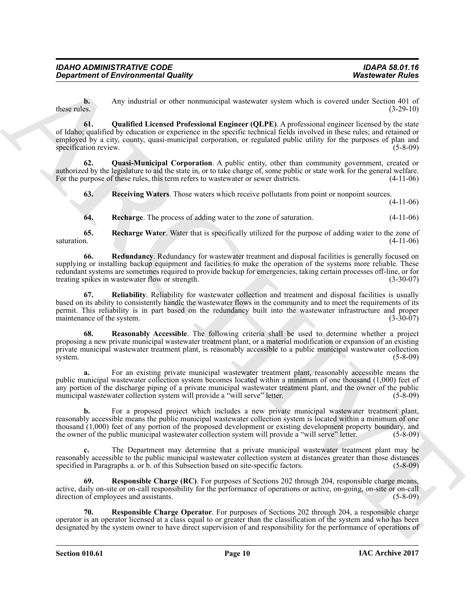<span id="page-9-0"></span>**b.** Any industrial or other nonmunicipal wastewater system which is covered under Section 401 of these rules. (3-29-10) these rules.  $(3-29-10)$ 

**Department of Environmental Quality<br>
Any subsecute of Motion memorial Counter and the serves of the two serves of the server of European Counter and the Counter of Counter and the Counter of Counter and the Counter of Co 61. Qualified Licensed Professional Engineer (QLPE)**. A professional engineer licensed by the state of Idaho; qualified by education or experience in the specific technical fields involved in these rules; and retained or employed by a city, county, quasi-municipal corporation, or regulated public utility for the purposes of plan and specification review. (5-8-09)

**62. Quasi-Municipal Corporation**. A public entity, other than community government, created or authorized by the legislature to aid the state in, or to take charge of, some public or state work for the general welfare.<br>For the purpose of these rules, this term refers to wastewater or sewer districts. (4-11-06) For the purpose of these rules, this term refers to wastewater or sewer districts.

<span id="page-9-3"></span><span id="page-9-1"></span>**63. Receiving Waters**. Those waters which receive pollutants from point or nonpoint sources.

(4-11-06)

<span id="page-9-6"></span><span id="page-9-5"></span><span id="page-9-4"></span>**64. Recharge**. The process of adding water to the zone of saturation. (4-11-06)

**65.** Recharge Water. Water that is specifically utilized for the purpose of adding water to the zone of saturation. (4-11-06) saturation.  $(4-11-06)$ 

**66. Redundancy**. Redundancy for wastewater treatment and disposal facilities is generally focused on supplying or installing backup equipment and facilities to make the operation of the systems more reliable. These redundant systems are sometimes required to provide backup for emergencies, taking certain processes off-line, or for treating spikes in wastewater flow or strength. (3-30-07)

<span id="page-9-7"></span>**67. Reliability**. Reliability for wastewater collection and treatment and disposal facilities is usually based on its ability to consistently handle the wastewater flows in the community and to meet the requirements of its permit. This reliability is in part based on the redundancy built into the wastewater infrastructure and proper maintenance of the system.

<span id="page-9-2"></span>**68. Reasonably Accessible**. The following criteria shall be used to determine whether a project proposing a new private municipal wastewater treatment plant, or a material modification or expansion of an existing private municipal wastewater treatment plant, is reasonably accessible to a public municipal wastewater collection system. system. (5-8-09)

**a.** For an existing private municipal wastewater treatment plant, reasonably accessible means the public municipal wastewater collection system becomes located within a minimum of one thousand (1,000) feet of any portion of the discharge piping of a private municipal wastewater treatment plant, and the owner of the public municipal wastewater collection system will provide a "will serve" letter. (5-8-09) municipal wastewater collection system will provide a "will serve" letter.

**b.** For a proposed project which includes a new private municipal wastewater treatment plant, reasonably accessible means the public municipal wastewater collection system is located within a minimum of one thousand (1,000) feet of any portion of the proposed development or existing development property boundary, and the owner of the public municipal wastewater collection system will provide a "will serve" letter. (5-8-09)

**c.** The Department may determine that a private municipal wastewater treatment plant may be reasonably accessible to the public municipal wastewater collection system at distances greater than those distances specified in Paragraphs a. or b. of this Subsection based on site-specific factors. (5-8-09) specified in Paragraphs a. or b. of this Subsection based on site-specific factors.

<span id="page-9-8"></span>**69. Responsible Charge (RC)**. For purposes of Sections 202 through 204, responsible charge means, active, daily on-site or on-call responsibility for the performance of operations or active, on-going, on-site or on-call direction of employees and assistants.

<span id="page-9-9"></span>**70. Responsible Charge Operator**. For purposes of Sections 202 through 204, a responsible charge operator is an operator licensed at a class equal to or greater than the classification of the system and who has been designated by the system owner to have direct supervision of and responsibility for the performance of operations of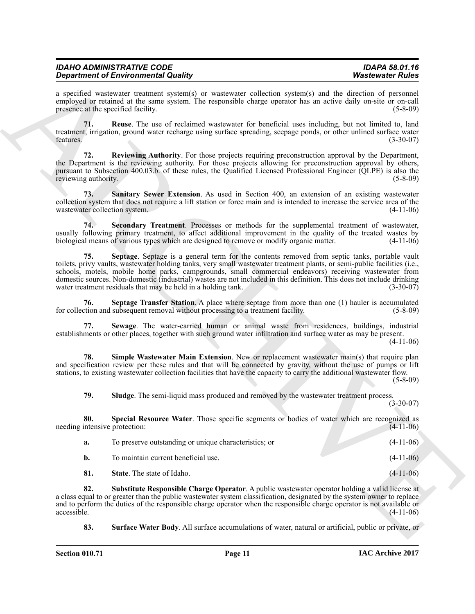| <b>IDAHO ADMINISTRATIVE CODE</b>           | <b>IDAPA 58.01.16</b>   |
|--------------------------------------------|-------------------------|
| <b>Department of Environmental Quality</b> | <b>Wastewater Rules</b> |
|                                            |                         |

a specified wastewater treatment system(s) or wastewater collection system(s) and the direction of personnel employed or retained at the same system. The responsible charge operator has an active daily on-site or on-call presence at the specified facility. (5-8-09)

<span id="page-10-0"></span>**71. Reuse**. The use of reclaimed wastewater for beneficial uses including, but not limited to, land treatment, irrigation, ground water recharge using surface spreading, seepage ponds, or other unlined surface water features. (3-30-07) features.  $(3-30-07)$ 

<span id="page-10-1"></span>**72. Reviewing Authority**. For those projects requiring preconstruction approval by the Department, the Department is the reviewing authority. For those projects allowing for preconstruction approval by others, pursuant to Subsection 400.03.b. of these rules, the Qualified Licensed Professional Engineer (QLPE) is also the reviewing authority. (5-8-09) reviewing authority.

<span id="page-10-2"></span>**73. Sanitary Sewer Extension**. As used in Section 400, an extension of an existing wastewater collection system that does not require a lift station or force main and is intended to increase the service area of the wastewater collection system. (4-11-06)

<span id="page-10-4"></span><span id="page-10-3"></span>**74. Secondary Treatment**. Processes or methods for the supplemental treatment of wastewater, usually following primary treatment, to affect additional improvement in the quality of the treated wastes by<br>biological means of various types which are designed to remove or modify organic matter. biological means of various types which are designed to remove or modify organic matter.

**Experiment of Entroprison (in Eq. 2)** Washington the specific term in the specific science of Euler China and the specific science of Euler China and the specific science of Euler China and the specific science of Euler **75. Septage**. Septage is a general term for the contents removed from septic tanks, portable vault toilets, privy vaults, wastewater holding tanks, very small wastewater treatment plants, or semi-public facilities (i.e., schools, motels, mobile home parks, campgrounds, small commercial endeavors) receiving wastewater from domestic sources. Non-domestic (industrial) wastes are not included in this definition. This does not include drinking<br>water treatment residuals that may be held in a holding tank. water treatment residuals that may be held in a holding tank.

<span id="page-10-5"></span>**76.** Septage Transfer Station. A place where septage from more than one (1) hauler is accumulated extion and subsequent removal without processing to a treatment facility. (5-8-09) for collection and subsequent removal without processing to a treatment facility.

<span id="page-10-6"></span>**77. Sewage**. The water-carried human or animal waste from residences, buildings, industrial establishments or other places, together with such ground water infiltration and surface water as may be present.

(4-11-06)

**78. Simple Wastewater Main Extension**. New or replacement wastewater main(s) that require plan and specification review per these rules and that will be connected by gravity, without the use of pumps or lift stations, to existing wastewater collection facilities that have the capacity to carry the additional wastewater flow. (5-8-09)

<span id="page-10-9"></span><span id="page-10-8"></span><span id="page-10-7"></span>**79. Sludge**. The semi-liquid mass produced and removed by the wastewater treatment process.

(3-30-07)

**80.** Special Resource Water. Those specific segments or bodies of water which are recognized as intensive protection: (4-11-06) needing intensive protection:

<span id="page-10-11"></span><span id="page-10-10"></span>

| а.   | To preserve outstanding or unique characteristics; or | $(4-11-06)$ |
|------|-------------------------------------------------------|-------------|
| b.   | To maintain current beneficial use.                   | $(4-11-06)$ |
| -81. | <b>State.</b> The state of Idaho.                     | $(4-11-06)$ |

**82. Substitute Responsible Charge Operator**. A public wastewater operator holding a valid license at a class equal to or greater than the public wastewater system classification, designated by the system owner to replace and to perform the duties of the responsible charge operator when the responsible charge operator is not available or accessible. (4-11-06)  $accessible.$  (4-11-06)

<span id="page-10-12"></span>**83. Surface Water Body**. All surface accumulations of water, natural or artificial, public or private, or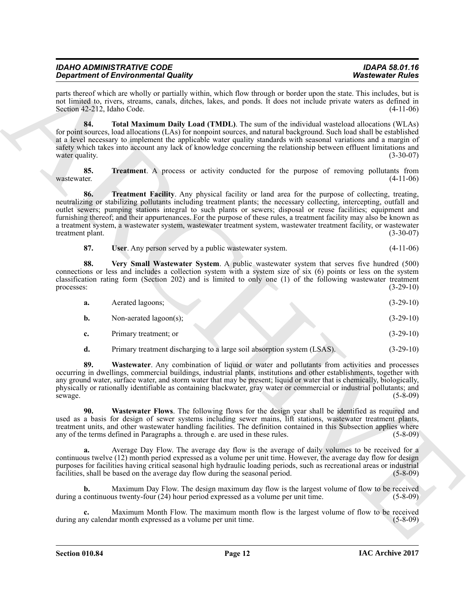| <b>IDAHO ADMINISTRATIVE CODE</b>           | <b>IDAPA 58.01.16</b>   |
|--------------------------------------------|-------------------------|
| <b>Department of Environmental Quality</b> | <b>Wastewater Rules</b> |

parts thereof which are wholly or partially within, which flow through or border upon the state. This includes, but is not limited to, rivers, streams, canals, ditches, lakes, and ponds. It does not include private waters as defined in Section 42-212, Idaho Code. (4-11-06)

<span id="page-11-0"></span>**84. Total Maximum Daily Load (TMDL)**. The sum of the individual wasteload allocations (WLAs) for point sources, load allocations (LAs) for nonpoint sources, and natural background. Such load shall be established at a level necessary to implement the applicable water quality standards with seasonal variations and a margin of safety which takes into account any lack of knowledge concerning the relationship between effluent limitations and water quality. (3-30-07) (3-30-07)

<span id="page-11-2"></span><span id="page-11-1"></span>**85. Treatment**. A process or activity conducted for the purpose of removing pollutants from  $(4-11-06)$ wastewater. (4-11-06)

**Stationer of Environmental County,** the main behaviour and the stationer of the stationer of Euler Control in the stationer of Euler Control in the stationary of the stationary of the stationary of the stationary of the **86. Treatment Facility**. Any physical facility or land area for the purpose of collecting, treating, neutralizing or stabilizing pollutants including treatment plants; the necessary collecting, intercepting, outfall and outlet sewers; pumping stations integral to such plants or sewers; disposal or reuse facilities; equipment and furnishing thereof; and their appurtenances. For the purpose of these rules, a treatment facility may also be known as a treatment system, a wastewater system, wastewater treatment system, wastewater treatment facility, or wastewater treatment plant. (3-30-07)

<span id="page-11-4"></span><span id="page-11-3"></span>

| 87.<br><b>User.</b> Any person served by a public was tewater system. | $(4-11-06)$ |
|-----------------------------------------------------------------------|-------------|
|-----------------------------------------------------------------------|-------------|

**88. Very Small Wastewater System**. A public wastewater system that serves five hundred (500) connections or less and includes a collection system with a system size of six (6) points or less on the system classification rating form (Section 202) and is limited to only one (1) of the following wastewater treatment processes: (3-29-10)

| а. | Aerated lagoons;       | $(3-29-10)$ |
|----|------------------------|-------------|
| b. | Non-aerated lagoon(s); | $(3-29-10)$ |

- **c.** Primary treatment; or (3-29-10)
- <span id="page-11-5"></span>**d.** Primary treatment discharging to a large soil absorption system (LSAS). (3-29-10)

**89. Wastewater**. Any combination of liquid or water and pollutants from activities and processes occurring in dwellings, commercial buildings, industrial plants, institutions and other establishments, together with any ground water, surface water, and storm water that may be present; liquid or water that is chemically, biologically, physically or rationally identifiable as containing blackwater, gray water or commercial or industrial pollutants; and sewage. (5-8-09)

<span id="page-11-6"></span>**90. Wastewater Flows**. The following flows for the design year shall be identified as required and used as a basis for design of sewer systems including sewer mains, lift stations, wastewater treatment plants, treatment units, and other wastewater handling facilities. The definition contained in this Subsection applies where any of the terms defined in Paragraphs a. through e. are used in these rules. (5-8-09) any of the terms defined in Paragraphs a. through e. are used in these rules.

**a.** Average Day Flow. The average day flow is the average of daily volumes to be received for a continuous twelve (12) month period expressed as a volume per unit time. However, the average day flow for design purposes for facilities having critical seasonal high hydraulic loading periods, such as recreational areas or industrial facilities, shall be based on the average day flow during the seasonal period. (5-8-09) facilities, shall be based on the average day flow during the seasonal period.

**b.** Maximum Day Flow. The design maximum day flow is the largest volume of flow to be received during a continuous twenty-four (24) hour period expressed as a volume per unit time. (5-8-09)

**c.** Maximum Month Flow. The maximum month flow is the largest volume of flow to be received ny calendar month expressed as a volume per unit time. (5-8-09) during any calendar month expressed as a volume per unit time.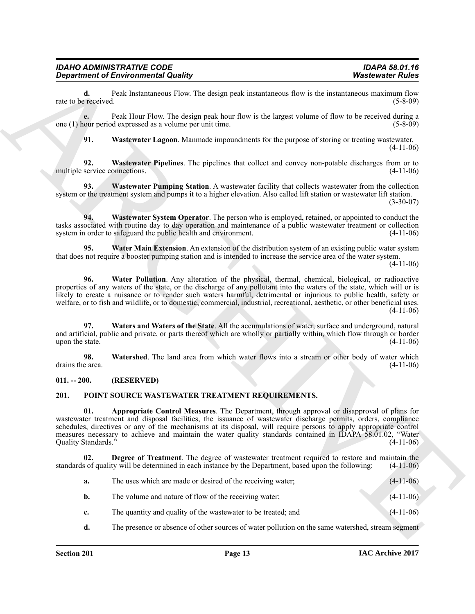**d.** Peak Instantaneous Flow. The design peak instantaneous flow is the instantaneous maximum flow exprecived. (5-8-09) rate to be received.

**e.** Peak Hour Flow. The design peak hour flow is the largest volume of flow to be received during a one (1) hour period expressed as a volume per unit time. (5-8-09)

<span id="page-12-4"></span><span id="page-12-3"></span><span id="page-12-2"></span>**91. Wastewater Lagoon**. Manmade impoundments for the purpose of storing or treating wastewater. (4-11-06)

**92.** Wastewater Pipelines. The pipelines that collect and convey non-potable discharges from or to service connections. (4-11-06) multiple service connections.

**93. Wastewater Pumping Station**. A wastewater facility that collects wastewater from the collection system or the treatment system and pumps it to a higher elevation. Also called lift station or wastewater lift station.  $(3-30-07)$ 

<span id="page-12-5"></span>**94. Wastewater System Operator**. The person who is employed, retained, or appointed to conduct the tasks associated with routine day to day operation and maintenance of a public wastewater treatment or collection system in order to safeguard the public health and environment. (4-11-06)

<span id="page-12-6"></span>**95. Water Main Extension**. An extension of the distribution system of an existing public water system that does not require a booster pumping station and is intended to increase the service area of the water system. (4-11-06)

<span id="page-12-7"></span>**96. Water Pollution**. Any alteration of the physical, thermal, chemical, biological, or radioactive properties of any waters of the state, or the discharge of any pollutant into the waters of the state, which will or is likely to create a nuisance or to render such waters harmful, detrimental or injurious to public health, safety or welfare, or to fish and wildlife, or to domestic, commercial, industrial, recreational, aesthetic, or other beneficial uses. (4-11-06)

<span id="page-12-8"></span>**97. Waters and Waters of the State**. All the accumulations of water, surface and underground, natural and artificial, public and private, or parts thereof which are wholly or partially within, which flow through or border<br>(4-11-06) upon the state.

<span id="page-12-9"></span>**98.** Watershed. The land area from which water flows into a stream or other body of water which e area. (4-11-06) drains the area.

## <span id="page-12-0"></span>**011. -- 200. (RESERVED)**

## <span id="page-12-11"></span><span id="page-12-10"></span><span id="page-12-1"></span>**201. POINT SOURCE WASTEWATER TREATMENT REQUIREMENTS.**

**Equation of Environmental Country.**<br>
The the state of the interest Photosopher Country and the state measurement of the state of the state of the state of the state of the state of the state of the state of the state of **01. Appropriate Control Measures**. The Department, through approval or disapproval of plans for wastewater treatment and disposal facilities, the issuance of wastewater discharge permits, orders, compliance schedules, directives or any of the mechanisms at its disposal, will require persons to apply appropriate control measures necessary to achieve and maintain the water quality standards contained in IDAPA 58.01.02, "Water Ouality Standards." (4-11-06) Quality Standards."

**Degree of Treatment**. The degree of wastewater treatment required to restore and maintain the standards of quality will be determined in each instance by the Department, based upon the following: (4-11-06)

<span id="page-12-12"></span>

| a. | The uses which are made or desired of the receiving water; | $(4-11-06)$ |
|----|------------------------------------------------------------|-------------|
|----|------------------------------------------------------------|-------------|

- **b.** The volume and nature of flow of the receiving water; (4-11-06)
- **c.** The quantity and quality of the wastewater to be treated; and (4-11-06)
- **d.** The presence or absence of other sources of water pollution on the same watershed, stream segment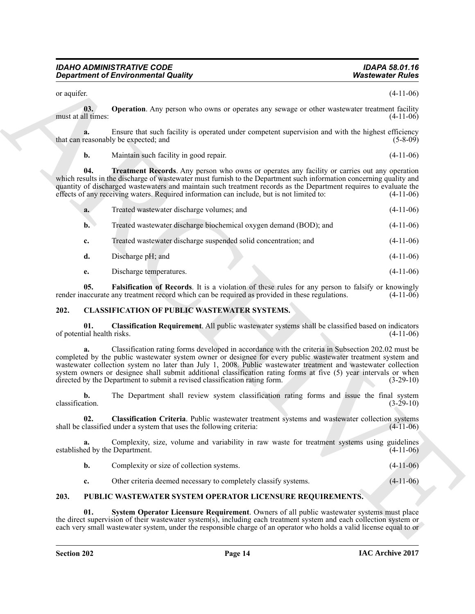<span id="page-13-7"></span><span id="page-13-6"></span>

|                                      | <b>Department of Environmental Quality</b>                                                                                                                                                                                                                                                                                                                                                                                                                                                                                             | <b>Wastewater Rules</b> |
|--------------------------------------|----------------------------------------------------------------------------------------------------------------------------------------------------------------------------------------------------------------------------------------------------------------------------------------------------------------------------------------------------------------------------------------------------------------------------------------------------------------------------------------------------------------------------------------|-------------------------|
| or aquifer.                          |                                                                                                                                                                                                                                                                                                                                                                                                                                                                                                                                        | $(4-11-06)$             |
| 03.<br>must at all times:            | <b>Operation</b> . Any person who owns or operates any sewage or other wastewater treatment facility                                                                                                                                                                                                                                                                                                                                                                                                                                   | $(4-11-06)$             |
| a.                                   | Ensure that such facility is operated under competent supervision and with the highest efficiency<br>that can reasonably be expected; and                                                                                                                                                                                                                                                                                                                                                                                              | $(5-8-09)$              |
| b.                                   | Maintain such facility in good repair.                                                                                                                                                                                                                                                                                                                                                                                                                                                                                                 | $(4-11-06)$             |
| 04.                                  | <b>Treatment Records.</b> Any person who owns or operates any facility or carries out any operation<br>which results in the discharge of wastewater must furnish to the Department such information concerning quality and<br>quantity of discharged wastewaters and maintain such treatment records as the Department requires to evaluate the<br>effects of any receiving waters. Required information can include, but is not limited to:                                                                                           | $(4-11-06)$             |
| a.                                   | Treated wastewater discharge volumes; and                                                                                                                                                                                                                                                                                                                                                                                                                                                                                              | $(4-11-06)$             |
| $\mathbf{b}$ .                       | Treated wastewater discharge biochemical oxygen demand (BOD); and                                                                                                                                                                                                                                                                                                                                                                                                                                                                      | $(4-11-06)$             |
| $c_{\cdot}$                          | Treated wastewater discharge suspended solid concentration; and                                                                                                                                                                                                                                                                                                                                                                                                                                                                        | $(4-11-06)$             |
| d.                                   | Discharge pH; and                                                                                                                                                                                                                                                                                                                                                                                                                                                                                                                      | $(4-11-06)$             |
| е.                                   | Discharge temperatures.                                                                                                                                                                                                                                                                                                                                                                                                                                                                                                                | $(4-11-06)$             |
| 05.                                  | <b>Falsification of Records.</b> It is a violation of these rules for any person to falsify or knowingly<br>render inaccurate any treatment record which can be required as provided in these regulations.                                                                                                                                                                                                                                                                                                                             | $(4-11-06)$             |
| 202.                                 | <b>CLASSIFICATION OF PUBLIC WASTEWATER SYSTEMS.</b>                                                                                                                                                                                                                                                                                                                                                                                                                                                                                    |                         |
| 01.<br>of potential health risks.    | Classification Requirement. All public wastewater systems shall be classified based on indicators                                                                                                                                                                                                                                                                                                                                                                                                                                      | $(4-11-06)$             |
| a.                                   | Classification rating forms developed in accordance with the criteria in Subsection 202.02 must be<br>completed by the public wastewater system owner or designee for every public wastewater treatment system and<br>wastewater collection system no later than July 1, 2008. Public wastewater treatment and wastewater collection<br>system owners or designee shall submit additional classification rating forms at five (5) year intervals or when<br>directed by the Department to submit a revised classification rating form. | $(3-29-10)$             |
| b.<br>classification.                | The Department shall review system classification rating forms and issue the final system                                                                                                                                                                                                                                                                                                                                                                                                                                              | $(3-29-10)$             |
|                                      | Classification Criteria. Public wastewater treatment systems and wastewater collection systems<br>shall be classified under a system that uses the following criteria:                                                                                                                                                                                                                                                                                                                                                                 | $(4-11-06)$             |
| a.<br>established by the Department. | Complexity, size, volume and variability in raw waste for treatment systems using guidelines                                                                                                                                                                                                                                                                                                                                                                                                                                           | $(4-11-06)$             |
| b.                                   | Complexity or size of collection systems.                                                                                                                                                                                                                                                                                                                                                                                                                                                                                              | $(4-11-06)$             |
| c.                                   | Other criteria deemed necessary to completely classify systems.                                                                                                                                                                                                                                                                                                                                                                                                                                                                        | $(4-11-06)$             |
| 203.                                 | PUBLIC WASTEWATER SYSTEM OPERATOR LICENSURE REQUIREMENTS.                                                                                                                                                                                                                                                                                                                                                                                                                                                                              |                         |
| 01.                                  | System Operator Licensure Requirement. Owners of all public wastewater systems must place<br>the direct supervision of their wastewater system(s), including each treatment system and each collection system or<br>each very small wastewater system, under the responsible charge of an operator who holds a valid license equal to or                                                                                                                                                                                               |                         |

#### <span id="page-13-5"></span><span id="page-13-4"></span><span id="page-13-2"></span><span id="page-13-0"></span>**202. CLASSIFICATION OF PUBLIC WASTEWATER SYSTEMS.**

## <span id="page-13-9"></span><span id="page-13-8"></span><span id="page-13-3"></span><span id="page-13-1"></span>**203. PUBLIC WASTEWATER SYSTEM OPERATOR LICENSURE REQUIREMENTS.**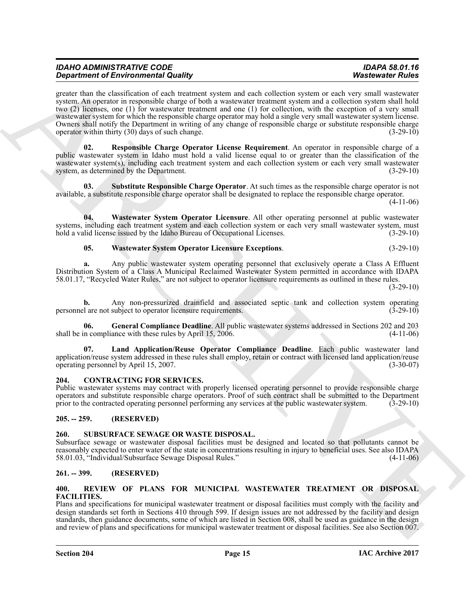**Experiment of Environmental Country of the state of the state of the state of Euler Countries Channel Archives Channel Archives Channel Archives Channel Archives Channel Archives Channel Archives Channel Archives Channel** greater than the classification of each treatment system and each collection system or each very small wastewater system. An operator in responsible charge of both a wastewater treatment system and a collection system shall hold two (2) licenses, one (1) for wastewater treatment and one (1) for collection, with the exception of a very small wastewater system for which the responsible charge operator may hold a single very small wastewater system license. Owners shall notify the Department in writing of any change of responsible charge or substitute responsible charge operator within thirty (30) days of such change. (3-29-10)

<span id="page-14-8"></span>**02. Responsible Charge Operator License Requirement**. An operator in responsible charge of a public wastewater system in Idaho must hold a valid license equal to or greater than the classification of the wastewater system(s), including each treatment system and each collection system or each very small wastewater system, as determined by the Department. (3-29-10) system, as determined by the Department.

<span id="page-14-9"></span>**03. Substitute Responsible Charge Operator**. At such times as the responsible charge operator is not available, a substitute responsible charge operator shall be designated to replace the responsible charge operator.

 $(4-11-06)$ 

**04. Wastewater System Operator Licensure**. All other operating personnel at public wastewater systems, including each treatment system and each collection system or each very small wastewater system, must hold a valid license issued by the Idaho Bureau of Occupational Licenses. (3-29-10)

## <span id="page-14-11"></span><span id="page-14-10"></span>**05. Wastewater System Operator Licensure Exceptions**. (3-29-10)

**a.** Any public wastewater system operating personnel that exclusively operate a Class A Effluent Distribution System of a Class A Municipal Reclaimed Wastewater System permitted in accordance with IDAPA 58.01.17, "Recycled Water Rules," are not subject to operator licensure requirements as outlined in these rules.

 $(3-29-10)$ 

**b.** Any non-pressurized drainfield and associated septic tank and collection system operating lare not subject to operator licensure requirements. (3-29-10) personnel are not subject to operator licensure requirements.

<span id="page-14-6"></span>**06. General Compliance Deadline**. All public wastewater systems addressed in Sections 202 and 203 shall be in compliance with these rules by April  $15, 2006$ .

<span id="page-14-7"></span>**07. Land Application/Reuse Operator Compliance Deadline**. Each public wastewater land application/reuse system addressed in these rules shall employ, retain or contract with licensed land application/reuse<br>(3-30-07) (3-30-07) operating personnel by April 15, 2007.

## <span id="page-14-5"></span><span id="page-14-0"></span>**204. CONTRACTING FOR SERVICES.**

Public wastewater systems may contract with properly licensed operating personnel to provide responsible charge operators and substitute responsible charge operators. Proof of such contract shall be submitted to the Department prior to the contracted operating personnel performing any services at the public wastewater system.

## <span id="page-14-1"></span>**205. -- 259. (RESERVED)**

## <span id="page-14-13"></span><span id="page-14-2"></span>**260. SUBSURFACE SEWAGE OR WASTE DISPOSAL.**

Subsurface sewage or wastewater disposal facilities must be designed and located so that pollutants cannot be reasonably expected to enter water of the state in concentrations resulting in injury to beneficial uses. See also IDAPA 58.01.03, "Individual/Subsurface Sewage Disposal Rules." (4-11-06)

## <span id="page-14-3"></span>**261. -- 399. (RESERVED)**

#### <span id="page-14-12"></span><span id="page-14-4"></span>**400. REVIEW OF PLANS FOR MUNICIPAL WASTEWATER TREATMENT OR DISPOSAL FACILITIES.**

Plans and specifications for municipal wastewater treatment or disposal facilities must comply with the facility and design standards set forth in Sections 410 through 599. If design issues are not addressed by the facility and design standards, then guidance documents, some of which are listed in Section 008, shall be used as guidance in the design and review of plans and specifications for municipal wastewater treatment or disposal facilities. See also Section 007.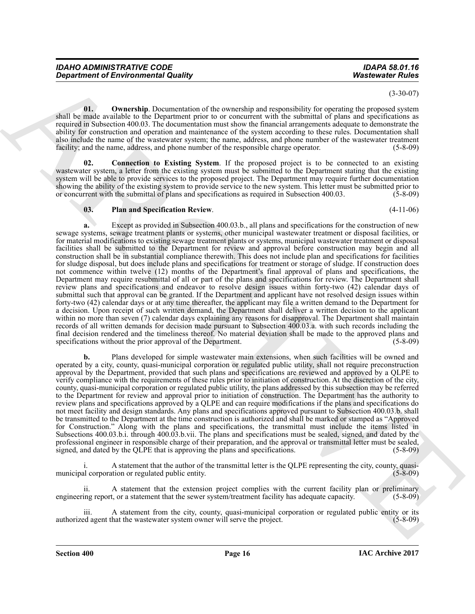(3-30-07)

<span id="page-15-1"></span>**01.** Ownership. Documentation of the ownership and responsibility for operating the proposed system shall be made available to the Department prior to or concurrent with the submittal of plans and specifications as required in Subsection 400.03. The documentation must show the financial arrangements adequate to demonstrate the ability for construction and operation and maintenance of the system according to these rules. Documentation shall also include the name of the wastewater system; the name, address, and phone number of the wastewater treatment facility; and the name, address, and phone number of the responsible charge operator. (5-8-09)

<span id="page-15-0"></span>**02. Connection to Existing System**. If the proposed project is to be connected to an existing wastewater system, a letter from the existing system must be submitted to the Department stating that the existing system will be able to provide services to the proposed project. The Department may require further documentation showing the ability of the existing system to provide service to the new system. This letter must be submitted prior to or concurrent with the submittal of plans and specifications as required in Subsection 400.03. (5-8-09 or concurrent with the submittal of plans and specifications as required in Subsection 400.03.

#### <span id="page-15-2"></span>**03. Plan and Specification Review**. (4-11-06)

**Department of Environmental Quality<br>
(a)**<br> **Conservation of the Conservation of Alexanian and Sources of Alexanian and Sources of Alexanian and Sources of Alexanian and Sources of Alexanian and Sources of Alexanian and S a.** Except as provided in Subsection 400.03.b., all plans and specifications for the construction of new sewage systems, sewage treatment plants or systems, other municipal wastewater treatment or disposal facilities, or for material modifications to existing sewage treatment plants or systems, municipal wastewater treatment or disposal facilities shall be submitted to the Department for review and approval before construction may begin and all construction shall be in substantial compliance therewith. This does not include plan and specifications for facilities for sludge disposal, but does include plans and specifications for treatment or storage of sludge. If construction does not commence within twelve (12) months of the Department's final approval of plans and specifications, the Department may require resubmittal of all or part of the plans and specifications for review. The Department shall review plans and specifications and endeavor to resolve design issues within forty-two (42) calendar days of submittal such that approval can be granted. If the Department and applicant have not resolved design issues within forty-two (42) calendar days or at any time thereafter, the applicant may file a written demand to the Department for a decision. Upon receipt of such written demand, the Department shall deliver a written decision to the applicant within no more than seven (7) calendar days explaining any reasons for disapproval. The Department shall maintain records of all written demands for decision made pursuant to Subsection 400.03.a. with such records including the final decision rendered and the timeliness thereof. No material deviation shall be made to the approved plans and specifications without the prior approval of the Department. (5-8-09)

**b.** Plans developed for simple wastewater main extensions, when such facilities will be owned and operated by a city, county, quasi-municipal corporation or regulated public utility, shall not require preconstruction approval by the Department, provided that such plans and specifications are reviewed and approved by a QLPE to verify compliance with the requirements of these rules prior to initiation of construction. At the discretion of the city, county, quasi-municipal corporation or regulated public utility, the plans addressed by this subsection may be referred to the Department for review and approval prior to initiation of construction. The Department has the authority to review plans and specifications approved by a QLPE and can require modifications if the plans and specifications do not meet facility and design standards. Any plans and specifications approved pursuant to Subsection 400.03.b. shall be transmitted to the Department at the time construction is authorized and shall be marked or stamped as "Approved for Construction." Along with the plans and specifications, the transmittal must include the items listed in Subsections 400.03.b.i. through 400.03.b.vii. The plans and specifications must be sealed, signed, and dated by the professional engineer in responsible charge of their preparation, and the approval or transmittal letter must be sealed, signed, and dated by the QLPE that is approving the plans and specifications. (5-8-09) signed, and dated by the QLPE that is approving the plans and specifications.

A statement that the author of the transmittal letter is the QLPE representing the city, county, quasi-<br>tion or regulated public entity. (5-8-09) municipal corporation or regulated public entity.

A statement that the extension project complies with the current facility plan or preliminary engineering report, or a statement that the sewer system/treatment facility has adequate capacity. (5-8-09)

iii. A statement from the city, county, quasi-municipal corporation or regulated public entity or its ed agent that the wastewater system owner will serve the project. (5-8-09) authorized agent that the wastewater system owner will serve the project.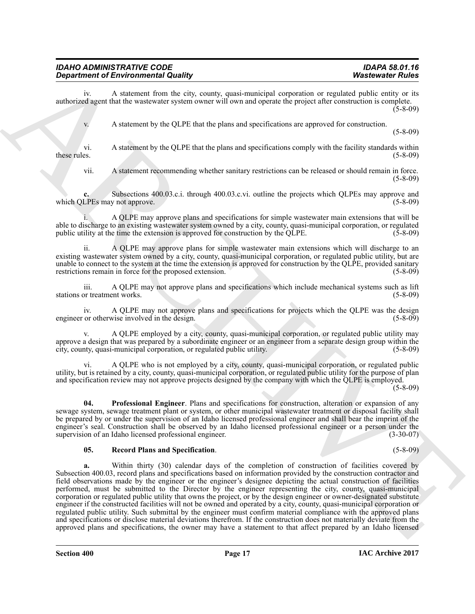iv. A statement from the city, county, quasi-municipal corporation or regulated public entity or its authorized agent that the wastewater system owner will own and operate the project after construction is complete. (5-8-09)

v. A statement by the QLPE that the plans and specifications are approved for construction.

vi. A statement by the QLPE that the plans and specifications comply with the facility standards within these rules.  $(5-8-09)$ 

vii. A statement recommending whether sanitary restrictions can be released or should remain in force. (5-8-09)

**c.** Subsections 400.03.c.i. through 400.03.c.vi. outline the projects which QLPEs may approve and which QLPEs may not approve. (5-8-09)

i. A QLPE may approve plans and specifications for simple wastewater main extensions that will be able to discharge to an existing wastewater system owned by a city, county, quasi-municipal corporation, or regulated public utility at the time the extension is approved for construction by the QLPE. (5-8-09)

ii. A QLPE may approve plans for simple wastewater main extensions which will discharge to an existing wastewater system owned by a city, county, quasi-municipal corporation, or regulated public utility, but are unable to connect to the system at the time the extension is approved for construction by the QLPE, provided sanitary<br>restrictions remain in force for the proposed extension. (5-8-09) restrictions remain in force for the proposed extension.

iii. A QLPE may not approve plans and specifications which include mechanical systems such as lift or treatment works. (5-8-09) stations or treatment works.

iv. A QLPE may not approve plans and specifications for projects which the QLPE was the design or otherwise involved in the design. (5-8-09) engineer or otherwise involved in the design.

v. A QLPE employed by a city, county, quasi-municipal corporation, or regulated public utility may approve a design that was prepared by a subordinate engineer or an engineer from a separate design group within the city, county, quasi-municipal corporation, or regulated public utility. (5-8-09)

vi. A QLPE who is not employed by a city, county, quasi-municipal corporation, or regulated public utility, but is retained by a city, county, quasi-municipal corporation, or regulated public utility for the purpose of plan and specification review may not approve projects designed by the company with which the QLPE is employed.

(5-8-09)

<span id="page-16-0"></span>**04. Professional Engineer**. Plans and specifications for construction, alteration or expansion of any sewage system, sewage treatment plant or system, or other municipal wastewater treatment or disposal facility shall be prepared by or under the supervision of an Idaho licensed professional engineer and shall bear the imprint of the engineer's seal. Construction shall be observed by an Idaho licensed professional engineer or a person under the supervision of an Idaho licensed professional engineer. (3-30-07) supervision of an Idaho licensed professional engineer.

## <span id="page-16-1"></span>**05. Record Plans and Specification**. (5-8-09)

**Department of Environmental Country, the system measuremental variation of Archives Christian Country, the Christian Country of Country and the Christian Country of Country and the Christian Country of Country and the Ch a.** Within thirty (30) calendar days of the completion of construction of facilities covered by Subsection 400.03, record plans and specifications based on information provided by the construction contractor and field observations made by the engineer or the engineer's designee depicting the actual construction of facilities performed, must be submitted to the Director by the engineer representing the city, county, quasi-municipal corporation or regulated public utility that owns the project, or by the design engineer or owner-designated substitute engineer if the constructed facilities will not be owned and operated by a city, county, quasi-municipal corporation or regulated public utility. Such submittal by the engineer must confirm material compliance with the approved plans and specifications or disclose material deviations therefrom. If the construction does not materially deviate from the approved plans and specifications, the owner may have a statement to that affect prepared by an Idaho licensed

(5-8-09)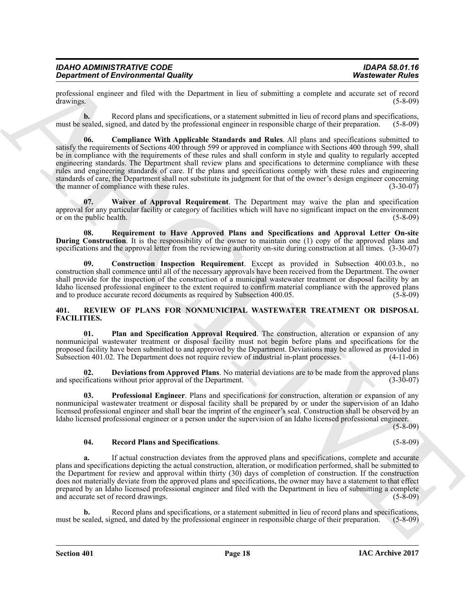| <b>IDAHO ADMINISTRATIVE CODE</b>           | <b>IDAPA 58.01.16</b>   |
|--------------------------------------------|-------------------------|
| <b>Department of Environmental Quality</b> | <b>Wastewater Rules</b> |

professional engineer and filed with the Department in lieu of submitting a complete and accurate set of record drawings. (5-8-09)

<span id="page-17-5"></span>**b.** Record plans and specifications, or a statement submitted in lieu of record plans and specifications, must be sealed, signed, and dated by the professional engineer in responsible charge of their preparation. (5-8-09)

**Strainer of Euro-Entire Hauth U.S. Detection and the Characteristics and a system of Euro-<br>
Although the system and the U.S. Constanting the Characteristics and the system of the system of the system of the system of the 06. Compliance With Applicable Standards and Rules**. All plans and specifications submitted to satisfy the requirements of Sections 400 through 599 or approved in compliance with Sections 400 through 599, shall be in compliance with the requirements of these rules and shall conform in style and quality to regularly accepted engineering standards. The Department shall review plans and specifications to determine compliance with these rules and engineering standards of care. If the plans and specifications comply with these rules and engineering standards of care, the Department shall not substitute its judgment for that of the owner's design engineer concerning<br>the manner of compliance with these rules. (3-30-07) the manner of compliance with these rules.

<span id="page-17-6"></span>**07. Waiver of Approval Requirement**. The Department may waive the plan and specification approval for any particular facility or category of facilities which will have no significant impact on the environment<br>(5-8-09) or on the public health.

**08. Requirement to Have Approved Plans and Specifications and Approval Letter On-site During Construction**. It is the responsibility of the owner to maintain one (1) copy of the approved plans and specifications and the approval letter from the reviewing authority on-site during construction at all times. (3-30-07)

**09. Construction Inspection Requirement**. Except as provided in Subsection 400.03.b., no construction shall commence until all of the necessary approvals have been received from the Department. The owner shall provide for the inspection of the construction of a municipal wastewater treatment or disposal facility by an Idaho licensed professional engineer to the extent required to confirm material compliance with the approved plans and to produce accurate record documents as required by Subsection 400.05. (5-8-09)

#### <span id="page-17-0"></span>**401. REVIEW OF PLANS FOR NONMUNICIPAL WASTEWATER TREATMENT OR DISPOSAL FACILITIES.**

<span id="page-17-3"></span>**01. Plan and Specification Approval Required**. The construction, alteration or expansion of any nonmunicipal wastewater treatment or disposal facility must not begin before plans and specifications for the proposed facility have been submitted to and approved by the Department. Deviations may be allowed as provided in Subsection 401.02. The Department does not require review of industrial in-plant processes.

<span id="page-17-2"></span>**02. Deviations from Approved Plans**. No material deviations are to be made from the approved plans ifications without prior approval of the Department. (3-30-07) and specifications without prior approval of the Department.

<span id="page-17-1"></span>**03. Professional Engineer**. Plans and specifications for construction, alteration or expansion of any nonmunicipal wastewater treatment or disposal facility shall be prepared by or under the supervision of an Idaho licensed professional engineer and shall bear the imprint of the engineer's seal. Construction shall be observed by an Idaho licensed professional engineer or a person under the supervision of an Idaho licensed professional engineer.

(5-8-09)

## <span id="page-17-4"></span>**04. Record Plans and Specifications**. (5-8-09)

**a.** If actual construction deviates from the approved plans and specifications, complete and accurate plans and specifications depicting the actual construction, alteration, or modification performed, shall be submitted to the Department for review and approval within thirty (30) days of completion of construction. If the construction does not materially deviate from the approved plans and specifications, the owner may have a statement to that effect prepared by an Idaho licensed professional engineer and filed with the Department in lieu of submitting a complete and accurate set of record drawings. (5-8-09) and accurate set of record drawings.

**b.** Record plans and specifications, or a statement submitted in lieu of record plans and specifications, sealed signed and dated by the professional engineer in responsible charge of their preparation (5-8-09) must be sealed, signed, and dated by the professional engineer in responsible charge of their preparation.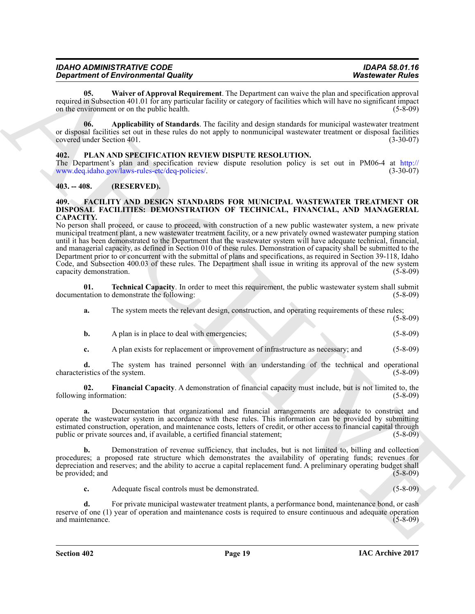| <b>IDAHO ADMINISTRATIVE CODE</b>           | IDAPA 58.01.16          |
|--------------------------------------------|-------------------------|
| <b>Department of Environmental Quality</b> | <b>Wastewater Rules</b> |

<span id="page-18-8"></span>**05. Waiver of Approval Requirement**. The Department can waive the plan and specification approval required in Subsection 401.01 for any particular facility or category of facilities which will have no significant impact<br>(5-8-09) on the environment or on the public health. on the environment or on the public health.

<span id="page-18-7"></span>**06. Applicability of Standards**. The facility and design standards for municipal wastewater treatment or disposal facilities set out in these rules do not apply to nonmunicipal wastewater treatment or disposal facilities covered under Section 401.

#### <span id="page-18-6"></span><span id="page-18-0"></span>**402. PLAN AND SPECIFICATION REVIEW DISPUTE RESOLUTION.**

The Department's plan and specification review dispute resolution policy is set out in PM06-4 at http://<br>www.deq.idaho.gov/laws-rules-etc/deq-policies/. (3-30-07) www.deq.idaho.gov/laws-rules-etc/deq-policies/.

#### <span id="page-18-1"></span>**403. -- 408. (RESERVED).**

#### <span id="page-18-3"></span><span id="page-18-2"></span>**409. FACILITY AND DESIGN STANDARDS FOR MUNICIPAL WASTEWATER TREATMENT OR DISPOSAL FACILITIES: DEMONSTRATION OF TECHNICAL, FINANCIAL, AND MANAGERIAL CAPACITY.**

*Department of Environmental Madrid Construction* **and Environmental the Uxpanisation exact the phase of Euler Construction (ASD) and the Construction Construction Construction (ASD) and the Construction Construction Cons** No person shall proceed, or cause to proceed, with construction of a new public wastewater system, a new private municipal treatment plant, a new wastewater treatment facility, or a new privately owned wastewater pumping station until it has been demonstrated to the Department that the wastewater system will have adequate technical, financial, and managerial capacity, as defined in Section 010 of these rules. Demonstration of capacity shall be submitted to the Department prior to or concurrent with the submittal of plans and specifications, as required in Section 39-118, Idaho Code, and Subsection 400.03 of these rules. The Department shall issue in writing its approval of the new system capacity demonstration. (5-8-09) capacity demonstration.

**01. Technical Capacity**. In order to meet this requirement, the public wastewater system shall submit tation to demonstrate the following: (5-8-09) documentation to demonstrate the following:

<span id="page-18-5"></span>**a.** The system meets the relevant design, construction, and operating requirements of these rules;

- (5-8-09)
- **b.** A plan is in place to deal with emergencies; (5-8-09)
- <span id="page-18-4"></span>**c.** A plan exists for replacement or improvement of infrastructure as necessary; and (5-8-09)

**d.** The system has trained personnel with an understanding of the technical and operational istics of the system. (5-8-09) characteristics of the system.

**02.** Financial Capacity. A demonstration of financial capacity must include, but is not limited to, the g information: (5-8-09) following information:

**a.** Documentation that organizational and financial arrangements are adequate to construct and operate the wastewater system in accordance with these rules. This information can be provided by submitting estimated construction, operation, and maintenance costs, letters of credit, or other access to financial capital through public or private sources and, if available, a certified financial statement; (5-8-09) public or private sources and, if available, a certified financial statement;

**b.** Demonstration of revenue sufficiency, that includes, but is not limited to, billing and collection procedures; a proposed rate structure which demonstrates the availability of operating funds; revenues for depreciation and reserves; and the ability to accrue a capital replacement fund. A preliminary operating budget shall<br>be provided; and (5-8-09) be provided; and

**c.** Adequate fiscal controls must be demonstrated. (5-8-09)

**d.** For private municipal wastewater treatment plants, a performance bond, maintenance bond, or cash reserve of one (1) year of operation and maintenance costs is required to ensure continuous and adequate operation and maintenance. (5-8-09) and maintenance.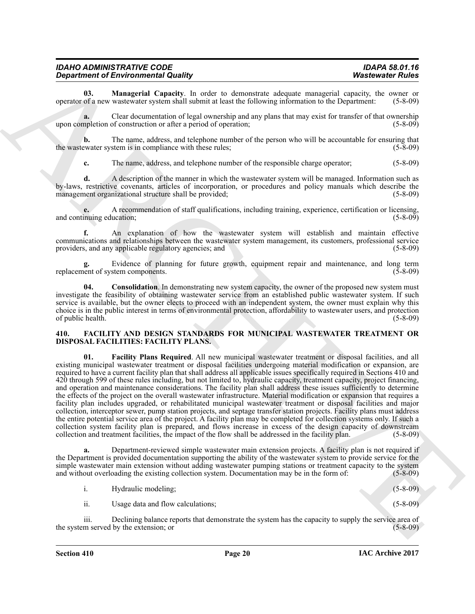| <b>IDAHO ADMINISTRATIVE CODE</b>           | <b>IDAPA 58.01.16</b>   |
|--------------------------------------------|-------------------------|
| <b>Department of Environmental Quality</b> | <b>Wastewater Rules</b> |

<span id="page-19-2"></span>**03. Managerial Capacity**. In order to demonstrate adequate managerial capacity, the owner or of a new wastewater system shall submit at least the following information to the Department: (5-8-09) operator of a new wastewater system shall submit at least the following information to the Department:

**a.** Clear documentation of legal ownership and any plans that may exist for transfer of that ownership upon completion of construction or after a period of operation; (5-8-09)

**b.** The name, address, and telephone number of the person who will be accountable for ensuring that evaluate system is in compliance with these rules; (5-8-09) the wastewater system is in compliance with these rules;

**c.** The name, address, and telephone number of the responsible charge operator; (5-8-09)

**d.** A description of the manner in which the wastewater system will be managed. Information such as by-laws, restrictive covenants, articles of incorporation, or procedures and policy manuals which describe the management organizational structure shall be provided;

**e.** A recommendation of staff qualifications, including training, experience, certification or licensing, and continuing education;

**f.** An explanation of how the wastewater system will establish and maintain effective communications and relationships between the wastewater system management, its customers, professional service<br>providers, and any applicable regulatory agencies; and (5-8-09) providers, and any applicable regulatory agencies; and

**g.** Evidence of planning for future growth, equipment repair and maintenance, and long term ent of system components. (5-8-09) replacement of system components.

<span id="page-19-1"></span>**04.** Consolidation. In demonstrating new system capacity, the owner of the proposed new system must investigate the feasibility of obtaining wastewater service from an established public wastewater system. If such service is available, but the owner elects to proceed with an independent system, the owner must explain why this choice is in the public interest in terms of environmental protection, affordability to wastewater users, and protection of public health. (5-8-09)

#### <span id="page-19-4"></span><span id="page-19-3"></span><span id="page-19-0"></span>**410. FACILITY AND DESIGN STANDARDS FOR MUNICIPAL WASTEWATER TREATMENT OR DISPOSAL FACILITIES: FACILITY PLANS.**

*Department of Environmental Counti***ty, and it is dependent stephet annotation (Water Chinese Counties and Systems Counties and Systems Counties and Systems Counties and Systems Counties and Systems Counties and Systems 01. Facility Plans Required**. All new municipal wastewater treatment or disposal facilities, and all existing municipal wastewater treatment or disposal facilities undergoing material modification or expansion, are required to have a current facility plan that shall address all applicable issues specifically required in Sections 410 and 420 through 599 of these rules including, but not limited to, hydraulic capacity, treatment capacity, project financing, and operation and maintenance considerations. The facility plan shall address these issues sufficiently to determine the effects of the project on the overall wastewater infrastructure. Material modification or expansion that requires a facility plan includes upgraded, or rehabilitated municipal wastewater treatment or disposal facilities and major collection, interceptor sewer, pump station projects, and septage transfer station projects. Facility plans must address the entire potential service area of the project. A facility plan may be completed for collection systems only. If such a collection system facility plan is prepared, and flows increase in excess of the design capacity of downstream collection and treatment facilities, the impact of the flow shall be addressed in the facility plan. (5-8-09) collection and treatment facilities, the impact of the flow shall be addressed in the facility plan.

**a.** Department-reviewed simple wastewater main extension projects. A facility plan is not required if the Department is provided documentation supporting the ability of the wastewater system to provide service for the simple wastewater main extension without adding wastewater pumping stations or treatment capacity to the system and without overloading the existing collection system. Documentation may be in the form of: (5-8-09) and without overloading the existing collection system. Documentation may be in the form of:

| Hydraulic modeling; | $(5 - 8 - 09)$ |
|---------------------|----------------|
|                     |                |

ii. Usage data and flow calculations; (5-8-09)

iii. Declining balance reports that demonstrate the system has the capacity to supply the service area of m served by the extension; or (5-8-09) the system served by the extension; or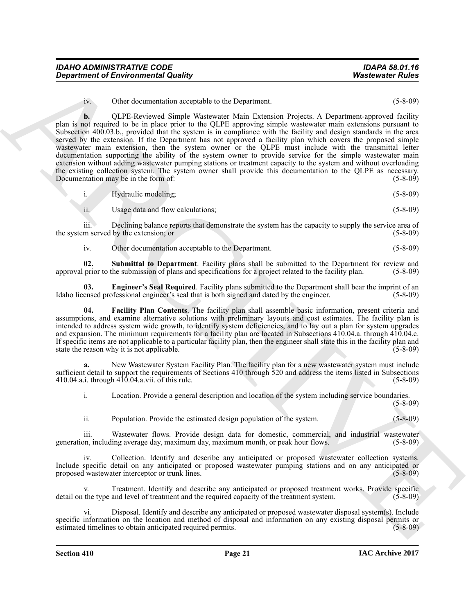| <b>IDAHO ADMINISTRATIVE CODE</b>           | <b>IDAPA 58.01.16</b>   |
|--------------------------------------------|-------------------------|
| <b>Department of Environmental Quality</b> | <b>Wastewater Rules</b> |

iv. Other documentation acceptable to the Department. (5-8-09)

*Department of Environmental Quality* **Watercome Follow**<br>
10. OLE decreases them <sup>1</sup> Watercome Follow<br>
20. OLE decreases them <sup>1</sup> Watercome Follow and 20. The component and the component and the component and the<br>
20. O **b.** OLPE-Reviewed Simple Wastewater Main Extension Projects. A Department-approved facility plan is not required to be in place prior to the QLPE approving simple wastewater main extensions pursuant to Subsection 400.03.b., provided that the system is in compliance with the facility and design standards in the area served by the extension. If the Department has not approved a facility plan which covers the proposed simple wastewater main extension, then the system owner or the QLPE must include with the transmittal letter documentation supporting the ability of the system owner to provide service for the simple wastewater main extension without adding wastewater pumping stations or treatment capacity to the system and without overloading the existing collection system. The system owner shall provide this documentation to the QLPE as necessary.<br>Documentation may be in the form of: (5-8-09) Documentation may be in the form of:

i. Hydraulic modeling; (5-8-09)

ii. Usage data and flow calculations; (5-8-09)

iii. Declining balance reports that demonstrate the system has the capacity to supply the service area of the system served by the extension; or (5-8-09) (5-8-09)

<span id="page-20-2"></span><span id="page-20-0"></span>iv. Other documentation acceptable to the Department. (5-8-09)

**02.** Submittal to Department. Facility plans shall be submitted to the Department for review and prior to the submission of plans and specifications for a project related to the facility plan. (5-8-09) approval prior to the submission of plans and specifications for a project related to the facility plan.

**03. Engineer's Seal Required**. Facility plans submitted to the Department shall bear the imprint of an ensed professional engineer's seal that is both signed and dated by the engineer. (5-8-09) Idaho licensed professional engineer's seal that is both signed and dated by the engineer.

<span id="page-20-1"></span>**04. Facility Plan Contents**. The facility plan shall assemble basic information, present criteria and assumptions, and examine alternative solutions with preliminary layouts and cost estimates. The facility plan is intended to address system wide growth, to identify system deficiencies, and to lay out a plan for system upgrades and expansion. The minimum requirements for a facility plan are located in Subsections 410.04.a. through 410.04.c. If specific items are not applicable to a particular facility plan, then the engineer shall state this in the facility plan and state the reason why it is not applicable. (5-8-09)

**a.** New Wastewater System Facility Plan. The facility plan for a new wastewater system must include sufficient detail to support the requirements of Sections 410 through 520 and address the items listed in Subsections 410.04.a.i. through 410.04.a.vii. of this rule. (5-8-09) 410.04.a.i. through  $410.04$ .a.vii. of this rule.

i. Location. Provide a general description and location of the system including service boundaries. (5-8-09)

ii. Population. Provide the estimated design population of the system. (5-8-09)

iii. Wastewater flows. Provide design data for domestic, commercial, and industrial wastewater on, including average day, maximum day, maximum month, or peak hour flows. (5-8-09) generation, including average day, maximum day, maximum month, or peak hour flows.

iv. Collection. Identify and describe any anticipated or proposed wastewater collection systems. Include specific detail on any anticipated or proposed wastewater pumping stations and on any anticipated or proposed wastewater interceptor or trunk lines.

v. Treatment. Identify and describe any anticipated or proposed treatment works. Provide specific detail on the type and level of treatment and the required capacity of the treatment system. (5-8-09)

vi. Disposal. Identify and describe any anticipated or proposed wastewater disposal system(s). Include specific information on the location and method of disposal and information on any existing disposal permits or<br>estimated timelines to obtain anticipated required permits. (5-8-09) estimated timelines to obtain anticipated required permits.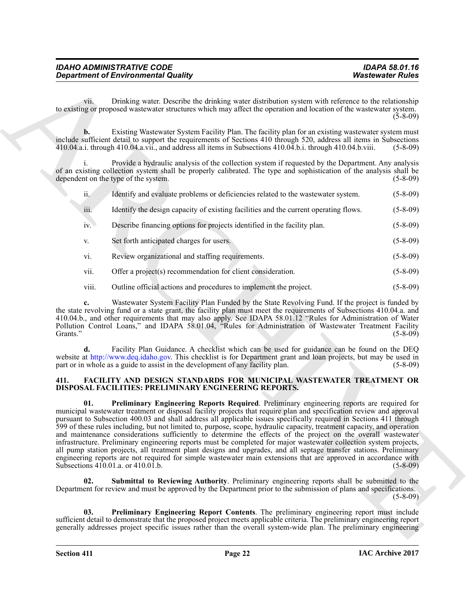| <b>IDAHO ADMINISTRATIVE CODE</b>           | <b>IDAPA 58.01.16</b>   |
|--------------------------------------------|-------------------------|
| <b>Department of Environmental Quality</b> | <b>Wastewater Rules</b> |

|                | <b>Department of Environmental Quality</b>                                                                                                                                                                                                                                                                                                                                                                                                                                                                                                                                                                                                                                                                                                                                                                                                                                                                                                                                                  | <b>Wastewater Rules</b> |
|----------------|---------------------------------------------------------------------------------------------------------------------------------------------------------------------------------------------------------------------------------------------------------------------------------------------------------------------------------------------------------------------------------------------------------------------------------------------------------------------------------------------------------------------------------------------------------------------------------------------------------------------------------------------------------------------------------------------------------------------------------------------------------------------------------------------------------------------------------------------------------------------------------------------------------------------------------------------------------------------------------------------|-------------------------|
| V11.           | Drinking water. Describe the drinking water distribution system with reference to the relationship<br>to existing or proposed wastewater structures which may affect the operation and location of the wastewater system.                                                                                                                                                                                                                                                                                                                                                                                                                                                                                                                                                                                                                                                                                                                                                                   | $(5-8-09)$              |
| b.             | Existing Wastewater System Facility Plan. The facility plan for an existing wastewater system must<br>include sufficient detail to support the requirements of Sections 410 through 520, address all items in Subsections<br>410.04.a.i. through 410.04.a.vii., and address all items in Subsections 410.04.b.i. through 410.04.b.viii.                                                                                                                                                                                                                                                                                                                                                                                                                                                                                                                                                                                                                                                     | $(5-8-09)$              |
|                | Provide a hydraulic analysis of the collection system if requested by the Department. Any analysis<br>of an existing collection system shall be properly calibrated. The type and sophistication of the analysis shall be<br>dependent on the type of the system.                                                                                                                                                                                                                                                                                                                                                                                                                                                                                                                                                                                                                                                                                                                           | $(5 - 8 - 09)$          |
| ii.            | Identify and evaluate problems or deficiencies related to the wastewater system.                                                                                                                                                                                                                                                                                                                                                                                                                                                                                                                                                                                                                                                                                                                                                                                                                                                                                                            | $(5-8-09)$              |
| iii.           | Identify the design capacity of existing facilities and the current operating flows.                                                                                                                                                                                                                                                                                                                                                                                                                                                                                                                                                                                                                                                                                                                                                                                                                                                                                                        | $(5-8-09)$              |
| iv.            | Describe financing options for projects identified in the facility plan.                                                                                                                                                                                                                                                                                                                                                                                                                                                                                                                                                                                                                                                                                                                                                                                                                                                                                                                    | $(5-8-09)$              |
| V.             | Set forth anticipated charges for users.                                                                                                                                                                                                                                                                                                                                                                                                                                                                                                                                                                                                                                                                                                                                                                                                                                                                                                                                                    | $(5-8-09)$              |
| vi.            | Review organizational and staffing requirements.                                                                                                                                                                                                                                                                                                                                                                                                                                                                                                                                                                                                                                                                                                                                                                                                                                                                                                                                            | $(5-8-09)$              |
| vii.           | Offer a project(s) recommendation for client consideration.                                                                                                                                                                                                                                                                                                                                                                                                                                                                                                                                                                                                                                                                                                                                                                                                                                                                                                                                 | $(5-8-09)$              |
| viii.          | Outline official actions and procedures to implement the project.                                                                                                                                                                                                                                                                                                                                                                                                                                                                                                                                                                                                                                                                                                                                                                                                                                                                                                                           | $(5-8-09)$              |
| c.<br>Grants." | Wastewater System Facility Plan Funded by the State Revolving Fund. If the project is funded by<br>the state revolving fund or a state grant, the facility plan must meet the requirements of Subsections 410.04.a. and<br>410.04.b., and other requirements that may also apply. See IDAPA 58.01.12 "Rules for Administration of Water<br>Pollution Control Loans," and IDAPA 58.01.04, "Rules for Administration of Wastewater Treatment Facility<br>Facility Plan Guidance. A checklist which can be used for guidance can be found on the DEQ                                                                                                                                                                                                                                                                                                                                                                                                                                           | $(5-8-09)$              |
|                | website at http://www.deq.idaho.gov. This checklist is for Department grant and loan projects, but may be used in<br>part or in whole as a guide to assist in the development of any facility plan.                                                                                                                                                                                                                                                                                                                                                                                                                                                                                                                                                                                                                                                                                                                                                                                         | $(5-8-09)$              |
| 411.           | <b>FACILITY AND DESIGN STANDARDS FOR MUNICIPAL WASTEWATER TREATMENT OR</b><br>DISPOSAL FACILITIES: PRELIMINARY ENGINEERING REPORTS.                                                                                                                                                                                                                                                                                                                                                                                                                                                                                                                                                                                                                                                                                                                                                                                                                                                         |                         |
| 01.            | Preliminary Engineering Reports Required. Preliminary engineering reports are required for<br>municipal wastewater treatment or disposal facility projects that require plan and specification review and approval<br>pursuant to Subsection 400.03 and shall address all applicable issues specifically required in Sections 411 through<br>599 of these rules including, but not limited to, purpose, scope, hydraulic capacity, treatment capacity, and operation<br>and maintenance considerations sufficiently to determine the effects of the project on the overall wastewater<br>infrastructure. Preliminary engineering reports must be completed for major wastewater collection system projects,<br>all pump station projects, all treatment plant designs and upgrades, and all septage transfer stations. Preliminary<br>engineering reports are not required for simple wastewater main extensions that are approved in accordance with<br>Subsections 410.01.a. or 410.01.b. | $(5 - 8 - 09)$          |
| 02.            | Submittal to Reviewing Authority. Preliminary engineering reports shall be submitted to the<br>Department for review and must be approved by the Department prior to the submission of plans and specifications.                                                                                                                                                                                                                                                                                                                                                                                                                                                                                                                                                                                                                                                                                                                                                                            | $(5-8-09)$              |
| 03.            | Preliminary Engineering Report Contents. The preliminary engineering report must include<br>sufficient detail to demonstrate that the proposed project meets applicable criteria. The preliminary engineering report<br>generally addresses project specific issues rather than the overall system-wide plan. The preliminary engineering                                                                                                                                                                                                                                                                                                                                                                                                                                                                                                                                                                                                                                                   |                         |

#### <span id="page-21-4"></span><span id="page-21-3"></span><span id="page-21-2"></span><span id="page-21-1"></span><span id="page-21-0"></span>**411. FACILITY AND DESIGN STANDARDS FOR MUNICIPAL WASTEWATER TREATMENT OR DISPOSAL FACILITIES: PRELIMINARY ENGINEERING REPORTS.**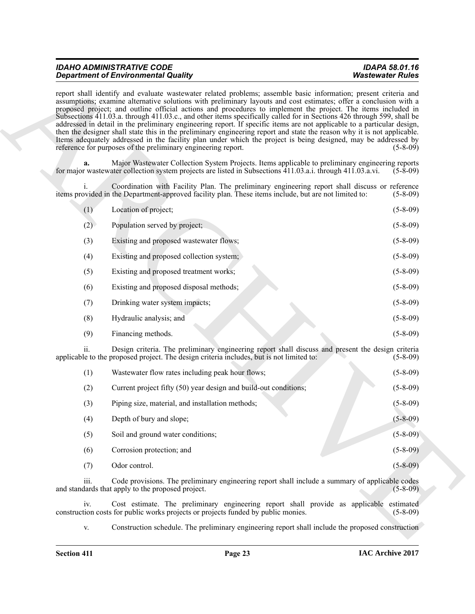| <b>IDAHO ADMINISTRATIVE CODE</b>           | <b>IDAPA 58.01.16</b>   |
|--------------------------------------------|-------------------------|
| <b>Department of Environmental Quality</b> | <b>Wastewater Rules</b> |

| <b>Department of Environmental Quality</b>                                                                                                                                                                                                                                                                                                                                                                                                                                                                                                                                                                                                                                                                                                                                                                                                                                                                                | <b>Wastewater Rules</b> |
|---------------------------------------------------------------------------------------------------------------------------------------------------------------------------------------------------------------------------------------------------------------------------------------------------------------------------------------------------------------------------------------------------------------------------------------------------------------------------------------------------------------------------------------------------------------------------------------------------------------------------------------------------------------------------------------------------------------------------------------------------------------------------------------------------------------------------------------------------------------------------------------------------------------------------|-------------------------|
| report shall identify and evaluate wastewater related problems; assemble basic information; present criteria and<br>assumptions; examine alternative solutions with preliminary layouts and cost estimates; offer a conclusion with a<br>proposed project; and outline official actions and procedures to implement the project. The items included in<br>Subsections 411.03.a. through 411.03.c., and other items specifically called for in Sections 426 through 599, shall be<br>addressed in detail in the preliminary engineering report. If specific items are not applicable to a particular design,<br>then the designer shall state this in the preliminary engineering report and state the reason why it is not applicable.<br>Items adequately addressed in the facility plan under which the project is being designed, may be addressed by<br>reference for purposes of the preliminary engineering report. | $(5-8-09)$              |
| Major Wastewater Collection System Projects. Items applicable to preliminary engineering reports<br>a.<br>for major wastewater collection system projects are listed in Subsections 411.03.a.i. through 411.03.a.vi.                                                                                                                                                                                                                                                                                                                                                                                                                                                                                                                                                                                                                                                                                                      | $(5-8-09)$              |
| Coordination with Facility Plan. The preliminary engineering report shall discuss or reference<br>i.<br>items provided in the Department-approved facility plan. These items include, but are not limited to:                                                                                                                                                                                                                                                                                                                                                                                                                                                                                                                                                                                                                                                                                                             | $(5-8-09)$              |
| Location of project;<br>(1)                                                                                                                                                                                                                                                                                                                                                                                                                                                                                                                                                                                                                                                                                                                                                                                                                                                                                               | $(5-8-09)$              |
| Population served by project;<br>(2)                                                                                                                                                                                                                                                                                                                                                                                                                                                                                                                                                                                                                                                                                                                                                                                                                                                                                      | $(5-8-09)$              |
| (3)<br>Existing and proposed wastewater flows;                                                                                                                                                                                                                                                                                                                                                                                                                                                                                                                                                                                                                                                                                                                                                                                                                                                                            | $(5-8-09)$              |
| (4)<br>Existing and proposed collection system;                                                                                                                                                                                                                                                                                                                                                                                                                                                                                                                                                                                                                                                                                                                                                                                                                                                                           | $(5-8-09)$              |
| (5)<br>Existing and proposed treatment works;                                                                                                                                                                                                                                                                                                                                                                                                                                                                                                                                                                                                                                                                                                                                                                                                                                                                             | $(5 - 8 - 09)$          |
| (6)<br>Existing and proposed disposal methods;                                                                                                                                                                                                                                                                                                                                                                                                                                                                                                                                                                                                                                                                                                                                                                                                                                                                            | $(5-8-09)$              |
| Drinking water system impacts;<br>(7)                                                                                                                                                                                                                                                                                                                                                                                                                                                                                                                                                                                                                                                                                                                                                                                                                                                                                     | $(5-8-09)$              |
| (8)<br>Hydraulic analysis; and                                                                                                                                                                                                                                                                                                                                                                                                                                                                                                                                                                                                                                                                                                                                                                                                                                                                                            | $(5-8-09)$              |
| (9)<br>Financing methods.                                                                                                                                                                                                                                                                                                                                                                                                                                                                                                                                                                                                                                                                                                                                                                                                                                                                                                 | $(5-8-09)$              |
| Design criteria. The preliminary engineering report shall discuss and present the design criteria<br>11.<br>applicable to the proposed project. The design criteria includes, but is not limited to:                                                                                                                                                                                                                                                                                                                                                                                                                                                                                                                                                                                                                                                                                                                      | $(5-8-09)$              |
| Wastewater flow rates including peak hour flows;<br>(1)                                                                                                                                                                                                                                                                                                                                                                                                                                                                                                                                                                                                                                                                                                                                                                                                                                                                   | $(5-8-09)$              |
| (2)<br>Current project fifty (50) year design and build-out conditions;                                                                                                                                                                                                                                                                                                                                                                                                                                                                                                                                                                                                                                                                                                                                                                                                                                                   | $(5-8-09)$              |
| (3)<br>Piping size, material, and installation methods;                                                                                                                                                                                                                                                                                                                                                                                                                                                                                                                                                                                                                                                                                                                                                                                                                                                                   | $(5 - 8 - 09)$          |
| (4)<br>Depth of bury and slope;                                                                                                                                                                                                                                                                                                                                                                                                                                                                                                                                                                                                                                                                                                                                                                                                                                                                                           | $(5 - 8 - 09)$          |
| (5)<br>Soil and ground water conditions;                                                                                                                                                                                                                                                                                                                                                                                                                                                                                                                                                                                                                                                                                                                                                                                                                                                                                  | $(5 - 8 - 09)$          |
| (6)<br>Corrosion protection; and                                                                                                                                                                                                                                                                                                                                                                                                                                                                                                                                                                                                                                                                                                                                                                                                                                                                                          | $(5-8-09)$              |
| Odor control.<br>(7)                                                                                                                                                                                                                                                                                                                                                                                                                                                                                                                                                                                                                                                                                                                                                                                                                                                                                                      | $(5 - 8 - 09)$          |
| iii.<br>Code provisions. The preliminary engineering report shall include a summary of applicable codes<br>and standards that apply to the proposed project.                                                                                                                                                                                                                                                                                                                                                                                                                                                                                                                                                                                                                                                                                                                                                              | $(5 - 8 - 09)$          |
| Cost estimate. The preliminary engineering report shall provide as applicable<br>iv.<br>construction costs for public works projects or projects funded by public monies.                                                                                                                                                                                                                                                                                                                                                                                                                                                                                                                                                                                                                                                                                                                                                 | estimated<br>$(5-8-09)$ |
| Construction schedule. The preliminary engineering report shall include the proposed construction<br>V.                                                                                                                                                                                                                                                                                                                                                                                                                                                                                                                                                                                                                                                                                                                                                                                                                   |                         |

| (1) | Wastewater flow rates including peak hour flows;                 | $(5-8-09)$     |
|-----|------------------------------------------------------------------|----------------|
| (2) | Current project fifty (50) year design and build-out conditions; | $(5 - 8 - 09)$ |
| (3) | Piping size, material, and installation methods;                 | $(5-8-09)$     |
| (4) | Depth of bury and slope;                                         | $(5 - 8 - 09)$ |
| (5) | Soil and ground water conditions;                                | $(5-8-09)$     |
| (6) | Corrosion protection; and                                        | $(5 - 8 - 09)$ |
| (7) | Odor control.                                                    | $(5-8-09)$     |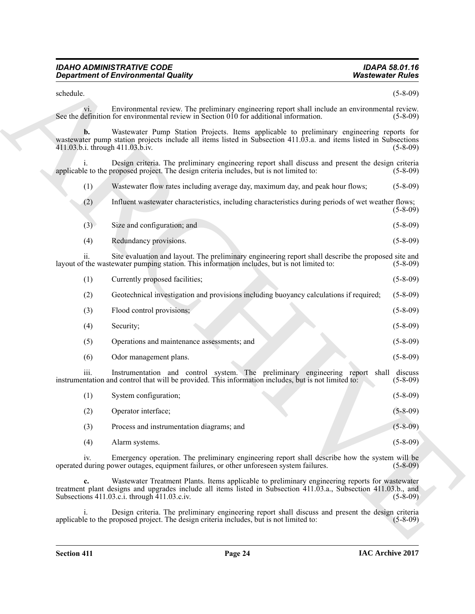| <b>IDAHO ADMINISTRATIVE CODE</b>           |  |
|--------------------------------------------|--|
| <b>Department of Environmental Quality</b> |  |

| (1) |  | Wastewater flow rates including average day, maximum day, and peak hour flows; |  |  |  | $(5-8-09)$ |
|-----|--|--------------------------------------------------------------------------------|--|--|--|------------|
|-----|--|--------------------------------------------------------------------------------|--|--|--|------------|

| (3) | Size and configuration; and | $(5-8-09)$     |
|-----|-----------------------------|----------------|
| (4) | Redundancy provisions.      | $(5 - 8 - 09)$ |

| <b>Department of Environmental Quality</b>                                                                                                                                                                                                                                | <b>Wastewater Rules</b> |
|---------------------------------------------------------------------------------------------------------------------------------------------------------------------------------------------------------------------------------------------------------------------------|-------------------------|
| schedule.                                                                                                                                                                                                                                                                 | $(5 - 8 - 09)$          |
| Environmental review. The preliminary engineering report shall include an environmental review.<br>$\overline{\mathbf{v}}$ .<br>See the definition for environmental review in Section 010 for additional information.                                                    | $(5 - 8 - 09)$          |
| Wastewater Pump Station Projects. Items applicable to preliminary engineering reports for<br>wastewater pump station projects include all items listed in Subsection 411.03.a. and items listed in Subsections<br>411.03.b.i. through 411.03.b.iv.                        | $(5 - 8 - 09)$          |
| Design criteria. The preliminary engineering report shall discuss and present the design criteria<br>applicable to the proposed project. The design criteria includes, but is not limited to:                                                                             | $(5-8-09)$              |
| Wastewater flow rates including average day, maximum day, and peak hour flows;<br>(1)                                                                                                                                                                                     | $(5-8-09)$              |
| (2)<br>Influent was tewater characteristics, including characteristics during periods of wet weather flows;                                                                                                                                                               | $(5-8-09)$              |
| Size and configuration; and<br>(3)                                                                                                                                                                                                                                        | $(5 - 8 - 09)$          |
| (4)<br>Redundancy provisions.                                                                                                                                                                                                                                             | $(5-8-09)$              |
| Site evaluation and layout. The preliminary engineering report shall describe the proposed site and<br>ii.<br>layout of the wastewater pumping station. This information includes, but is not limited to:                                                                 | $(5-8-09)$              |
| (1)<br>Currently proposed facilities;                                                                                                                                                                                                                                     | $(5-8-09)$              |
| Geotechnical investigation and provisions including buoyancy calculations if required;<br>(2)                                                                                                                                                                             | $(5-8-09)$              |
| (3)<br>Flood control provisions;                                                                                                                                                                                                                                          | $(5 - 8 - 09)$          |
| (4)<br>Security;                                                                                                                                                                                                                                                          | $(5 - 8 - 09)$          |
| Operations and maintenance assessments; and<br>(5)                                                                                                                                                                                                                        | $(5-8-09)$              |
| (6)<br>Odor management plans.                                                                                                                                                                                                                                             | $(5 - 8 - 09)$          |
| Instrumentation and control system. The preliminary engineering report shall discuss<br>iii.<br>instrumentation and control that will be provided. This information includes, but is not limited to:                                                                      | $(5-8-09)$              |
| (1)<br>System configuration;                                                                                                                                                                                                                                              | $(5-8-09)$              |
| (2)<br>Operator interface;                                                                                                                                                                                                                                                | $(5 - 8 - 09)$          |
| (3)<br>Process and instrumentation diagrams; and                                                                                                                                                                                                                          | $(5 - 8 - 09)$          |
| (4)<br>Alarm systems.                                                                                                                                                                                                                                                     | $(5 - 8 - 09)$          |
| Emergency operation. The preliminary engineering report shall describe how the system will be<br>iv.<br>operated during power outages, equipment failures, or other unforeseen system failures.                                                                           | $(5-8-09)$              |
| Wastewater Treatment Plants. Items applicable to preliminary engineering reports for wastewater<br>c.<br>treatment plant designs and upgrades include all items listed in Subsection 411.03.a., Subsection 411.03.b., and<br>Subsections 411.03.c.i. through 411.03.c.iv. | $(5-8-09)$              |
| Design criteria. The preliminary engineering report shall discuss and present the design criteria<br>$\mathbf{1}$ .<br>applicable to the proposed project. The design criteria includes, but is not limited to:                                                           | $(5-8-09)$              |
|                                                                                                                                                                                                                                                                           |                         |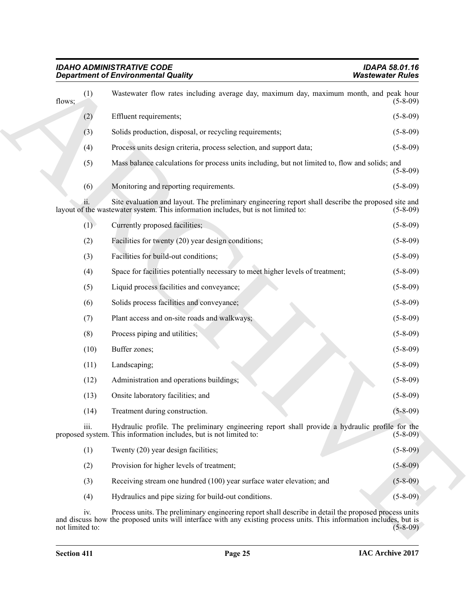|                        | <b>Department of Environmental Quality</b>                                                                                                                                                                                    | <b>Wastewater Rules</b> |
|------------------------|-------------------------------------------------------------------------------------------------------------------------------------------------------------------------------------------------------------------------------|-------------------------|
| (1)<br>flows;          | Wastewater flow rates including average day, maximum day, maximum month, and peak hour                                                                                                                                        | $(5 - 8 - 09)$          |
| (2)                    | Effluent requirements;                                                                                                                                                                                                        | $(5 - 8 - 09)$          |
| (3)                    | Solids production, disposal, or recycling requirements;                                                                                                                                                                       | $(5-8-09)$              |
| (4)                    | Process units design criteria, process selection, and support data;                                                                                                                                                           | $(5 - 8 - 09)$          |
| (5)                    | Mass balance calculations for process units including, but not limited to, flow and solids; and                                                                                                                               | $(5 - 8 - 09)$          |
| (6)                    | Monitoring and reporting requirements.                                                                                                                                                                                        | $(5 - 8 - 09)$          |
| 11.                    | Site evaluation and layout. The preliminary engineering report shall describe the proposed site and<br>layout of the wastewater system. This information includes, but is not limited to:                                     | $(5-8-09)$              |
| (1)                    | Currently proposed facilities;                                                                                                                                                                                                | $(5-8-09)$              |
| (2)                    | Facilities for twenty (20) year design conditions;                                                                                                                                                                            | $(5-8-09)$              |
| (3)                    | Facilities for build-out conditions;                                                                                                                                                                                          | $(5-8-09)$              |
| (4)                    | Space for facilities potentially necessary to meet higher levels of treatment;                                                                                                                                                | $(5-8-09)$              |
| (5)                    | Liquid process facilities and conveyance;                                                                                                                                                                                     | $(5-8-09)$              |
| (6)                    | Solids process facilities and conveyance;                                                                                                                                                                                     | $(5-8-09)$              |
| (7)                    | Plant access and on-site roads and walkways;                                                                                                                                                                                  | $(5-8-09)$              |
| (8)                    | Process piping and utilities;                                                                                                                                                                                                 | $(5-8-09)$              |
| (10)                   | Buffer zones;                                                                                                                                                                                                                 | $(5-8-09)$              |
| (11)                   | Landscaping;                                                                                                                                                                                                                  | $(5 - 8 - 09)$          |
| (12)                   | Administration and operations buildings;                                                                                                                                                                                      | $(5-8-09)$              |
| (13)                   | Onsite laboratory facilities; and                                                                                                                                                                                             | $(5-8-09)$              |
| (14)                   | Treatment during construction.                                                                                                                                                                                                | $(5 - 8 - 09)$          |
| iii.                   | Hydraulic profile. The preliminary engineering report shall provide a hydraulic profile for the<br>proposed system. This information includes, but is not limited to:                                                         | $(5-8-09)$              |
| (1)                    | Twenty (20) year design facilities;                                                                                                                                                                                           | $(5-8-09)$              |
| (2)                    | Provision for higher levels of treatment;                                                                                                                                                                                     | $(5 - 8 - 09)$          |
| (3)                    | Receiving stream one hundred (100) year surface water elevation; and                                                                                                                                                          | $(5 - 8 - 09)$          |
| (4)                    | Hydraulics and pipe sizing for build-out conditions.                                                                                                                                                                          | $(5 - 8 - 09)$          |
| iv.<br>not limited to: | Process units. The preliminary engineering report shall describe in detail the proposed process units<br>and discuss how the proposed units will interface with any existing process units. This information includes, but is | $(5-8-09)$              |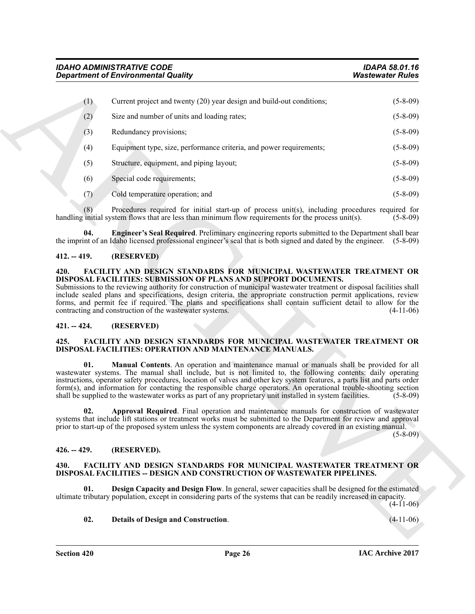| <b>Department of Environmental Quality</b> |                                                                                                                                                                                                                                                                                                                                                                                                                                                                                                                                                                                                                                                                                                                                 | <b>Wastewater Rules</b>      |  |
|--------------------------------------------|---------------------------------------------------------------------------------------------------------------------------------------------------------------------------------------------------------------------------------------------------------------------------------------------------------------------------------------------------------------------------------------------------------------------------------------------------------------------------------------------------------------------------------------------------------------------------------------------------------------------------------------------------------------------------------------------------------------------------------|------------------------------|--|
| (1)                                        | Current project and twenty (20) year design and build-out conditions;                                                                                                                                                                                                                                                                                                                                                                                                                                                                                                                                                                                                                                                           | $(5-8-09)$                   |  |
| (2)                                        | Size and number of units and loading rates;                                                                                                                                                                                                                                                                                                                                                                                                                                                                                                                                                                                                                                                                                     | $(5-8-09)$                   |  |
| (3)                                        | Redundancy provisions;                                                                                                                                                                                                                                                                                                                                                                                                                                                                                                                                                                                                                                                                                                          | $(5 - 8 - 09)$               |  |
| (4)                                        | Equipment type, size, performance criteria, and power requirements;                                                                                                                                                                                                                                                                                                                                                                                                                                                                                                                                                                                                                                                             | $(5-8-09)$                   |  |
| (5)                                        | Structure, equipment, and piping layout;                                                                                                                                                                                                                                                                                                                                                                                                                                                                                                                                                                                                                                                                                        | $(5-8-09)$                   |  |
| (6)                                        | Special code requirements;                                                                                                                                                                                                                                                                                                                                                                                                                                                                                                                                                                                                                                                                                                      | $(5-8-09)$                   |  |
| (7)                                        | Cold temperature operation; and                                                                                                                                                                                                                                                                                                                                                                                                                                                                                                                                                                                                                                                                                                 | $(5-8-09)$                   |  |
| (8)                                        | Procedures required for initial start-up of process unit(s), including procedures required for<br>handling initial system flows that are less than minimum flow requirements for the process unit(s).                                                                                                                                                                                                                                                                                                                                                                                                                                                                                                                           | $(5-8-09)$                   |  |
| 04.                                        | Engineer's Seal Required. Preliminary engineering reports submitted to the Department shall bear<br>the imprint of an Idaho licensed professional engineer's seal that is both signed and dated by the engineer. (5-8-09)                                                                                                                                                                                                                                                                                                                                                                                                                                                                                                       |                              |  |
| $412. - 419.$                              | (RESERVED)                                                                                                                                                                                                                                                                                                                                                                                                                                                                                                                                                                                                                                                                                                                      |                              |  |
|                                            | include sealed plans and specifications, design criteria, the appropriate construction permit applications, review<br>forms, and permit fee if required. The plans and specifications shall contain sufficient detail to allow for the                                                                                                                                                                                                                                                                                                                                                                                                                                                                                          |                              |  |
| $421. - 424.$<br>425.                      | contracting and construction of the wastewater systems.<br>(RESERVED)<br>FACILITY AND DESIGN STANDARDS FOR MUNICIPAL WASTEWATER TREATMENT OR                                                                                                                                                                                                                                                                                                                                                                                                                                                                                                                                                                                    | $(4-11-06)$                  |  |
| 01.<br>02.                                 | DISPOSAL FACILITIES: OPERATION AND MAINTENANCE MANUALS.<br>Manual Contents. An operation and maintenance manual or manuals shall be provided for all<br>wastewater systems. The manual shall include, but is not limited to, the following contents: daily operating<br>instructions, operator safety procedures, location of valves and other key system features, a parts list and parts order<br>form(s), and information for contacting the responsible charge operators. An operational trouble-shooting section<br>shall be supplied to the wastewater works as part of any proprietary unit installed in system facilities.<br>Approval Required. Final operation and maintenance manuals for construction of wastewater |                              |  |
|                                            | systems that include lift stations or treatment works must be submitted to the Department for review and approval<br>prior to start-up of the proposed system unless the system components are already covered in an existing manual.                                                                                                                                                                                                                                                                                                                                                                                                                                                                                           | $(5-8-09)$<br>$(5 - 8 - 09)$ |  |
| $426. - 429.$                              | (RESERVED).                                                                                                                                                                                                                                                                                                                                                                                                                                                                                                                                                                                                                                                                                                                     |                              |  |
| 430.                                       | FACILITY AND DESIGN STANDARDS FOR MUNICIPAL WASTEWATER TREATMENT OR<br><b>DISPOSAL FACILITIES -- DESIGN AND CONSTRUCTION OF WASTEWATER PIPELINES.</b>                                                                                                                                                                                                                                                                                                                                                                                                                                                                                                                                                                           |                              |  |
| 01.                                        | <b>Design Capacity and Design Flow.</b> In general, sewer capacities shall be designed for the estimated<br>ultimate tributary population, except in considering parts of the systems that can be readily increased in capacity.                                                                                                                                                                                                                                                                                                                                                                                                                                                                                                | $(4-11-06)$                  |  |

#### <span id="page-25-12"></span><span id="page-25-0"></span>**412. -- 419. (RESERVED)**

#### <span id="page-25-13"></span><span id="page-25-1"></span>**420. FACILITY AND DESIGN STANDARDS FOR MUNICIPAL WASTEWATER TREATMENT OR DISPOSAL FACILITIES: SUBMISSION OF PLANS AND SUPPORT DOCUMENTS.**

#### <span id="page-25-2"></span>**421. -- 424. (RESERVED)**

#### <span id="page-25-11"></span><span id="page-25-9"></span><span id="page-25-3"></span>**425. FACILITY AND DESIGN STANDARDS FOR MUNICIPAL WASTEWATER TREATMENT OR DISPOSAL FACILITIES: OPERATION AND MAINTENANCE MANUALS.**

#### <span id="page-25-10"></span><span id="page-25-4"></span>**426. -- 429. (RESERVED).**

#### <span id="page-25-5"></span>**430. FACILITY AND DESIGN STANDARDS FOR MUNICIPAL WASTEWATER TREATMENT OR DISPOSAL FACILITIES -- DESIGN AND CONSTRUCTION OF WASTEWATER PIPELINES.**

#### <span id="page-25-8"></span><span id="page-25-7"></span><span id="page-25-6"></span>**02. Details of Design and Construction**. (4-11-06)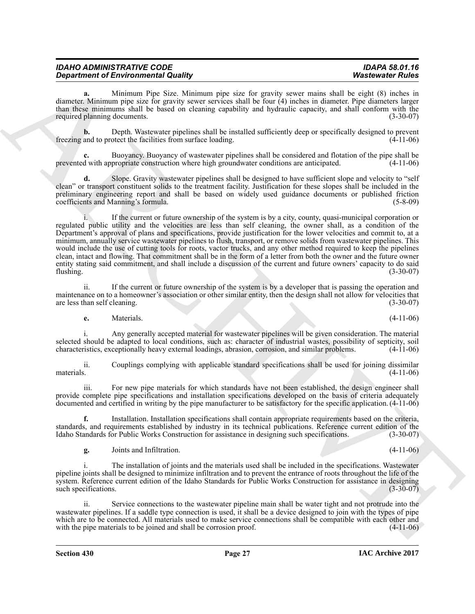| IDAHO ADMINISTRATIVE CODE                  | <b>IDAPA 58.01.16</b>   |
|--------------------------------------------|-------------------------|
| <b>Department of Environmental Quality</b> | <b>Wastewater Rules</b> |

**a.** Minimum Pipe Size. Minimum pipe size for gravity sewer mains shall be eight (8) inches in diameter. Minimum pipe size for gravity sewer services shall be four (4) inches in diameter. Pipe diameters larger than these minimums shall be based on cleaning capability and hydraulic capacity, and shall conform with the required planning documents. (3-30-07)

**b.** Depth. Wastewater pipelines shall be installed sufficiently deep or specifically designed to prevent and to protect the facilities from surface loading. (4-11-06) freezing and to protect the facilities from surface loading.

**c.** Buoyancy. Buoyancy of wastewater pipelines shall be considered and flotation of the pipe shall be prevented with appropriate construction where high groundwater conditions are anticipated. (4-11-06)

**d.** Slope. Gravity wastewater pipelines shall be designed to have sufficient slope and velocity to "self clean" or transport constituent solids to the treatment facility. Justification for these slopes shall be included in the preliminary engineering report and shall be based on widely used guidance documents or published friction coefficients and Manning's formula. (5-8-09)

**Department of Environmental County, the same space of the same function of the same space of Eucklin and the same space of the same space of the same space of the same space of the same space of the same space of the sam** i. If the current or future ownership of the system is by a city, county, quasi-municipal corporation or regulated public utility and the velocities are less than self cleaning, the owner shall, as a condition of the Department's approval of plans and specifications, provide justification for the lower velocities and commit to, at a minimum, annually service wastewater pipelines to flush, transport, or remove solids from wastewater pipelines. This would include the use of cutting tools for roots, vactor trucks, and any other method required to keep the pipelines clean, intact and flowing. That commitment shall be in the form of a letter from both the owner and the future owner entity stating said commitment, and shall include a discussion of the current and future owners' capacity to do said  $f$ lushing.  $(3-30-07)$ 

ii. If the current or future ownership of the system is by a developer that is passing the operation and maintenance on to a homeowner's association or other similar entity, then the design shall not allow for velocities that are less than self cleaning. (3-30-07) are less than self cleaning.

**e.** Materials. (4-11-06)

i. Any generally accepted material for wastewater pipelines will be given consideration. The material selected should be adapted to local conditions, such as: character of industrial wastes, possibility of septicity, soil characteristics, exceptionally heavy external loadings, abrasion, corrosion, and similar problems. (4-11-06)

ii. Couplings complying with applicable standard specifications shall be used for joining dissimilar materials. (4-11-06)

For new pipe materials for which standards have not been established, the design engineer shall provide complete pipe specifications and installation specifications developed on the basis of criteria adequately documented and certified in writing by the pipe manufacturer to be satisfactory for the specific application. (4-11-06)

**f.** Installation. Installation specifications shall contain appropriate requirements based on the criteria, standards, and requirements established by industry in its technical publications. Reference current edition of the Idaho Standards for Public Works Construction for assistance in designing such specifications. (3-30-07) Idaho Standards for Public Works Construction for assistance in designing such specifications.

**g.** Joints and Infiltration. (4-11-06)

i. The installation of joints and the materials used shall be included in the specifications. Wastewater pipeline joints shall be designed to minimize infiltration and to prevent the entrance of roots throughout the life of the system. Reference current edition of the Idaho Standards for Public Works Construction for assistance in designing such specifications. (3-30-07)

ii. Service connections to the wastewater pipeline main shall be water tight and not protrude into the wastewater pipelines. If a saddle type connection is used, it shall be a device designed to join with the types of pipe which are to be connected. All materials used to make service connections shall be compatible with each other and with the pipe materials to be joined and shall be corrosion proof.  $(4-11-06)$ with the pipe materials to be joined and shall be corrosion proof.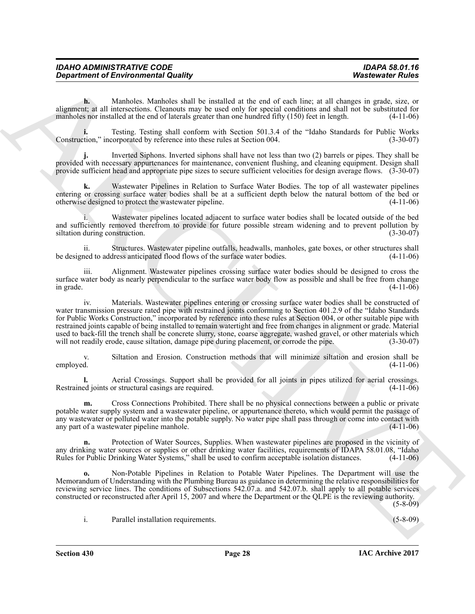| <b>IDAHO ADMINISTRATIVE CODE</b>           | IDAPA 58.01.16          |
|--------------------------------------------|-------------------------|
| <b>Department of Environmental Quality</b> | <b>Wastewater Rules</b> |

**h.** Manholes. Manholes shall be installed at the end of each line; at all changes in grade, size, or alignment; at all intersections. Cleanouts may be used only for special conditions and shall not be substituted for manholes nor installed at the end of laterals greater than one hundred fifty (150) feet in length. (4-11-06)

Testing. Testing shall conform with Section 501.3.4 of the "Idaho Standards for Public Works corporated by reference into these rules at Section 004. (3-30-07) Construction," incorporated by reference into these rules at Section 004.

**j.** Inverted Siphons. Inverted siphons shall have not less than two (2) barrels or pipes. They shall be provided with necessary appurtenances for maintenance, convenient flushing, and cleaning equipment. Design shall provide sufficient head and appropriate pipe sizes to secure sufficient velocities for design average flows. (3-30-07)

**k.** Wastewater Pipelines in Relation to Surface Water Bodies. The top of all wastewater pipelines entering or crossing surface water bodies shall be at a sufficient depth below the natural bottom of the bed or otherwise designed to protect the wastewater pipeline. (4-11-06)

i. Wastewater pipelines located adjacent to surface water bodies shall be located outside of the bed and sufficiently removed therefrom to provide for future possible stream widening and to prevent pollution by siltation during construction. (3-30-07)

ii. Structures. Wastewater pipeline outfalls, headwalls, manholes, gate boxes, or other structures shall be designed to address anticipated flood flows of the surface water bodies.

iii. Alignment. Wastewater pipelines crossing surface water bodies should be designed to cross the surface water body as nearly perpendicular to the surface water body flow as possible and shall be free from change<br>(4-11-06) (4-11-06) in grade.  $(4-11-06)$ 

**Department of Environmental Quality<br>
Spacehood of Environmental Quality<br>
Spacehood of Environmental Quality<br>
Spacehood Additional Spacehood Additional Spacehood Additional Spacehood Additional Spacehood Additional Spaceh** iv. Materials. Wastewater pipelines entering or crossing surface water bodies shall be constructed of water transmission pressure rated pipe with restrained joints conforming to Section 401.2.9 of the "Idaho Standards" for Public Works Construction," incorporated by reference into these rules at Section 004, or other suitable pipe with restrained joints capable of being installed to remain watertight and free from changes in alignment or grade. Material used to back-fill the trench shall be concrete slurry, stone, coarse aggregate, washed gravel, or other materials which will not readily erode, cause siltation, damage pipe during placement, or corrode the pipe.  $(3-30-07)$ 

v. Siltation and Erosion. Construction methods that will minimize siltation and erosion shall be employed. (4-11-06)

**l.** Aerial Crossings. Support shall be provided for all joints in pipes utilized for aerial crossings. A equined in pipes utilized for aerial crossings. (4-11-06) Restrained joints or structural casings are required.

**m.** Cross Connections Prohibited. There shall be no physical connections between a public or private potable water supply system and a wastewater pipeline, or appurtenance thereto, which would permit the passage of any wastewater or polluted water into the potable supply. No water pipe shall pass through or come into contact with any part of a wastewater pipeline manhole. (4-11-06) any part of a wastewater pipeline manhole.

**n.** Protection of Water Sources, Supplies. When wastewater pipelines are proposed in the vicinity of any drinking water sources or supplies or other drinking water facilities, requirements of IDAPA 58.01.08, "Idaho Rules for Public Drinking Water Systems," shall be used to confirm acceptable isolation distances. (4-11-06)

**o.** Non-Potable Pipelines in Relation to Potable Water Pipelines. The Department will use the Memorandum of Understanding with the Plumbing Bureau as guidance in determining the relative responsibilities for reviewing service lines. The conditions of Subsections 542.07.a. and 542.07.b. shall apply to all potable services constructed or reconstructed after April 15, 2007 and where the Department or the QLPE is the reviewing authority.

(5-8-09)

i. Parallel installation requirements. (5-8-09)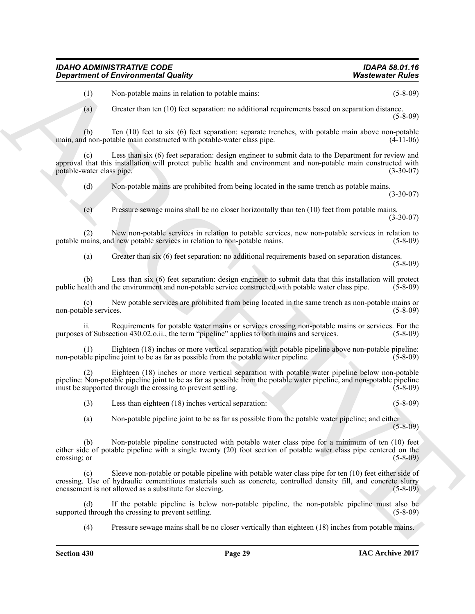(1) Non-potable mains in relation to potable mains: (5-8-09)

(a) Greater than ten (10) feet separation: no additional requirements based on separation distance. (5-8-09)

(b) Ten (10) feet to six (6) feet separation: separate trenches, with potable main above non-potable main, and non-potable main constructed with potable-water class pipe.

(c) Less than six (6) feet separation: design engineer to submit data to the Department for review and approval that this installation will protect public health and environment and non-potable main constructed with potable-water class pipe. (3-30-07) potable-water class pipe.

(d) Non-potable mains are prohibited from being located in the same trench as potable mains.

(3-30-07)

(e) Pressure sewage mains shall be no closer horizontally than ten (10) feet from potable mains. (3-30-07)

(2) New non-potable services in relation to potable services, new non-potable services in relation to potable mains, and new potable services in relation to non-potable mains.

(a) Greater than six (6) feet separation: no additional requirements based on separation distances. (5-8-09)

(b) Less than six (6) feet separation: design engineer to submit data that this installation will protect calth and the environment and non-potable service constructed with potable water class pipe. (5-8-09) public health and the environment and non-potable service constructed with potable water class pipe. (5-8-09)

(c) New potable services are prohibited from being located in the same trench as non-potable mains or non-potable services.

ii. Requirements for potable water mains or services crossing non-potable mains or services. For the of Subsection 430.02.o.ii., the term "pipeline" applies to both mains and services. (5-8-09) purposes of Subsection 430.02.o.ii., the term "pipeline" applies to both mains and services.

(1) Eighteen (18) inches or more vertical separation with potable pipeline above non-potable pipeline: non-potable pipeline joint to be as far as possible from the potable water pipeline.

Eighteen (18) inches or more vertical separation with potable water pipeline below non-potable pipeline: Non-potable pipeline joint to be as far as possible from the potable water pipeline, and non-potable pipeline must be supported through the crossing to prevent settling. (5-8-09)

(3) Less than eighteen (18) inches vertical separation: (5-8-09)

(a) Non-potable pipeline joint to be as far as possible from the potable water pipeline; and either (5-8-09)

**Considered of Environmental Countiny Watercoate Folios (a)**<br>
(b) Conservation of the sequence of exact the number of the sequence of the sequence of the sequence of the sequence of the sequence of the sequence of the s (b) Non-potable pipeline constructed with potable water class pipe for a minimum of ten (10) feet either side of potable pipeline with a single twenty (20) foot section of potable water class pipe centered on the crossing; or (5-8-09)

Sleeve non-potable or potable pipeline with potable water class pipe for ten (10) feet either side of crossing. Use of hydraulic cementitious materials such as concrete, controlled density fill, and concrete slurry encasement is not allowed as a substitute for sleeving. (5-8-09)

(d) If the potable pipeline is below non-potable pipeline, the non-potable pipeline must also be supported through the crossing to prevent settling.

(4) Pressure sewage mains shall be no closer vertically than eighteen (18) inches from potable mains.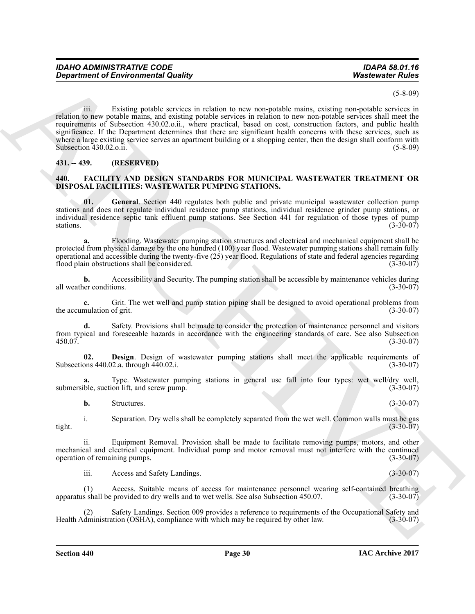(5-8-09)

**Expariment of Environmental Guality (Altimation International Solution 1998)**<br>
Solution to see Positive and the matter in the matter of the same problem to the positive section is equivalent to the positive section of th iii. Existing potable services in relation to new non-potable mains, existing non-potable services in relation to new potable mains, and existing potable services in relation to new non-potable services shall meet the requirements of Subsection 430.02.o.ii., where practical, based on cost, construction factors, and public health significance. If the Department determines that there are significant health concerns with these services, such as where a large existing service serves an apartment building or a shopping center, then the design shall conform with Subsection 430.02.o.ii. (5-8-09)

## <span id="page-29-0"></span>**431. -- 439. (RESERVED)**

#### <span id="page-29-2"></span><span id="page-29-1"></span>**440. FACILITY AND DESIGN STANDARDS FOR MUNICIPAL WASTEWATER TREATMENT OR DISPOSAL FACILITIES: WASTEWATER PUMPING STATIONS.**

<span id="page-29-4"></span>**01. General**. Section 440 regulates both public and private municipal wastewater collection pump stations and does not regulate individual residence pump stations, individual residence grinder pump stations, or individual residence septic tank effluent pump stations. See Section 441 for regulation of those types of pump  $s_{\text{stations}}$ . (3-30-07)

**a.** Flooding. Wastewater pumping station structures and electrical and mechanical equipment shall be protected from physical damage by the one hundred (100) year flood. Wastewater pumping stations shall remain fully operational and accessible during the twenty-five  $(25)$  year flood. Regulations of state and federal agencies regarding flood plain obstructions shall be considered. flood plain obstructions shall be considered.

**b.** Accessibility and Security. The pumping station shall be accessible by maintenance vehicles during er conditions. (3-30-07) all weather conditions.

**c.** Grit. The wet well and pump station piping shall be designed to avoid operational problems from mulation of grit. (3-30-07) the accumulation of grit.

**d.** Safety. Provisions shall be made to consider the protection of maintenance personnel and visitors from typical and foreseeable hazards in accordance with the engineering standards of care. See also Subsection 450.07. (3-30-07)

<span id="page-29-3"></span>**02. Design**. Design of wastewater pumping stations shall meet the applicable requirements of ons 440.02.a. through 440.02.i. (3-30-07) Subsections  $440.02$ .a. through  $440.02$ .i.

**a.** Type. Wastewater pumping stations in general use fall into four types: wet well/dry well, ble, suction lift, and screw pump. (3-30-07) submersible, suction lift, and screw pump.

**b.** Structures. (3-30-07)

i. Separation. Dry wells shall be completely separated from the wet well. Common walls must be gas

tight. (3-30-07)

ii. Equipment Removal. Provision shall be made to facilitate removing pumps, motors, and other mechanical and electrical equipment. Individual pump and motor removal must not interfere with the continued operation of remaining pumps. (3-30-07)

iii. Access and Safety Landings. (3-30-07)

(1) Access. Suitable means of access for maintenance personnel wearing self-contained breathing apparatus shall be provided to dry wells and to wet wells. See also Subsection 450.07.

(2) Safety Landings. Section 009 provides a reference to requirements of the Occupational Safety and dministration (OSHA), compliance with which may be required by other law. (3-30-07) Health Administration (OSHA), compliance with which may be required by other law.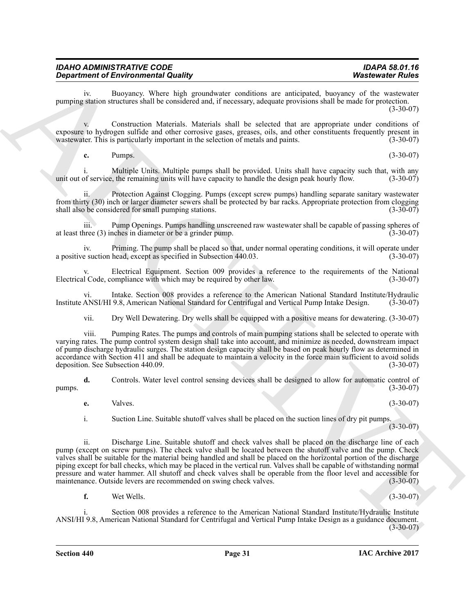iv. Buoyancy. Where high groundwater conditions are anticipated, buoyancy of the wastewater pumping station structures shall be considered and, if necessary, adequate provisions shall be made for protection. (3-30-07)

v. Construction Materials. Materials shall be selected that are appropriate under conditions of exposure to hydrogen sulfide and other corrosive gases, greases, oils, and other constituents frequently present in was tewater. This is particularly important in the selection of metals and paints. (3-30-07) wastewater. This is particularly important in the selection of metals and paints.

**c.** Pumps. (3-30-07)

i. Multiple Units. Multiple pumps shall be provided. Units shall have capacity such that, with any of service, the remaining units will have capacity to handle the design peak hourly flow. (3-30-07) unit out of service, the remaining units will have capacity to handle the design peak hourly flow.

Protection Against Clogging. Pumps (except screw pumps) handling separate sanitary wastewater from thirty (30) inch or larger diameter sewers shall be protected by bar racks. Appropriate protection from clogging shall also be considered for small pumping stations. (3-30-07) shall also be considered for small pumping stations.

iii. Pump Openings. Pumps handling unscreened raw wastewater shall be capable of passing spheres of at least three (3) inches in diameter or be a grinder pump. (3-30-07)

iv. Priming. The pump shall be placed so that, under normal operating conditions, it will operate under a positive suction head, except as specified in Subsection 440.03.

Electrical Equipment. Section 009 provides a reference to the requirements of the National Electrical Code, compliance with which may be required by other law. (3-30-07)

vi. Intake. Section 008 provides a reference to the American National Standard Institute/Hydraulic ANSI/HI 9.8, American National Standard for Centrifugal and Vertical Pump Intake Design. (3-30-07) Institute ANSI/HI 9.8, American National Standard for Centrifugal and Vertical Pump Intake Design.

vii. Dry Well Dewatering. Dry wells shall be equipped with a positive means for dewatering. (3-30-07)

viii. Pumping Rates. The pumps and controls of main pumping stations shall be selected to operate with varying rates. The pump control system design shall take into account, and minimize as needed, downstream impact of pump discharge hydraulic surges. The station design capacity shall be based on peak hourly flow as determined in accordance with Section 411 and shall be adequate to maintain a velocity in the force main sufficient to avoid solids<br>deposition. See Subsection 440.09. deposition. See Subsection 440.09.

**d.** Controls. Water level control sensing devices shall be designed to allow for automatic control of  $pumps.$  (3-30-07)

**e.** Valves. (3-30-07)

i. Suction Line. Suitable shutoff valves shall be placed on the suction lines of dry pit pumps.  $(3 - 30 - 07)$ 

**Department of Environmental Guardian** space and the space and space and the space of Euler Systems of Euler Systems and the space of Euler Systems of Euler Systems and the space of Euler Systems of Euler Systems of Euler ii. Discharge Line. Suitable shutoff and check valves shall be placed on the discharge line of each pump (except on screw pumps). The check valve shall be located between the shutoff valve and the pump. Check valves shall be suitable for the material being handled and shall be placed on the horizontal portion of the discharge piping except for ball checks, which may be placed in the vertical run. Valves shall be capable of withstanding normal pressure and water hammer. All shutoff and check valves shall be operable from the floor level and accessible for maintenance. Outside levers are recommended on swing check valves. (3-30-07) maintenance. Outside levers are recommended on swing check valves.

**f.** Wet Wells. (3-30-07)

i. Section 008 provides a reference to the American National Standard Institute/Hydraulic Institute ANSI/HI 9.8, American National Standard for Centrifugal and Vertical Pump Intake Design as a guidance document.  $(3-30-07)$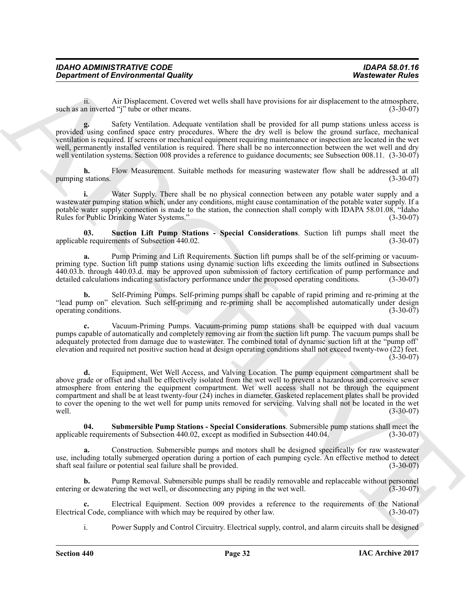| <b>IDAHO ADMINISTRATIVE CODE</b>           | <b>IDAPA 58.01.16</b>   |
|--------------------------------------------|-------------------------|
| <b>Department of Environmental Quality</b> | <b>Wastewater Rules</b> |

ii. Air Displacement. Covered wet wells shall have provisions for air displacement to the atmosphere,<br>In inverted "i" tube or other means. such as an inverted "j" tube or other means.

**g.** Safety Ventilation. Adequate ventilation shall be provided for all pump stations unless access is provided using confined space entry procedures. Where the dry well is below the ground surface, mechanical ventilation is required. If screens or mechanical equipment requiring maintenance or inspection are located in the wet well, permanently installed ventilation is required. There shall be no interconnection between the wet well and dry well ventilation systems. Section 008 provides a reference to guidance documents; see Subsection 008.11. (3-30-07)

**h.** Flow Measurement. Suitable methods for measuring wastewater flow shall be addressed at all stations. (3-30-07) pumping stations.

Water Supply. There shall be no physical connection between any potable water supply and a wastewater pumping station which, under any conditions, might cause contamination of the potable water supply. If a potable water supply connection is made to the station, the connection shall comply with IDAPA 58.01.08, "Idaho<br>Rules for Public Drinking Water Systems." (3-30-07) Rules for Public Drinking Water Systems."

<span id="page-31-1"></span>**03.** Suction Lift Pump Stations - Special Considerations. Suction lift pumps shall meet the e requirements of Subsection 440.02. applicable requirements of Subsection 440.02.

**a.** Pump Priming and Lift Requirements. Suction lift pumps shall be of the self-priming or vacuumpriming type. Suction lift pump stations using dynamic suction lifts exceeding the limits outlined in Subsections 440.03.b. through 440.03.d. may be approved upon submission of factory certification of pump performance and detailed calculations indicating satisfactory performance under the proposed operating conditions. (3-30-07)

**b.** Self-Priming Pumps. Self-priming pumps shall be capable of rapid priming and re-priming at the "lead pump on" elevation. Such self-priming and re-priming shall be accomplished automatically under design operating conditions.

**c.** Vacuum-Priming Pumps. Vacuum-priming pump stations shall be equipped with dual vacuum pumps capable of automatically and completely removing air from the suction lift pump. The vacuum pumps shall be adequately protected from damage due to wastewater. The combined total of dynamic suction lift at the "pump off' elevation and required net positive suction head at design operating conditions shall not exceed twenty-two (22) feet.  $(3-30-07)$ 

**Department of Environmental Quality<br>
machigan the Displaceaties of Multiplace Coronary and the Coronary and the Coronary and the Coronary and the Coronary and the Coronary and the Coronary and the Coronary and the Corona d.** Equipment, Wet Well Access, and Valving Location. The pump equipment compartment shall be above grade or offset and shall be effectively isolated from the wet well to prevent a hazardous and corrosive sewer atmosphere from entering the equipment compartment. Wet well access shall not be through the equipment compartment and shall be at least twenty-four (24) inches in diameter. Gasketed replacement plates shall be provided to cover the opening to the wet well for pump units removed for servicing. Valving shall not be located in the wet well. (3-30-07) well. (3-30-07)

<span id="page-31-0"></span>**04. Submersible Pump Stations - Special Considerations**. Submersible pump stations shall meet the applicable requirements of Subsection 440.02, except as modified in Subsection 440.04.

**a.** Construction. Submersible pumps and motors shall be designed specifically for raw wastewater use, including totally submerged operation during a portion of each pumping cycle. An effective method to detect shaft seal failure or potential seal failure shall be provided. (3-30-07) shaft seal failure or potential seal failure shall be provided.

**b.** Pump Removal. Submersible pumps shall be readily removable and replaceable without personnel entering or dewatering the wet well, or disconnecting any piping in the wet well. (3-30-07)

Electrical Equipment. Section 009 provides a reference to the requirements of the National ompliance with which may be required by other law. (3-30-07) Electrical Code, compliance with which may be required by other law.

i. Power Supply and Control Circuitry. Electrical supply, control, and alarm circuits shall be designed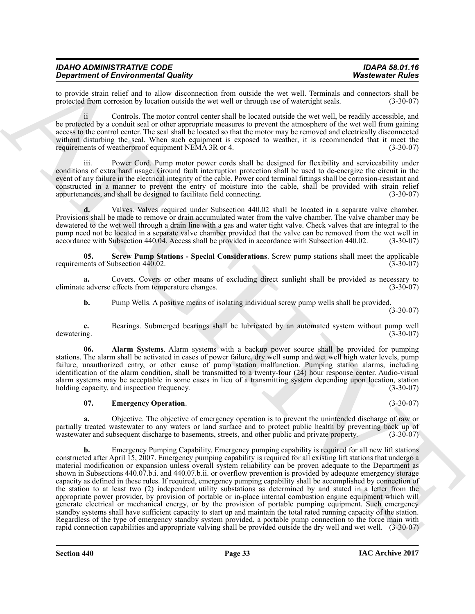| <b>IDAHO ADMINISTRATIVE CODE</b>           | <b>IDAPA 58.01.16</b>   |
|--------------------------------------------|-------------------------|
| <b>Department of Environmental Quality</b> | <b>Wastewater Rules</b> |

to provide strain relief and to allow disconnection from outside the wet well. Terminals and connectors shall be protected from corrosion by location outside the wet well or through use of watertight seals. (3-30-07) protected from corrosion by location outside the wet well or through use of watertight seals.

ii Controls. The motor control center shall be located outside the wet well, be readily accessible, and be protected by a conduit seal or other appropriate measures to prevent the atmosphere of the wet well from gaining access to the control center. The seal shall be located so that the motor may be removed and electrically disconnected without disturbing the seal. When such equipment is exposed to weather, it is recommended that it meet the requirements of weatherproof equipment NEMA 3R or 4. (3-30-07)

Power Cord. Pump motor power cords shall be designed for flexibility and serviceability under conditions of extra hard usage. Ground fault interruption protection shall be used to de-energize the circuit in the event of any failure in the electrical integrity of the cable. Power cord terminal fittings shall be corrosion-resistant and constructed in a manner to prevent the entry of moisture into the cable, shall be provided with strain relief appurtenances, and shall be designed to facilitate field connecting.

**d.** Valves. Valves required under Subsection 440.02 shall be located in a separate valve chamber. Provisions shall be made to remove or drain accumulated water from the valve chamber. The valve chamber may be dewatered to the wet well through a drain line with a gas and water tight valve. Check valves that are integral to the pump need not be located in a separate valve chamber provided that the valve can be removed from the wet well in accordance with Subsection 440.04. Access shall be provided in accordance with Subsection 440.02. (3-30-07) accordance with Subsection 440.04. Access shall be provided in accordance with Subsection 440.02.

<span id="page-32-2"></span>**05. Screw Pump Stations - Special Considerations**. Screw pump stations shall meet the applicable lents of Subsection 440.02. requirements of Subsection 440.02.

**a.** Covers Covers or other means of excluding direct sunlight shall be provided as necessary to calverse effects from temperature changes. eliminate adverse effects from temperature changes.

<span id="page-32-0"></span>**b.** Pump Wells. A positive means of isolating individual screw pump wells shall be provided.

(3-30-07)

**c.** Bearings. Submerged bearings shall be lubricated by an automated system without pump well dewatering. (3-30-07) dewatering. (3-30-07)

**06. Alarm Systems**. Alarm systems with a backup power source shall be provided for pumping stations. The alarm shall be activated in cases of power failure, dry well sump and wet well high water levels, pump failure, unauthorized entry, or other cause of pump station malfunction. Pumping station alarms, including identification of the alarm condition, shall be transmitted to a twenty-four (24) hour response center. Audio-visual alarm systems may be acceptable in some cases in lieu of a transmitting system depending upon location, station holding capacity, and inspection frequency. (3-30-07) holding capacity, and inspection frequency.

## <span id="page-32-1"></span>**07. Emergency Operation**. (3-30-07)

**a.** Objective. The objective of emergency operation is to prevent the unintended discharge of raw or partially treated wastewater to any waters or land surface and to protect public health by preventing back up of wastewater and subsequent discharge to basements, streets, and other public and private property. (3-30-07) wastewater and subsequent discharge to basements, streets, and other public and private property.

**Experiment of Environmental Country of the Country of the University of the Country of the Country of the Country of the Country of the Country of the Country of the Country of the Country of the Country of the Country o b.** Emergency Pumping Capability. Emergency pumping capability is required for all new lift stations constructed after April 15, 2007. Emergency pumping capability is required for all existing lift stations that undergo a material modification or expansion unless overall system reliability can be proven adequate to the Department as shown in Subsections 440.07.b.i. and 440.07.b.ii. or overflow prevention is provided by adequate emergency storage capacity as defined in these rules. If required, emergency pumping capability shall be accomplished by connection of the station to at least two (2) independent utility substations as determined by and stated in a letter from the appropriate power provider, by provision of portable or in-place internal combustion engine equipment which will generate electrical or mechanical energy, or by the provision of portable pumping equipment. Such emergency standby systems shall have sufficient capacity to start up and maintain the total rated running capacity of the station. Regardless of the type of emergency standby system provided, a portable pump connection to the force main with rapid connection capabilities and appropriate valving shall be provided outside the dry well and wet well. (3-30-07)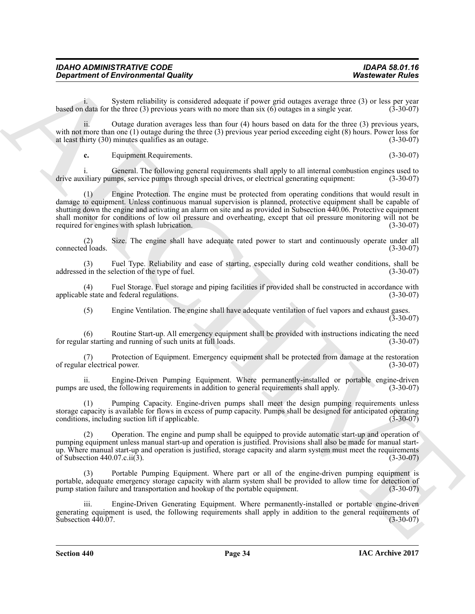| <b>IDAHO ADMINISTRATIVE CODE</b>           | <b>IDAPA 58.01.16</b>   |
|--------------------------------------------|-------------------------|
| <b>Department of Environmental Quality</b> | <b>Wastewater Rules</b> |

System reliability is considered adequate if power grid outages average three (3) or less per year the three (3) previous vears with no more than  $s$ ix (6) outages in a single year. (3-30-07) based on data for the three (3) previous years with no more than six (6) outages in a single year.

ii. Outage duration averages less than four (4) hours based on data for the three (3) previous years, with not more than one (1) outage during the three (3) previous year period exceeding eight (8) hours. Power loss for at least thirty (30) minutes qualifies as an outage. (3-30-07) at least thirty  $(30)$  minutes qualifies as an outage.

**c.** Equipment Requirements. (3-30-07)

i. General. The following general requirements shall apply to all internal combustion engines used to sail arising equipment: (3-30-07) drive auxiliary pumps, service pumps through special drives, or electrical generating equipment:

**Expariment of Environmental Quality (a)**<br>
Separation of the content of the content of the content of policies and the content of the systems of the content of the content of the content of the content of the content of t Engine Protection. The engine must be protected from operating conditions that would result in damage to equipment. Unless continuous manual supervision is planned, protective equipment shall be capable of shutting down the engine and activating an alarm on site and as provided in Subsection 440.06. Protective equipment shall monitor for conditions of low oil pressure and overheating, except that oil pressure monitoring will not be required for engines with splash lubrication. (3-30-07) required for engines with splash lubrication.

(2) Size. The engine shall have adequate rated power to start and continuously operate under all connected loads.

(3) Fuel Type. Reliability and ease of starting, especially during cold weather conditions, shall be addressed in the selection of the type of fuel.

(4) Fuel Storage. Fuel storage and piping facilities if provided shall be constructed in accordance with applicable state and federal regulations.

(5) Engine Ventilation. The engine shall have adequate ventilation of fuel vapors and exhaust gases. (3-30-07)

(6) Routine Start-up. All emergency equipment shall be provided with instructions indicating the need for regular starting and running of such units at full loads.

(7) Protection of Equipment. Emergency equipment shall be protected from damage at the restoration of regular electrical power.

ii. Engine-Driven Pumping Equipment. Where permanently-installed or portable engine-driven<br>re used, the following requirements in addition to general requirements shall apply. (3-30-07) pumps are used, the following requirements in addition to general requirements shall apply.

Pumping Capacity. Engine-driven pumps shall meet the design pumping requirements unless storage capacity is available for flows in excess of pump capacity. Pumps shall be designed for anticipated operating conditions, including suction lift if applicable. (3-30-07) conditions, including suction lift if applicable.

(2) Operation. The engine and pump shall be equipped to provide automatic start-up and operation of pumping equipment unless manual start-up and operation is justified. Provisions shall also be made for manual startup. Where manual start-up and operation is justified, storage capacity and alarm system must meet the requirements of Subsection 440.07.c.ii(3). (3-30-07)

Portable Pumping Equipment. Where part or all of the engine-driven pumping equipment is portable, adequate emergency storage capacity with alarm system shall be provided to allow time for detection of pump station failure and transportation and hookup of the portable equipment. (3-30-07)

iii. Engine-Driven Generating Equipment. Where permanently-installed or portable engine-driven generating equipment is used, the following requirements shall apply in addition to the general requirements of Subsection 440.07.  $(3-30-07)$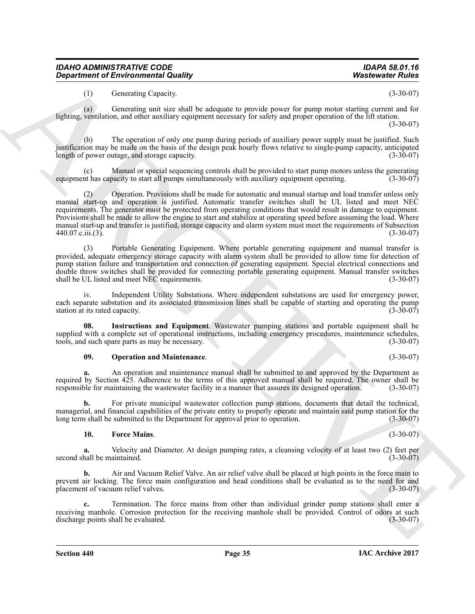(1) Generating Capacity. (3-30-07)

(a) Generating unit size shall be adequate to provide power for pump motor starting current and for lighting, ventilation, and other auxiliary equipment necessary for safety and proper operation of the lift station. (3-30-07)

(b) The operation of only one pump during periods of auxiliary power supply must be justified. Such justification may be made on the basis of the design peak hourly flows relative to single-pump capacity, anticipated length of power outage, and storage capacity.

(c) Manual or special sequencing controls shall be provided to start pump motors unless the generating equipment has capacity to start all pumps simultaneously with auxiliary equipment operating.

*Department of Environmental Quality* **Watersonic Fuller**<br>
(1) Generality (speeches and be despite to provide power for earning the same proposition of the same proposition of the same proposition of the same propositio (2) Operation. Provisions shall be made for automatic and manual startup and load transfer unless only manual start-up and operation is justified. Automatic transfer switches shall be UL listed and meet NEC requirements. The generator must be protected from operating conditions that would result in damage to equipment. Provisions shall be made to allow the engine to start and stabilize at operating speed before assuming the load. Where manual start-up and transfer is justified, storage capacity and alarm system must meet the requirements of Subsection 440.07.c.iii.(3). (3-30-07)

Portable Generating Equipment. Where portable generating equipment and manual transfer is provided, adequate emergency storage capacity with alarm system shall be provided to allow time for detection of pump station failure and transportation and connection of generating equipment. Special electrical connections and double throw switches shall be provided for connecting portable generating equipment. Manual transfer switches shall be UL listed and meet NEC requirements. (3-30-07)

iv. Independent Utility Substations. Where independent substations are used for emergency power, each separate substation and its associated transmission lines shall be capable of starting and operating the pump station at its rated capacity. (3-30-07) station at its rated capacity.

**08. Instructions and Equipment**. Wastewater pumping stations and portable equipment shall be supplied with a complete set of operational instructions, including emergency procedures, maintenance schedules, tools, and such spare parts as may be necessary. (3-30-07) tools, and such spare parts as may be necessary.

#### <span id="page-34-2"></span><span id="page-34-1"></span>**09. Operation and Maintenance**. (3-30-07)

**a.** An operation and maintenance manual shall be submitted to and approved by the Department as required by Section 425. Adherence to the terms of this approved manual shall be required. The owner shall be responsible for maintaining the wastewater facility in a manner that assures its designed operation. (3-30-07) responsible for maintaining the wastewater facility in a manner that assures its designed operation.

**b.** For private municipal wastewater collection pump stations, documents that detail the technical, managerial, and financial capabilities of the private entity to properly operate and maintain said pump station for the long term shall be submitted to the Department for approval prior to operation. (3-30-07)

## <span id="page-34-0"></span>**10. Force Mains**. (3-30-07)

**a.** Velocity and Diameter. At design pumping rates, a cleansing velocity of at least two (2) feet per second shall be maintained. (3-30-07) (3-30-07)

**b.** Air and Vacuum Relief Valve. An air relief valve shall be placed at high points in the force main to prevent air locking. The force main configuration and head conditions shall be evaluated as to the need for and placement of vacuum relief valves. (3-30-07)

**c.** Termination. The force mains from other than individual grinder pump stations shall enter a receiving manhole. Corrosion protection for the receiving manhole shall be provided. Control of odors at such discharge points shall be evaluated. (3-30-07) discharge points shall be evaluated.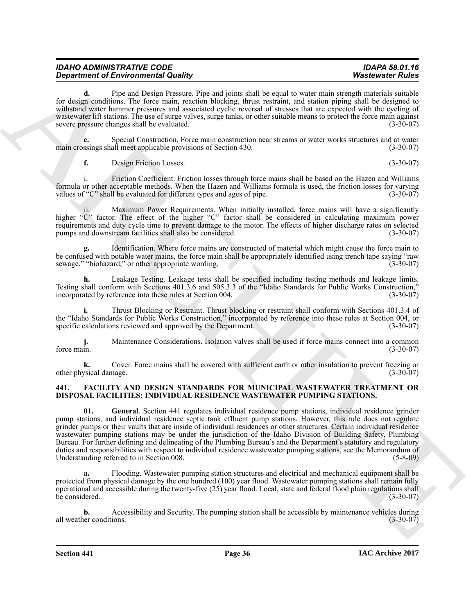| <b>IDAHO ADMINISTRATIVE CODE</b>           | IDAPA 58.01.16          |
|--------------------------------------------|-------------------------|
| <b>Department of Environmental Quality</b> | <b>Wastewater Rules</b> |

**d.** Pipe and Design Pressure. Pipe and joints shall be equal to water main strength materials suitable for design conditions. The force main, reaction blocking, thrust restraint, and station piping shall be designed to withstand water hammer pressures and associated cyclic reversal of stresses that are expected with the cycling of wastewater lift stations. The use of surge valves, surge tanks, or other suitable means to protect the force main against severe pressure changes shall be evaluated. (3-30-07)

**e.** Special Construction. Force main construction near streams or water works structures and at water ssings shall meet applicable provisions of Section 430. main crossings shall meet applicable provisions of Section 430.

**f.** Design Friction Losses. (3-30-07)

i. Friction Coefficient. Friction losses through force mains shall be based on the Hazen and Williams formula or other acceptable methods. When the Hazen and Williams formula is used, the friction losses for varying values of "C" shall be evaluated for different types and ages of pipe. (3-30-07) values of "C" shall be evaluated for different types and ages of pipe.

ii. Maximum Power Requirements. When initially installed, force mains will have a significantly higher "C" factor. The effect of the higher "C" factor shall be considered in calculating maximum power requirements and duty cycle time to prevent damage to the motor. The effects of higher discharge rates on selected pumps and downstream facilities shall also be considered. (3-30-07)

**g.** Identification. Where force mains are constructed of material which might cause the force main to be confused with potable water mains, the force main shall be appropriately identified using trench tape saying "raw sewage," "biohazard," or other appropriate wording. (3-30-07) sewage," "biohazard," or other appropriate wording.

**h.** Leakage Testing. Leakage tests shall be specified including testing methods and leakage limits. Testing shall conform with Sections 401.3.6 and 505.3.3 of the "Idaho Standards for Public Works Construction," incorporated by reference into these rules at Section 004.

**i.** Thrust Blocking or Restraint. Thrust blocking or restraint shall conform with Sections 401.3.4 of the "Idaho Standards for Public Works Construction," incorporated by reference into these rules at Section 004, or specific calculations reviewed and approved by the Department. (3-30-07) specific calculations reviewed and approved by the Department.

**j.** Maintenance Considerations. Isolation valves shall be used if force mains connect into a common force main.  $(3-30-07)$ force main.  $(3-30-07)$ 

**k.** Cover. Force mains shall be covered with sufficient earth or other insulation to prevent freezing or validamage. (3-30-07) other physical damage.

#### <span id="page-35-2"></span><span id="page-35-1"></span><span id="page-35-0"></span>**441. FACILITY AND DESIGN STANDARDS FOR MUNICIPAL WASTEWATER TREATMENT OR DISPOSAL FACILITIES: INDIVIDUAL RESIDENCE WASTEWATER PUMPING STATIONS.**

*Department* of *Review* the main tensor (the mail main shall be valid to sell our shall mainly mail the sell of the main main tensor (we may be a state of *Review* to the selling of the selling of the selling of the se **01. General**. Section 441 regulates individual residence pump stations, individual residence grinder pump stations, and individual residence septic tank effluent pump stations. However, this rule does not regulate grinder pumps or their vaults that are inside of individual residences or other structures. Certain individual residence wastewater pumping stations may be under the jurisdiction of the Idaho Division of Building Safety, Plumbing Bureau. For further defining and delineating of the Plumbing Bureau's and the Department's statutory and regulatory duties and responsibilities with respect to individual residence wastewater pumping stations, see the Memorandum of Understanding referred to in Section 008. (5-8-09)

**a.** Flooding. Wastewater pumping station structures and electrical and mechanical equipment shall be protected from physical damage by the one hundred (100) year flood. Wastewater pumping stations shall remain fully operational and accessible during the twenty-five (25) year flood. Local, state and federal flood plain regulations shall be considered.

**b.** Accessibility and Security. The pumping station shall be accessible by maintenance vehicles during er conditions. (3-30-07) all weather conditions.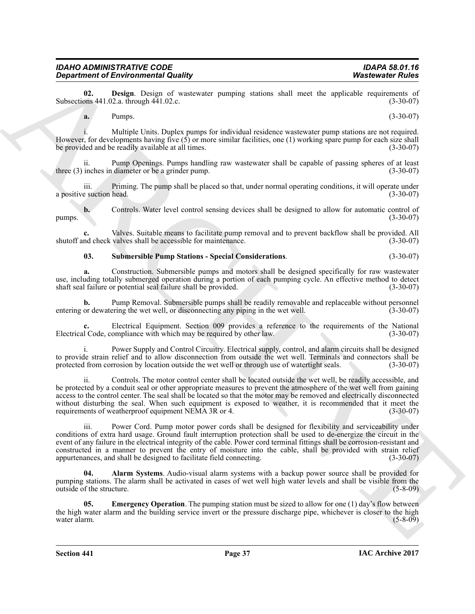| a. | Pumps. |                                          | $(3-30-07)$ |
|----|--------|------------------------------------------|-------------|
|    |        | .<br>and the contract of the contract of |             |

*Department of Environmental Quality* 

Subsections  $441.02.a$ . through  $441.02.c$ .

i. Multiple Units. Duplex pumps for individual residence wastewater pump stations are not required. However, for developments having five  $(5)$  or more similar facilities, one (1) working spare pump for each size shall be provided and be readily available at all times. (3-30-07)

<span id="page-36-1"></span>**02. Design**. Design of wastewater pumping stations shall meet the applicable requirements of ons 441.02.a, through 441.02.c.

Pump Openings. Pumps handling raw wastewater shall be capable of passing spheres of at least diameter or be a grinder pump. three  $(3)$  inches in diameter or be a grinder pump.

iii. Priming. The pump shall be placed so that, under normal operating conditions, it will operate under e suction head. (3-30-07) a positive suction head.

**b.** Controls. Water level control sensing devices shall be designed to allow for automatic control of  $(3-30-07)$  $pumps.$  (3-30-07)

**c.** Valves. Suitable means to facilitate pump removal and to prevent backflow shall be provided. All nd check valves shall be accessible for maintenance. (3-30-07) shutoff and check valves shall be accessible for maintenance.

## <span id="page-36-3"></span>**03. Submersible Pump Stations - Special Considerations**. (3-30-07)

**a.** Construction. Submersible pumps and motors shall be designed specifically for raw wastewater use, including totally submerged operation during a portion of each pumping cycle. An effective method to detect shaft seal failure or potential seal failure shall be provided. shaft seal failure or potential seal failure shall be provided.

**b.** Pump Removal. Submersible pumps shall be readily removable and replaceable without personnel or dewatering the wet well, or disconnecting any piping in the wet well. (3-30-07) entering or dewatering the wet well, or disconnecting any piping in the wet well.

Electrical Equipment. Section 009 provides a reference to the requirements of the National compliance with which may be required by other law. (3-30-07) Electrical Code, compliance with which may be required by other law.

Power Supply and Control Circuitry. Electrical supply, control, and alarm circuits shall be designed to provide strain relief and to allow disconnection from outside the wet well. Terminals and connectors shall be protected from corrosion by location outside the wet well or through use of watertight seals. (3-30-07)

**Department of Environmental Guaranty continue statutes start model model and the supplemental continue start model in the supplemental continue of the supplemental continue of the supplemental continue of the supplementa** ii. Controls. The motor control center shall be located outside the wet well, be readily accessible, and be protected by a conduit seal or other appropriate measures to prevent the atmosphere of the wet well from gaining access to the control center. The seal shall be located so that the motor may be removed and electrically disconnected without disturbing the seal. When such equipment is exposed to weather, it is recommended that it meet the requirements of weatherproof equipment NEMA 3R or 4. (3-30-07)

iii. Power Cord. Pump motor power cords shall be designed for flexibility and serviceability under conditions of extra hard usage. Ground fault interruption protection shall be used to de-energize the circuit in the event of any failure in the electrical integrity of the cable. Power cord terminal fittings shall be corrosion-resistant and constructed in a manner to prevent the entry of moisture into the cable, shall be provided with strain relief appurtenances, and shall be designed to facilitate field connecting. (3-30-07)

<span id="page-36-0"></span>**04. Alarm Systems**. Audio-visual alarm systems with a backup power source shall be provided for pumping stations. The alarm shall be activated in cases of wet well high water levels and shall be visible from the outside of the structure. (5-8-09)

<span id="page-36-2"></span>**05. Emergency Operation**. The pumping station must be sized to allow for one (1) day's flow between the high water alarm and the building service invert or the pressure discharge pipe, whichever is closer to the high water alarm. (5-8-09) water alarm. (5-8-09)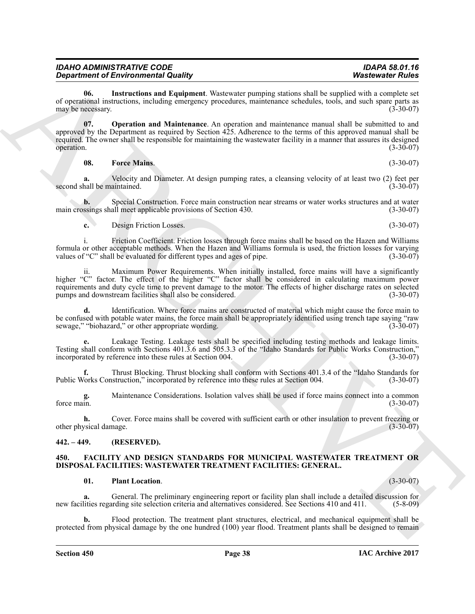| <b>IDAHO ADMINISTRATIVE CODE</b>           | <b>IDAPA 58.01.16</b>   |
|--------------------------------------------|-------------------------|
| <b>Department of Environmental Quality</b> | <b>Wastewater Rules</b> |

<span id="page-37-5"></span>**06. Instructions and Equipment**. Wastewater pumping stations shall be supplied with a complete set of operational instructions, including emergency procedures, maintenance schedules, tools, and such spare parts as may be necessary. (3-30-07) may be necessary.

**Equivalent of Environmental Guaranty measurements and the system of the system of the system of the system of the system of the system of the system of the system of the system of the system of the system of the system o 07. Operation and Maintenance**. An operation and maintenance manual shall be submitted to and approved by the Department as required by Section 425. Adherence to the terms of this approved manual shall be required. The owner shall be responsible for maintaining the wastewater facility in a manner that assures its designed<br>(3-30-07) operation.  $(3-30-07)$ 

<span id="page-37-6"></span><span id="page-37-4"></span>**08. Force Mains**. (3-30-07)

**a.** Velocity and Diameter. At design pumping rates, a cleansing velocity of at least two (2) feet per hall be maintained. (3-30-07) second shall be maintained.

**b.** Special Construction. Force main construction near streams or water works structures and at water main crossings shall meet applicable provisions of Section 430. (3-30-07)

**c.** Design Friction Losses. (3-30-07)

i. Friction Coefficient. Friction losses through force mains shall be based on the Hazen and Williams formula or other acceptable methods. When the Hazen and Williams formula is used, the friction losses for varying values of "C" shall be evaluated for different types and ages of pipe. (3-30-07) values of "C" shall be evaluated for different types and ages of pipe.

Maximum Power Requirements. When initially installed, force mains will have a significantly higher "C" factor. The effect of the higher "C" factor shall be considered in calculating maximum power requirements and duty cycle time to prevent damage to the motor. The effects of higher discharge rates on selected<br>pumps and downstream facilities shall also be considered. (3-30-07) pumps and downstream facilities shall also be considered.

**d.** Identification. Where force mains are constructed of material which might cause the force main to be confused with potable water mains, the force main shall be appropriately identified using trench tape saying "raw<br>sewage." "biohazard." or other appropriate wording. (3-30-07) sewage," "biohazard," or other appropriate wording.

**e.** Leakage Testing. Leakage tests shall be specified including testing methods and leakage limits. Testing shall conform with Sections 401.3.6 and 505.3.3 of the "Idaho Standards for Public Works Construction," incorporated by reference into these rules at Section 004.

**f.** Thrust Blocking. Thrust blocking shall conform with Sections 401.3.4 of the "Idaho Standards for Vorks Construction," incorporated by reference into these rules at Section 004. (3-30-07) Public Works Construction," incorporated by reference into these rules at Section 004.

**g.** Maintenance Considerations. Isolation valves shall be used if force mains connect into a common force main.  $(3-30-07)$ force main.  $(3-30-07)$ 

**h.** Cover. Force mains shall be covered with sufficient earth or other insulation to prevent freezing or ysical damage. (3-30-07) other physical damage.

## <span id="page-37-0"></span>**442. – 449. (RESERVED).**

#### <span id="page-37-1"></span>**450. FACILITY AND DESIGN STANDARDS FOR MUNICIPAL WASTEWATER TREATMENT OR DISPOSAL FACILITIES: WASTEWATER TREATMENT FACILITIES: GENERAL.**

#### <span id="page-37-3"></span>**01. Plant Location**. (3-30-07)

<span id="page-37-2"></span>

**a.** General. The preliminary engineering report or facility plan shall include a detailed discussion for lities regarding site selection criteria and alternatives considered. See Sections 410 and 411. (5-8-09) new facilities regarding site selection criteria and alternatives considered. See Sections 410 and 411.

**b.** Flood protection. The treatment plant structures, electrical, and mechanical equipment shall be protected from physical damage by the one hundred (100) year flood. Treatment plants shall be designed to remain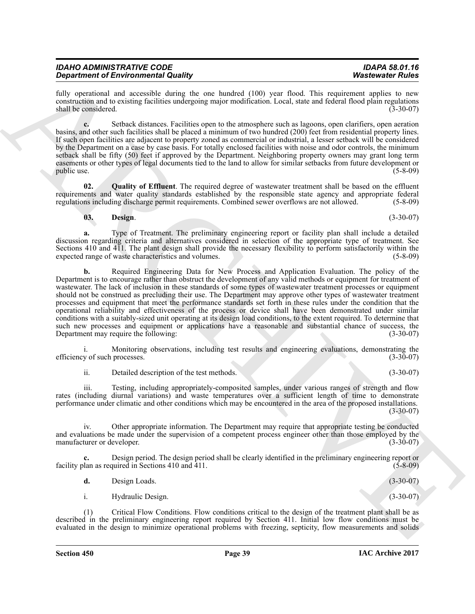fully operational and accessible during the one hundred (100) year flood. This requirement applies to new construction and to existing facilities undergoing major modification. Local, state and federal flood plain regulations shall be considered.

**c.** Setback distances. Facilities open to the atmosphere such as lagoons, open clarifiers, open aeration basins, and other such facilities shall be placed a minimum of two hundred (200) feet from residential property lines. If such open facilities are adjacent to property zoned as commercial or industrial, a lesser setback will be considered by the Department on a case by case basis. For totally enclosed facilities with noise and odor controls, the minimum setback shall be fifty (50) feet if approved by the Department. Neighboring property owners may grant long term easements or other types of legal documents tied to the land to allow for similar setbacks from future development or public use. public use.  $(5-8-09)$ 

**02. Quality of Effluent**. The required degree of wastewater treatment shall be based on the effluent requirements and water quality standards established by the responsible state agency and appropriate federal regulations including discharge permit requirements. Combined sewer overflows are not allowed. (5-8-09)

## <span id="page-38-1"></span><span id="page-38-0"></span>**03. Design**. (3-30-07)

**a.** Type of Treatment. The preliminary engineering report or facility plan shall include a detailed discussion regarding criteria and alternatives considered in selection of the appropriate type of treatment. See Sections 410 and 411. The plant design shall provide the necessary flexibility to perform satisfactorily within the expected range of waste characteristics and volumes. (5-8-09) expected range of waste characteristics and volumes.

**Orientation of Environmental County of This may be a state of the system of the system of the system of the system of the system of the system of the system of the system of the system of the system of the system of the b.** Required Engineering Data for New Process and Application Evaluation. The policy of the Department is to encourage rather than obstruct the development of any valid methods or equipment for treatment of wastewater. The lack of inclusion in these standards of some types of wastewater treatment processes or equipment should not be construed as precluding their use. The Department may approve other types of wastewater treatment processes and equipment that meet the performance standards set forth in these rules under the condition that the operational reliability and effectiveness of the process or device shall have been demonstrated under similar conditions with a suitably-sized unit operating at its design load conditions, to the extent required. To determine that such new processes and equipment or applications have a reasonable and substantial chance of success, the Department may require the following: (3-30-07) Department may require the following:

i. Monitoring observations, including test results and engineering evaluations, demonstrating the y of such processes. (3-30-07) efficiency of such processes.

ii. Detailed description of the test methods. (3-30-07)

iii. Testing, including appropriately-composited samples, under various ranges of strength and flow rates (including diurnal variations) and waste temperatures over a sufficient length of time to demonstrate performance under climatic and other conditions which may be encountered in the area of the proposed installations.  $(3-30-07)$ 

iv. Other appropriate information. The Department may require that appropriate testing be conducted and evaluations be made under the supervision of a competent process engineer other than those employed by the<br>(3-30-07)<br>(3-30-07) manufacturer or developer.

**c.** Design period. The design period shall be clearly identified in the preliminary engineering report or facility plan as required in Sections 410 and 411.  $(5-8-09)$ 

**d.** Design Loads. (3-30-07)

i. Hydraulic Design. (3-30-07)

(1) Critical Flow Conditions. Flow conditions critical to the design of the treatment plant shall be as described in the preliminary engineering report required by Section 411. Initial low flow conditions must be evaluated in the design to minimize operational problems with freezing, septicity, flow measurements and solids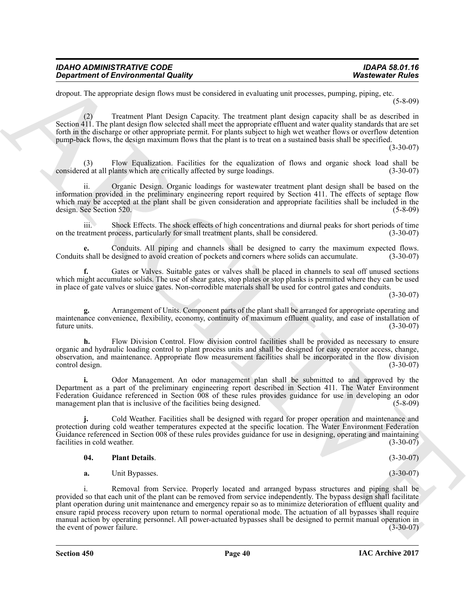| <b>IDAHO ADMINISTRATIVE CODE</b>           | IDAPA 58.01.16          |
|--------------------------------------------|-------------------------|
| <b>Department of Environmental Quality</b> | <b>Wastewater Rules</b> |

dropout. The appropriate design flows must be considered in evaluating unit processes, pumping, piping, etc. (5-8-09)

(2) Treatment Plant Design Capacity. The treatment plant design capacity shall be as described in Section 411. The plant design flow selected shall meet the appropriate effluent and water quality standards that are set forth in the discharge or other appropriate permit. For plants subject to high wet weather flows or overflow detention pump-back flows, the design maximum flows that the plant is to treat on a sustained basis shall be specified.

(3-30-07)

Flow Equalization. Facilities for the equalization of flows and organic shock load shall be plants which are critically affected by surge loadings. (3-30-07) considered at all plants which are critically affected by surge loadings.

ii. Organic Design. Organic loadings for wastewater treatment plant design shall be based on the information provided in the preliminary engineering report required by Section 411. The effects of septage flow which may be accepted at the plant shall be given consideration and appropriate facilities shall be included in the design. See Section 520. (5-8-09)

iii. Shock Effects. The shock effects of high concentrations and diurnal peaks for short periods of time on the treatment process, particularly for small treatment plants, shall be considered. (3-30-07)

**e.** Conduits. All piping and channels shall be designed to carry the maximum expected flows.<br>
shall be designed to avoid creation of pockets and corners where solids can accumulate. (3-30-07) Conduits shall be designed to avoid creation of pockets and corners where solids can accumulate.

**f.** Gates or Valves. Suitable gates or valves shall be placed in channels to seal off unused sections which might accumulate solids. The use of shear gates, stop plates or stop planks is permitted where they can be used in place of gate valves or sluice gates. Non-corrodible materials shall be used for control gates and conduits.

(3-30-07)

**g.** Arrangement of Units. Component parts of the plant shall be arranged for appropriate operating and maintenance convenience, flexibility, economy, continuity of maximum effluent quality, and ease of installation of future units. (3-30-07) future units.  $(3-30-07)$ 

**h.** Flow Division Control. Flow division control facilities shall be provided as necessary to ensure organic and hydraulic loading control to plant process units and shall be designed for easy operator access, change, observation, and maintenance. Appropriate flow measurement facilities shall be incorporated in the flow division control design. (3-30-07)

**i.** Odor Management. An odor management plan shall be submitted to and approved by the Department as a part of the preliminary engineering report described in Section 411. The Water Environment Federation Guidance referenced in Section 008 of these rules provides guidance for use in developing an odor management plan that is inclusive of the facilities being designed. management plan that is inclusive of the facilities being designed.

**j.** Cold Weather. Facilities shall be designed with regard for proper operation and maintenance and protection during cold weather temperatures expected at the specific location. The Water Environment Federation Guidance referenced in Section 008 of these rules provides guidance for use in designing, operating and maintaining facilities in cold weather. (3-30-07) facilities in cold weather.

#### <span id="page-39-0"></span>**04. Plant Details**. (3-30-07)

**a.** Unit Bypasses. (3-30-07)

**Department of Environmental Quality<br>
department of Environmental Quality<br>
department of Environmental Council is considered a vestimate and process, propagate a propagate (** $\frac{1}{2}$  **and**  $\frac{1}{2}$  **is considered a consider** Removal from Service. Properly located and arranged bypass structures and piping shall be provided so that each unit of the plant can be removed from service independently. The bypass design shall facilitate plant operation during unit maintenance and emergency repair so as to minimize deterioration of effluent quality and ensure rapid process recovery upon return to normal operational mode. The actuation of all bypasses shall require manual action by operating personnel. All power-actuated bypasses shall be designed to permit manual operation in<br>(3-30-07) the event of power failure. the event of power failure.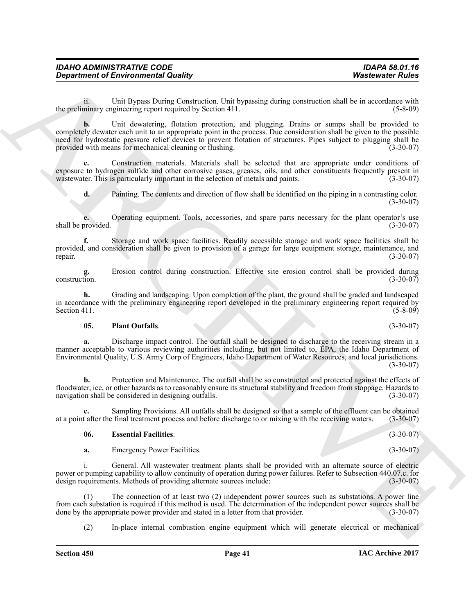ii. Unit Bypass During Construction. Unit bypassing during construction shall be in accordance with minary engineering report required by Section 411. (5-8-09) the preliminary engineering report required by Section 411.

**Exparament of Environmental Guality (Alternative Charge Schwarz) Washes of Fuller**<br> **An expansion of Division Duality Scheme Link by passing damage constructed and the anisotropic wide the state of the state of the sta b.** Unit dewatering, flotation protection, and plugging. Drains or sumps shall be provided to completely dewater each unit to an appropriate point in the process. Due consideration shall be given to the possible need for hydrostatic pressure relief devices to prevent flotation of structures. Pipes subject to plugging shall be provided with means for mechanical cleaning or flushing. (3-30-07)

**c.** Construction materials. Materials shall be selected that are appropriate under conditions of exposure to hydrogen sulfide and other corrosive gases, greases, oils, and other constituents frequently present in was tewater. This is particularly important in the selection of metals and paints. (3-30-07) wastewater. This is particularly important in the selection of metals and paints.

**d.** Painting. The contents and direction of flow shall be identified on the piping in a contrasting color.  $(3-30-07)$ 

Operating equipment. Tools, accessories, and spare parts necessary for the plant operator's use (3-30-07) shall be provided.

**f.** Storage and work space facilities. Readily accessible storage and work space facilities shall be provided, and consideration shall be given to provision of a garage for large equipment storage, maintenance, and<br>(3-30-07) repair.  $(3-30-07)$ 

**g.** Erosion control during construction. Effective site erosion control shall be provided during construction. (3-30-07)

**h.** Grading and landscaping. Upon completion of the plant, the ground shall be graded and landscaped in accordance with the preliminary engineering report developed in the preliminary engineering report required by<br>
Section 411. Section 411.  $(5-8-09)$ 

## <span id="page-40-1"></span>**05. Plant Outfalls**. (3-30-07)

**a.** Discharge impact control. The outfall shall be designed to discharge to the receiving stream in a manner acceptable to various reviewing authorities including, but not limited to, EPA, the Idaho Department of Environmental Quality, U.S. Army Corp of Engineers, Idaho Department of Water Resources, and local jurisdictions. (3-30-07)

**b.** Protection and Maintenance. The outfall shall be so constructed and protected against the effects of floodwater, ice, or other hazards as to reasonably ensure its structural stability and freedom from stoppage. Hazards to navigation shall be considered in designing outfalls.

**c.** Sampling Provisions. All outfalls shall be designed so that a sample of the effluent can be obtained at a point after the final treatment process and before discharge to or mixing with the receiving waters. (3-30-07)

## <span id="page-40-0"></span>**06. Essential Facilities**. (3-30-07)

**a.** Emergency Power Facilities. (3-30-07)

i. General. All wastewater treatment plants shall be provided with an alternate source of electric power or pumping capability to allow continuity of operation during power failures. Refer to Subsection 440.07.c. for design requirements. Methods of providing alternate sources include:

(1) The connection of at least two (2) independent power sources such as substations. A power line from each substation is required if this method is used. The determination of the independent power sources shall be done by the appropriate power provider and stated in a letter from that provider. (3-30-07) done by the appropriate power provider and stated in a letter from that provider.

(2) In-place internal combustion engine equipment which will generate electrical or mechanical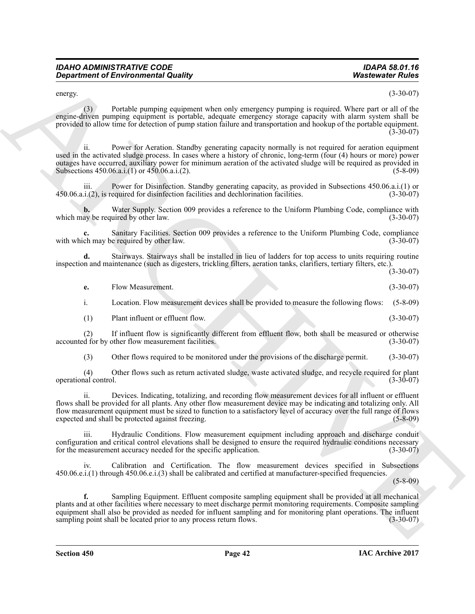| IDAHO ADMINISTRATIVE CODE                  |  |
|--------------------------------------------|--|
| <b>Department of Environmental Quality</b> |  |

| <b>Department of Environmental Quality</b>                                                                                                                                                                                                                                                                                                                                                                             | <b>Wastewater Rules</b> |
|------------------------------------------------------------------------------------------------------------------------------------------------------------------------------------------------------------------------------------------------------------------------------------------------------------------------------------------------------------------------------------------------------------------------|-------------------------|
| energy.                                                                                                                                                                                                                                                                                                                                                                                                                | $(3-30-07)$             |
| Portable pumping equipment when only emergency pumping is required. Where part or all of the<br>(3)<br>engine-driven pumping equipment is portable, adequate emergency storage capacity with alarm system shall be<br>provided to allow time for detection of pump station failure and transportation and hookup of the portable equipment.                                                                            | $(3-30-07)$             |
| Power for Aeration. Standby generating capacity normally is not required for aeration equipment<br>11.<br>used in the activated sludge process. In cases where a history of chronic, long-term (four (4) hours or more) power<br>outages have occurred, auxiliary power for minimum aeration of the activated sludge will be required as provided in<br>Subsections 450.06.a.i.(1) or 450.06.a.i.(2).                  | $(5-8-09)$              |
| iii.<br>Power for Disinfection. Standby generating capacity, as provided in Subsections 450.06.a.i.(1) or<br>450.06.a.i.(2), is required for disinfection facilities and dechlorination facilities.                                                                                                                                                                                                                    | $(3-30-07)$             |
| Water Supply. Section 009 provides a reference to the Uniform Plumbing Code, compliance with<br>which may be required by other law.                                                                                                                                                                                                                                                                                    | $(3-30-07)$             |
| Sanitary Facilities. Section 009 provides a reference to the Uniform Plumbing Code, compliance<br>with which may be required by other law.                                                                                                                                                                                                                                                                             | $(3-30-07)$             |
| Stairways. Stairways shall be installed in lieu of ladders for top access to units requiring routine<br>d.<br>inspection and maintenance (such as digesters, trickling filters, aeration tanks, clarifiers, tertiary filters, etc.).                                                                                                                                                                                   | $(3-30-07)$             |
| Flow Measurement.<br>e.                                                                                                                                                                                                                                                                                                                                                                                                | $(3-30-07)$             |
| i.<br>Location. Flow measurement devices shall be provided to measure the following flows:                                                                                                                                                                                                                                                                                                                             | $(5-8-09)$              |
| Plant influent or effluent flow.<br>(1)                                                                                                                                                                                                                                                                                                                                                                                | $(3-30-07)$             |
| If influent flow is significantly different from effluent flow, both shall be measured or otherwise<br>(2)<br>accounted for by other flow measurement facilities.                                                                                                                                                                                                                                                      | $(3-30-07)$             |
| Other flows required to be monitored under the provisions of the discharge permit.<br>(3)                                                                                                                                                                                                                                                                                                                              | $(3-30-07)$             |
| Other flows such as return activated sludge, waste activated sludge, and recycle required for plant<br>(4)<br>operational control.                                                                                                                                                                                                                                                                                     | $(3-30-07)$             |
| Devices. Indicating, totalizing, and recording flow measurement devices for all influent or effluent<br>11.<br>flows shall be provided for all plants. Any other flow measurement device may be indicating and totalizing only. All<br>flow measurement equipment must be sized to function to a satisfactory level of accuracy over the full range of flows<br>expected and shall be protected against freezing.      | $(5-8-09)$              |
| iii.<br>Hydraulic Conditions. Flow measurement equipment including approach and discharge conduit<br>configuration and critical control elevations shall be designed to ensure the required hydraulic conditions necessary<br>for the measurement accuracy needed for the specific application.                                                                                                                        | $(3-30-07)$             |
| Calibration and Certification. The flow measurement devices specified in Subsections<br>iv.<br>450.06.e.i.(1) through 450.06.e.i.(3) shall be calibrated and certified at manufacturer-specified frequencies.                                                                                                                                                                                                          | $(5 - 8 - 09)$          |
| Sampling Equipment. Effluent composite sampling equipment shall be provided at all mechanical<br>f.<br>plants and at other facilities where necessary to meet discharge permit monitoring requirements. Composite sampling<br>equipment shall also be provided as needed for influent sampling and for monitoring plant operations. The influent<br>sampling point shall be located prior to any process return flows. | $(3-30-07)$             |
|                                                                                                                                                                                                                                                                                                                                                                                                                        |                         |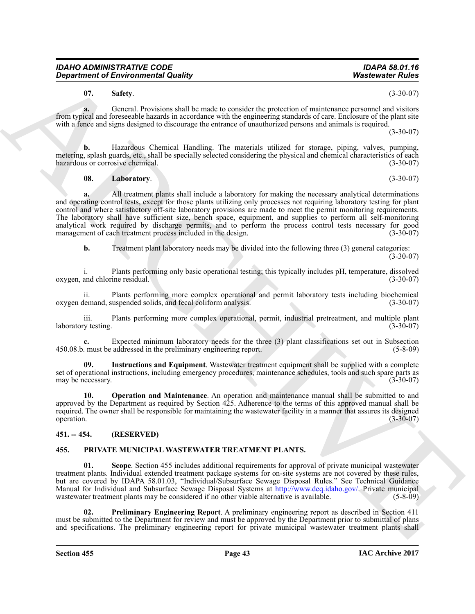<span id="page-42-5"></span>**07.** Safety. (3-30-07)

**a.** General. Provisions shall be made to consider the protection of maintenance personnel and visitors from typical and foreseeable hazards in accordance with the engineering standards of care. Enclosure of the plant site with a fence and signs designed to discourage the entrance of unauthorized persons and animals is required.

(3-30-07)

**b.** Hazardous Chemical Handling. The materials utilized for storage, piping, valves, pumping, metering, splash guards, etc., shall be specially selected considering the physical and chemical characteristics of each hazardous or corrosive chemical. (3-30-07)

<span id="page-42-3"></span>**08.** Laboratory. (3-30-07)

**Expansion of Environmental Country.** Washesen to the second the second of the second of the second of the second of the second of the second of the second of the second of the second of the second of the second of the se **a.** All treatment plants shall include a laboratory for making the necessary analytical determinations and operating control tests, except for those plants utilizing only processes not requiring laboratory testing for plant control and where satisfactory off-site laboratory provisions are made to meet the permit monitoring requirements. The laboratory shall have sufficient size, bench space, equipment, and supplies to perform all self-monitoring analytical work required by discharge permits, and to perform the process control tests necessary for good management of each treatment process included in the design. (3-30-07)

**b.** Treatment plant laboratory needs may be divided into the following three (3) general categories:  $(3-30-07)$ 

i. Plants performing only basic operational testing; this typically includes pH, temperature, dissolved oxygen, and chlorine residual.

ii. Plants performing more complex operational and permit laboratory tests including biochemical<br>demand, suspended solids, and fecal coliform analysis. (3-30-07) oxygen demand, suspended solids, and fecal coliform analysis.

iii. Plants performing more complex operational, permit, industrial pretreatment, and multiple plant v testing. (3-30-07) laboratory testing.

**c.** Expected minimum laboratory needs for the three (3) plant classifications set out in Subsection 450.08.b. must be addressed in the preliminary engineering report. (5-8-09)

<span id="page-42-2"></span>**09. Instructions and Equipment**. Wastewater treatment equipment shall be supplied with a complete set of operational instructions, including emergency procedures, maintenance schedules, tools and such spare parts as<br>(3-30-07) may be necessary.

<span id="page-42-4"></span>**10. Operation and Maintenance**. An operation and maintenance manual shall be submitted to and approved by the Department as required by Section 425. Adherence to the terms of this approved manual shall be required. The owner shall be responsible for maintaining the wastewater facility in a manner that assures its designed operation.  $(3-30-07)$ 

## <span id="page-42-0"></span>**451. -- 454. (RESERVED)**

## <span id="page-42-6"></span><span id="page-42-1"></span>**455. PRIVATE MUNICIPAL WASTEWATER TREATMENT PLANTS.**

<span id="page-42-8"></span>**01. Scope**. Section 455 includes additional requirements for approval of private municipal wastewater treatment plants. Individual extended treatment package systems for on-site systems are not covered by these rules, but are covered by IDAPA 58.01.03, "Individual/Subsurface Sewage Disposal Rules." See Technical Guidance Manual for Individual and Subsurface Sewage Disposal Systems at http://www.deq.idaho.gov/. Private municipal wastewater treatment plants may be considered if no other viable alternative is available. (5-8-09) wastewater treatment plants may be considered if no other viable alternative is available.

<span id="page-42-7"></span>**02. Preliminary Engineering Report**. A preliminary engineering report as described in Section 411 must be submitted to the Department for review and must be approved by the Department prior to submittal of plans and specifications. The preliminary engineering report for private municipal wastewater treatment plants shall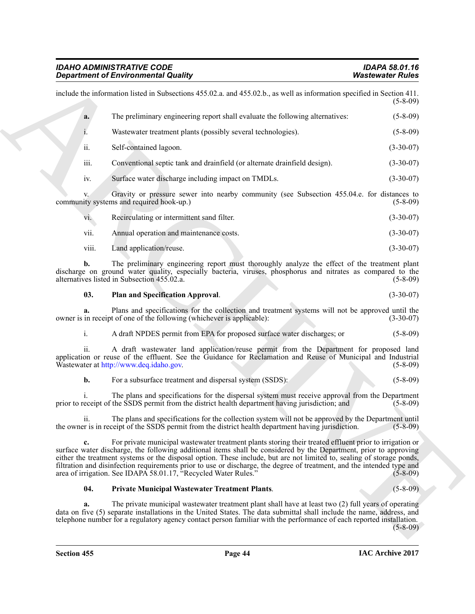|                | <b>Department of Environmental Quality</b>                                                                                                                                                                                                                                                                                                                                                                                                                                                                                                         | <b>Wastewater Rules</b> |
|----------------|----------------------------------------------------------------------------------------------------------------------------------------------------------------------------------------------------------------------------------------------------------------------------------------------------------------------------------------------------------------------------------------------------------------------------------------------------------------------------------------------------------------------------------------------------|-------------------------|
|                | include the information listed in Subsections 455.02.a. and 455.02.b., as well as information specified in Section 411.                                                                                                                                                                                                                                                                                                                                                                                                                            | $(5-8-09)$              |
| a.             | The preliminary engineering report shall evaluate the following alternatives:                                                                                                                                                                                                                                                                                                                                                                                                                                                                      | $(5-8-09)$              |
| 1.             | Wastewater treatment plants (possibly several technologies).                                                                                                                                                                                                                                                                                                                                                                                                                                                                                       | $(5 - 8 - 09)$          |
| ii.            | Self-contained lagoon.                                                                                                                                                                                                                                                                                                                                                                                                                                                                                                                             | $(3-30-07)$             |
| iii.           | Conventional septic tank and drainfield (or alternate drainfield design).                                                                                                                                                                                                                                                                                                                                                                                                                                                                          | $(3-30-07)$             |
| iv.            | Surface water discharge including impact on TMDLs.                                                                                                                                                                                                                                                                                                                                                                                                                                                                                                 | $(3-30-07)$             |
|                | Gravity or pressure sewer into nearby community (see Subsection 455.04.e. for distances to<br>community systems and required hook-up.)                                                                                                                                                                                                                                                                                                                                                                                                             | $(5 - 8 - 09)$          |
| vi.            | Recirculating or intermittent sand filter.                                                                                                                                                                                                                                                                                                                                                                                                                                                                                                         | $(3-30-07)$             |
| vii.           | Annual operation and maintenance costs.                                                                                                                                                                                                                                                                                                                                                                                                                                                                                                            | $(3-30-07)$             |
| viii.          | Land application/reuse.                                                                                                                                                                                                                                                                                                                                                                                                                                                                                                                            | $(3-30-07)$             |
| b.             | The preliminary engineering report must thoroughly analyze the effect of the treatment plant<br>discharge on ground water quality, especially bacteria, viruses, phosphorus and nitrates as compared to the<br>alternatives listed in Subsection 455.02.a.                                                                                                                                                                                                                                                                                         | $(5-8-09)$              |
| 03.            | Plan and Specification Approval.                                                                                                                                                                                                                                                                                                                                                                                                                                                                                                                   | $(3-30-07)$             |
|                | Plans and specifications for the collection and treatment systems will not be approved until the<br>owner is in receipt of one of the following (whichever is applicable):                                                                                                                                                                                                                                                                                                                                                                         | $(3-30-07)$             |
| $\mathbf{i}$ . | A draft NPDES permit from EPA for proposed surface water discharges; or                                                                                                                                                                                                                                                                                                                                                                                                                                                                            | $(5-8-09)$              |
|                | ii. A draft wastewater land application/reuse permit from the Department for proposed land application or reuse of the effluent. See the Guidance for Reclamation and Reuse of Municipal and Industrial<br>Wastewater at http://www.deq.idaho.gov.                                                                                                                                                                                                                                                                                                 | $(5 - 8 - 09)$          |
| b.             | For a subsurface treatment and dispersal system (SSDS):                                                                                                                                                                                                                                                                                                                                                                                                                                                                                            | $(5-8-09)$              |
|                | The plans and specifications for the dispersal system must receive approval from the Department<br>prior to receipt of the SSDS permit from the district health department having jurisdiction; and                                                                                                                                                                                                                                                                                                                                                | $(5-8-09)$              |
|                | The plans and specifications for the collection system will not be approved by the Department until<br>the owner is in receipt of the SSDS permit from the district health department having jurisdiction.                                                                                                                                                                                                                                                                                                                                         | $(5-8-09)$              |
| $c_{\bullet}$  | For private municipal wastewater treatment plants storing their treated effluent prior to irrigation or<br>surface water discharge, the following additional items shall be considered by the Department, prior to approving<br>either the treatment systems or the disposal option. These include, but are not limited to, sealing of storage ponds,<br>filtration and disinfection requirements prior to use or discharge, the degree of treatment, and the intended type and<br>area of irrigation. See IDAPA 58.01.17, "Recycled Water Rules." | $(5-8-09)$              |
|                | <b>Private Municipal Wastewater Treatment Plants.</b>                                                                                                                                                                                                                                                                                                                                                                                                                                                                                              | $(5 - 8 - 09)$          |
| 04.            |                                                                                                                                                                                                                                                                                                                                                                                                                                                                                                                                                    |                         |

## <span id="page-43-1"></span><span id="page-43-0"></span>**04. Private Municipal Wastewater Treatment Plants**. (5-8-09)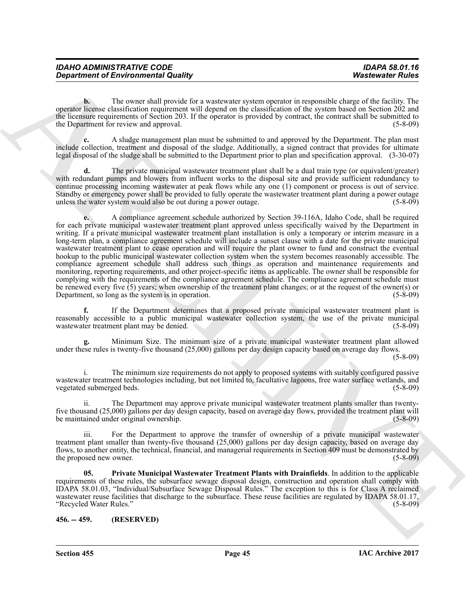| <b>IDAHO ADMINISTRATIVE CODE</b>           | <b>IDAPA 58.01.16</b>   |
|--------------------------------------------|-------------------------|
| <b>Department of Environmental Quality</b> | <b>Wastewater Rules</b> |

**b.** The owner shall provide for a wastewater system operator in responsible charge of the facility. The operator license classification requirement will depend on the classification of the system based on Section 202 and the licensure requirements of Section 203. If the operator is provided by contract, the contract shall be submitted to the Department for review and approval. (5-8-09) (5-8-09)

**c.** A sludge management plan must be submitted to and approved by the Department. The plan must include collection, treatment and disposal of the sludge. Additionally, a signed contract that provides for ultimate legal disposal of the sludge shall be submitted to the Department prior to plan and specification approval. (3-30-07)

**d.** The private municipal wastewater treatment plant shall be a dual train type (or equivalent/greater) with redundant pumps and blowers from influent works to the disposal site and provide sufficient redundancy to continue processing incoming wastewater at peak flows while any one (1) component or process is out of service. Standby or emergency power shall be provided to fully operate the wastewater treatment plant during a power outage unless the water system would also be out during a power outage. (5-8-09)

**Department of Environmental Quality . Wastessent of the space of the space of the space of the space of the space of the space of the space of the space of the space of the space of the space of the space of the space of e.** A compliance agreement schedule authorized by Section 39-116A, Idaho Code, shall be required for each private municipal wastewater treatment plant approved unless specifically waived by the Department in writing. If a private municipal wastewater treatment plant installation is only a temporary or interim measure in a long-term plan, a compliance agreement schedule will include a sunset clause with a date for the private municipal wastewater treatment plant to cease operation and will require the plant owner to fund and construct the eventual hookup to the public municipal wastewater collection system when the system becomes reasonably accessible. The compliance agreement schedule shall address such things as operation and maintenance requirements and monitoring, reporting requirements, and other project-specific items as applicable. The owner shall be responsible for complying with the requirements of the compliance agreement schedule. The compliance agreement schedule must be renewed every five  $(5)$  years; when ownership of the treatment plant changes; or at the request of the owner(s) or Department, so long as the system is in operation.  $(5-8-09)$ Department, so long as the system is in operation.

**f.** If the Department determines that a proposed private municipal wastewater treatment plant is reasonably accessible to a public municipal wastewater collection system, the use of the private municipal wastewater treatment plant may be denied. (5-8-09) wastewater treatment plant may be denied.

**g.** Minimum Size. The minimum size of a private municipal wastewater treatment plant allowed under these rules is twenty-five thousand (25,000) gallons per day design capacity based on average day flows.

<span id="page-44-1"></span>(5-8-09)

i. The minimum size requirements do not apply to proposed systems with suitably configured passive wastewater treatment technologies including, but not limited to, facultative lagoons, free water surface wetlands, and vegetated submerged beds. (5-8-09)

ii. The Department may approve private municipal wastewater treatment plants smaller than twentyfive thousand (25,000) gallons per day design capacity, based on average day flows, provided the treatment plant will be maintained under original ownership. (5-8-09)

iii. For the Department to approve the transfer of ownership of a private municipal wastewater treatment plant smaller than twenty-five thousand (25,000) gallons per day design capacity, based on average day flows, to another entity, the technical, financial, and managerial requirements in Section 409 must be demonstrated by the proposed new owner. (5-8-09)

**05. Private Municipal Wastewater Treatment Plants with Drainfields**. In addition to the applicable requirements of these rules, the subsurface sewage disposal design, construction and operation shall comply with IDAPA 58.01.03, "Individual/Subsurface Sewage Disposal Rules." The exception to this is for Class A reclaimed wastewater reuse facilities that discharge to the subsurface. These reuse facilities are regulated by IDAPA 58.01.17, "Recycled Water Rules." (5-8-09)

<span id="page-44-0"></span>**456. -- 459. (RESERVED)**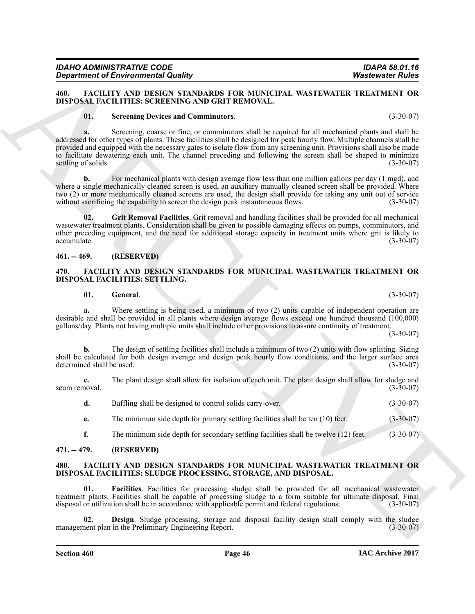## <span id="page-45-0"></span>**460. FACILITY AND DESIGN STANDARDS FOR MUNICIPAL WASTEWATER TREATMENT OR DISPOSAL FACILITIES: SCREENING AND GRIT REMOVAL.**

#### <span id="page-45-7"></span><span id="page-45-5"></span>**01. Screening Devices and Comminutors**. (3-30-07)

**Experiment of Enero in the strain of the SILVACIDE SUPPLING CONTINUES. We also the SILVACIDE SUPPLING CONTINUES (SUPPLING CONTINUES) AND CONTINUES (SUPPLING CONTINUES) (SUPPLING CONTINUES) (SUPPLING CONTINUES) (SUPPLING a.** Screening, coarse or fine, or comminutors shall be required for all mechanical plants and shall be addressed for other types of plants. These facilities shall be designed for peak hourly flow. Multiple channels shall be provided and equipped with the necessary gates to isolate flow from any screening unit. Provisions shall also be made to facilitate dewatering each unit. The channel preceding and following the screen shall be shaped to minimize settling of solids. (3-30-07)

**b.** For mechanical plants with design average flow less than one million gallons per day (1 mgd), and where a single mechanically cleaned screen is used, an auxiliary manually cleaned screen shall be provided. Where two (2) or more mechanically cleaned screens are used, the design shall provide for taking any unit out of service without sacrificing the capability to screen the design peak instantaneous flows.  $(3-30-07)$ 

<span id="page-45-6"></span>**02. Grit Removal Facilities**. Grit removal and handling facilities shall be provided for all mechanical wastewater treatment plants. Consideration shall be given to possible damaging effects on pumps, comminutors, and other preceding equipment, and the need for additional storage capacity in treatment units where grit is likely to  $\alpha$ ccumulate.  $(3-30-07)$ 

## <span id="page-45-1"></span>**461. -- 469. (RESERVED)**

#### <span id="page-45-2"></span>**470. FACILITY AND DESIGN STANDARDS FOR MUNICIPAL WASTEWATER TREATMENT OR DISPOSAL FACILITIES: SETTLING.**

<span id="page-45-9"></span><span id="page-45-8"></span>**01.** General. (3-30-07)

**a.** Where settling is being used, a minimum of two (2) units capable of independent operation are desirable and shall be provided in all plants where design average flows exceed one hundred thousand (100,000) gallons/day. Plants not having multiple units shall include other provisions to assure continuity of treatment.

(3-30-07)

**b.** The design of settling facilities shall include a minimum of two (2) units with flow splitting. Sizing shall be calculated for both design average and design peak hourly flow conditions, and the larger surface area<br>determined shall be used. (3-30-07) determined shall be used.

**c.** The plant design shall allow for isolation of each unit. The plant design shall allow for sludge and scum removal.  $(3-30-07)$ 

|  | Baffling shall be designed to control solids carry-over. |  | $(3-30-07)$ |
|--|----------------------------------------------------------|--|-------------|
|--|----------------------------------------------------------|--|-------------|

**e.** The minimum side depth for primary settling facilities shall be ten (10) feet. (3-30-07)

<span id="page-45-10"></span>**f.** The minimum side depth for secondary settling facilities shall be twelve (12) feet. (3-30-07)

## <span id="page-45-3"></span>**471. -- 479. (RESERVED)**

#### <span id="page-45-4"></span>**480. FACILITY AND DESIGN STANDARDS FOR MUNICIPAL WASTEWATER TREATMENT OR DISPOSAL FACILITIES: SLUDGE PROCESSING, STORAGE, AND DISPOSAL.**

<span id="page-45-12"></span>**01. Facilities**. Facilities for processing sludge shall be provided for all mechanical wastewater treatment plants. Facilities shall be capable of processing sludge to a form suitable for ultimate disposal. Final disposal or utilization shall be in accordance with applicable permit and federal regulations. (3-30-07)

<span id="page-45-11"></span>**Design**. Sludge processing, storage and disposal facility design shall comply with the sludge in the Preliminary Engineering Report. (3-30-07) management plan in the Preliminary Engineering Report.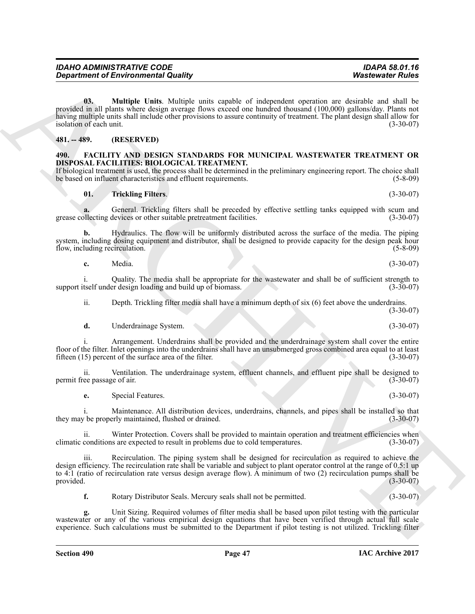**Expansion of Environmental Guality (and South Architecture Characteristics)**<br> **ARCHIVE Units (a)** Mathematic Characteristics (a) Mathematic Characteristics (a) Mathematic Characteristics (a) Mathematic Characteristics (a **03. Multiple Units**. Multiple units capable of independent operation are desirable and shall be provided in all plants where design average flows exceed one hundred thousand (100,000) gallons/day. Plants not having multiple units shall include other provisions to assure continuity of treatment. The plant design shall allow for isolation of each unit. (3-30-07)

#### <span id="page-46-4"></span><span id="page-46-0"></span>**481. -- 489. (RESERVED)**

#### <span id="page-46-1"></span>**490. FACILITY AND DESIGN STANDARDS FOR MUNICIPAL WASTEWATER TREATMENT OR DISPOSAL FACILITIES: BIOLOGICAL TREATMENT.**

If biological treatment is used, the process shall be determined in the preliminary engineering report. The choice shall be based on influent characteristics and effluent requirements. (5-8-09) be based on influent characteristics and effluent requirements.

#### <span id="page-46-3"></span><span id="page-46-2"></span>**01. Trickling Filters**. (3-30-07)

**a.** General. Trickling filters shall be preceded by effective settling tanks equipped with scum and ollecting devices or other suitable pretreatment facilities. (3-30-07) grease collecting devices or other suitable pretreatment facilities.

**b.** Hydraulics. The flow will be uniformly distributed across the surface of the media. The piping system, including dosing equipment and distributor, shall be designed to provide capacity for the design peak hour<br>flow, including recirculation. (5-8-09) flow, including recirculation.

**c.** Media. (3-30-07)

i. Quality. The media shall be appropriate for the wastewater and shall be of sufficient strength to tself under design loading and build up of biomass. (3-30-07) support itself under design loading and build up of biomass.

ii. Depth. Trickling filter media shall have a minimum depth of six (6) feet above the underdrains.

**d.** Underdrainage System. (3-30-07)

i. Arrangement. Underdrains shall be provided and the underdrainage system shall cover the entire floor of the filter. Inlet openings into the underdrains shall have an unsubmerged gross combined area equal to at least fifteen (15) percent of the surface area of the filter. fifteen  $(15)$  percent of the surface area of the filter.

ii. Ventilation. The underdrainage system, effluent channels, and effluent pipe shall be designed to ree passage of air. (3-30-07) permit free passage of air.

**e.** Special Features. (3-30-07)

i. Maintenance. All distribution devices, underdrains, channels, and pipes shall be installed so that they may be properly maintained, flushed or drained. (3-30-07)

ii. Winter Protection. Covers shall be provided to maintain operation and treatment efficiencies when conditions are expected to result in problems due to cold temperatures. (3-30-07) climatic conditions are expected to result in problems due to cold temperatures.

iii. Recirculation. The piping system shall be designed for recirculation as required to achieve the design efficiency. The recirculation rate shall be variable and subject to plant operator control at the range of 0.5:1 up to 4:1 (ratio of recirculation rate versus design average flow). A minimum of two (2) recirculation pumps shall be provided. (3-30-07) provided.  $(3-30-07)$ 

**f.** Rotary Distributor Seals. Mercury seals shall not be permitted. (3-30-07)

Unit Sizing. Required volumes of filter media shall be based upon pilot testing with the particular wastewater or any of the various empirical design equations that have been verified through actual full scale experience. Such calculations must be submitted to the Department if pilot testing is not utilized. Trickling filter

(3-30-07)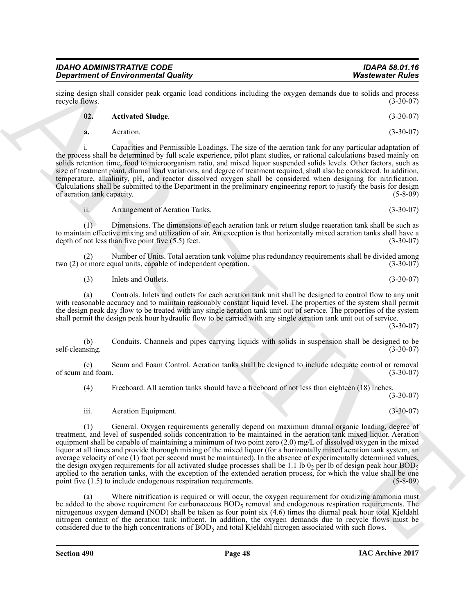sizing design shall consider peak organic load conditions including the oxygen demands due to solids and process recycle flows. (3-30-07) recycle flows.

#### <span id="page-47-0"></span>**02. Activated Sludge**. (3-30-07)

**a.** Aeration. (3-30-07)

i. Capacities and Permissible Loadings. The size of the aeration tank for any particular adaptation of the process shall be determined by full scale experience, pilot plant studies, or rational calculations based mainly on solids retention time, food to microorganism ratio, and mixed liquor suspended solids levels. Other factors, such as size of treatment plant, diurnal load variations, and degree of treatment required, shall also be considered. In addition, temperature, alkalinity, pH, and reactor dissolved oxygen shall be considered when designing for nitrification. Calculations shall be submitted to the Department in the preliminary engineering report to justify the basis for design of aeration tank capacity.

(1) Dimensions. The dimensions of each aeration tank or return sludge reaeration tank shall be such as to maintain effective mixing and utilization of air. An exception is that horizontally mixed aeration tanks shall have a

(2) Number of Units. Total aeration tank volume plus redundancy requirements shall be divided among or more equal units, capable of independent operation. two  $(2)$  or more equal units, capable of independent operation.

depth of not less than five point five (5.5) feet. (3-30-07)

(3) Inlets and Outlets. (3-30-07)

ii. Arrangement of Aeration Tanks. (3-30-07)

(a) Controls. Inlets and outlets for each aeration tank unit shall be designed to control flow to any unit with reasonable accuracy and to maintain reasonably constant liquid level. The properties of the system shall permit the design peak day flow to be treated with any single aeration tank unit out of service. The properties of the system shall permit the design peak hour hydraulic flow to be carried with any single aeration tank unit out of service.

(3-30-07)

(b) Conduits. Channels and pipes carrying liquids with solids in suspension shall be designed to be self-cleansing. (3-30-07)

(c) Scum and Foam Control. Aeration tanks shall be designed to include adequate control or removal of scum and foam.

(4) Freeboard. All aeration tanks should have a freeboard of not less than eighteen (18) inches.

iii. Aeration Equipment. (3-30-07)

**Experiment of Environmental Quality<br>
Street of the cost of the cost of the cost of the cost of the cost of the cost of the cost of the cost of the cost of the cost of the cost of the cost of the cost of the cost of the c** (1) General. Oxygen requirements generally depend on maximum diurnal organic loading, degree of treatment, and level of suspended solids concentration to be maintained in the aeration tank mixed liquor. Aeration equipment shall be capable of maintaining a minimum of two point zero (2.0) mg/L of dissolved oxygen in the mixed liquor at all times and provide thorough mixing of the mixed liquor (for a horizontally mixed aeration tank system, an average velocity of one (1) foot per second must be maintained). In the absence of experimentally determined values, the design oxygen requirements for all activated sludge processes shall be 1.1 lb 02 per lb of design peak hour BOD5 applied to the aeration tanks, with the exception of the extended aeration process, for which the value shall be one point five  $(1.5)$  to include endogenous respiration requirements.  $(5-8-09)$ point five  $(1.5)$  to include endogenous respiration requirements.

(a) Where nitrification is required or will occur, the oxygen requirement for oxidizing ammonia must be added to the above requirement for carbonaceous  $BOD<sub>5</sub>$  removal and endogenous respiration requirements. The nitrogenous oxygen demand (NOD) shall be taken as four point six (4.6) times the diurnal peak hour total Kjeldahl nitrogen content of the aeration tank influent. In addition, the oxygen demands due to recycle flows must be considered due to the high concentrations of  $BOD<sub>5</sub>$  and total Kjeldahl nitrogen associated with such flows.

(3-30-07)

**IAC Archive 2017**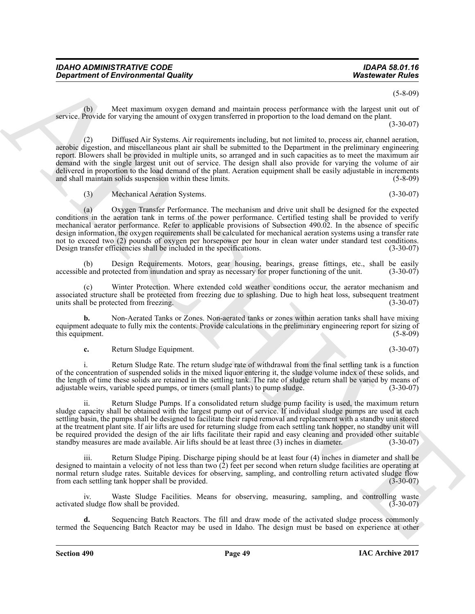(5-8-09)

(b) Meet maximum oxygen demand and maintain process performance with the largest unit out of service. Provide for varying the amount of oxygen transferred in proportion to the load demand on the plant. (3-30-07)

*Department of Environmental Quality* **Washesentz Fulses**<br> **SEVENCES CONTROLL CONTROLL CONTROLL CONTROLL CONTROLL CONTROLL CONTROLL CONTROLL CONTROLL CONTROLL CONTROLL CONTROLL CONTROLL CONTROLL CONTROLL CONTROLL CONTRO** (2) Diffused Air Systems. Air requirements including, but not limited to, process air, channel aeration, aerobic digestion, and miscellaneous plant air shall be submitted to the Department in the preliminary engineering report. Blowers shall be provided in multiple units, so arranged and in such capacities as to meet the maximum air demand with the single largest unit out of service. The design shall also provide for varying the volume of air delivered in proportion to the load demand of the plant. Aeration equipment shall be easily adjustable in increments and shall maintain solids suspension within these limits. (5-8-09) and shall maintain solids suspension within these limits.

(3) Mechanical Aeration Systems. (3-30-07)

(a) Oxygen Transfer Performance. The mechanism and drive unit shall be designed for the expected conditions in the aeration tank in terms of the power performance. Certified testing shall be provided to verify mechanical aerator performance. Refer to applicable provisions of Subsection 490.02. In the absence of specific design information, the oxygen requirements shall be calculated for mechanical aeration systems using a transfer rate not to exceed two (2) pounds of oxygen per horsepower per hour in clean water under standard test conditions. Design transfer efficiencies shall be included in the specifications. (3-30-07)

Design Requirements. Motors, gear housing, bearings, grease fittings, etc., shall be easily betected from inundation and spray as necessary for proper functioning of the unit. (3-30-07) accessible and protected from inundation and spray as necessary for proper functioning of the unit.

(c) Winter Protection. Where extended cold weather conditions occur, the aerator mechanism and associated structure shall be protected from freezing due to splashing. Due to high heat loss, subsequent treatment units shall be protected from freezing. (3-30-07) units shall be protected from freezing.

**b.** Non-Aerated Tanks or Zones. Non-aerated tanks or zones within aeration tanks shall have mixing equipment adequate to fully mix the contents. Provide calculations in the preliminary engineering report for sizing of this equipment. (5-8-09) this equipment.

**c.** Return Sludge Equipment. (3-30-07)

i. Return Sludge Rate. The return sludge rate of withdrawal from the final settling tank is a function of the concentration of suspended solids in the mixed liquor entering it, the sludge volume index of these solids, and the length of time these solids are retained in the settling tank. The rate of sludge return shall be varied by means of adjustable weirs, variable speed pumps, or timers (small plants) to pump sludge. (3-30-07)

ii. Return Sludge Pumps. If a consolidated return sludge pump facility is used, the maximum return sludge capacity shall be obtained with the largest pump out of service. If individual sludge pumps are used at each settling basin, the pumps shall be designed to facilitate their rapid removal and replacement with a standby unit stored at the treatment plant site. If air lifts are used for returning sludge from each settling tank hopper, no standby unit will be required provided the design of the air lifts facilitate their rapid and easy cleaning and provided other suitable standby measures are made available. Air lifts should be at least three (3) inches in diameter. (3-30-07 standby measures are made available. Air lifts should be at least three (3) inches in diameter.

iii. Return Sludge Piping. Discharge piping should be at least four (4) inches in diameter and shall be designed to maintain a velocity of not less than two  $(2)$  feet per second when return sludge facilities are operating at normal return sludge rates. Suitable devices for observing, sampling, and controlling return activated sludge flow<br>from each settling tank hopper shall be provided. (3-30-07) from each settling tank hopper shall be provided.

iv. Waste Sludge Facilities. Means for observing, measuring, sampling, and controlling waste activated sludge flow shall be provided. (3-30-07)

**d.** Sequencing Batch Reactors. The fill and draw mode of the activated sludge process commonly termed the Sequencing Batch Reactor may be used in Idaho. The design must be based on experience at other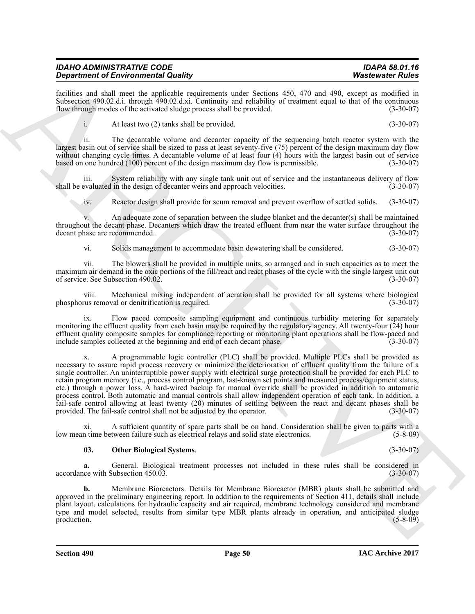| <b>IDAHO ADMINISTRATIVE CODE</b><br><b>Department of Environmental Quality</b> |  |  |  |  |  |  |          |  | IDAPA 58.01.16<br><b>Wastewater Rules</b> |  |
|--------------------------------------------------------------------------------|--|--|--|--|--|--|----------|--|-------------------------------------------|--|
| $\sim$ $\sim$ $\sim$                                                           |  |  |  |  |  |  | $\cdots$ |  |                                           |  |

facilities and shall meet the applicable requirements under Sections 450, 470 and 490, except as modified in Subsection 490.02.d.i. through 490.02.d.xi. Continuity and reliability of treatment equal to that of the continuous flow through modes of the activated sludge process shall be provided. (3-30-07) flow through modes of the activated sludge process shall be provided.

i. At least two (2) tanks shall be provided. (3-30-07)

ii. The decantable volume and decanter capacity of the sequencing batch reactor system with the largest basin out of service shall be sized to pass at least seventy-five (75) percent of the design maximum day flow without changing cycle times. A decantable volume of at least four (4) hours with the largest basin out of service based on one hundred (100) percent of the design maximum day flow is permissible. (3-30-07)

iii. System reliability with any single tank unit out of service and the instantaneous delivery of flow evaluated in the design of decanter weirs and approach velocities. (3-30-07) shall be evaluated in the design of decanter weirs and approach velocities.

iv. Reactor design shall provide for scum removal and prevent overflow of settled solids. (3-30-07)

v. An adequate zone of separation between the sludge blanket and the decanter(s) shall be maintained throughout the decant phase. Decanters which draw the treated effluent from near the water surface throughout the decant phase are recommended. (3-30-07)

vi. Solids management to accommodate basin dewatering shall be considered. (3-30-07)

vii. The blowers shall be provided in multiple units, so arranged and in such capacities as to meet the maximum air demand in the oxic portions of the fill/react and react phases of the cycle with the single largest unit out of service. See Subsection 490.02. (3-30-07)

viii. Mechanical mixing independent of aeration shall be provided for all systems where biological rus removal or denitrification is required. (3-30-07) phosphorus removal or denitrification is required.

ix. Flow paced composite sampling equipment and continuous turbidity metering for separately monitoring the effluent quality from each basin may be required by the regulatory agency. All twenty-four (24) hour effluent quality composite samples for compliance reporting or monitoring plant operations shall be flow-paced and include samples collected at the beginning and end of each decant phase. (3-30-07)

**Strainer of Encyclope the Construction of the Construction of the Construction of the Construction of the Construction of the Construction of the Construction of the Construction of the Construction of the Construction o** x. A programmable logic controller (PLC) shall be provided. Multiple PLCs shall be provided as necessary to assure rapid process recovery or minimize the deterioration of effluent quality from the failure of a single controller. An uninterruptible power supply with electrical surge protection shall be provided for each PLC to retain program memory (i.e., process control program, last-known set points and measured process/equipment status, etc.) through a power loss. A hard-wired backup for manual override shall be provided in addition to automatic process control. Both automatic and manual controls shall allow independent operation of each tank. In addition, a fail-safe control allowing at least twenty (20) minutes of settling between the react and decant phases shall be provided. The fail-safe control shall not be adjusted by the operator. (3-30-07)

xi. A sufficient quantity of spare parts shall be on hand. Consideration shall be given to parts with a low mean time between failure such as electrical relays and solid state electronics.

## <span id="page-49-0"></span>**03. Other Biological Systems**. (3-30-07)

**a.** General. Biological treatment processes not included in these rules shall be considered in these with Subsection 450.03. (3-30-07) accordance with Subsection  $450.03$ .

**b.** Membrane Bioreactors. Details for Membrane Bioreactor (MBR) plants shall be submitted and approved in the preliminary engineering report. In addition to the requirements of Section 411, details shall include plant layout, calculations for hydraulic capacity and air required, membrane technology considered and membrane type and model selected, results from similar type MBR plants already in operation, and anticipated sludge  $\mu$  production.  $(5-8-09)$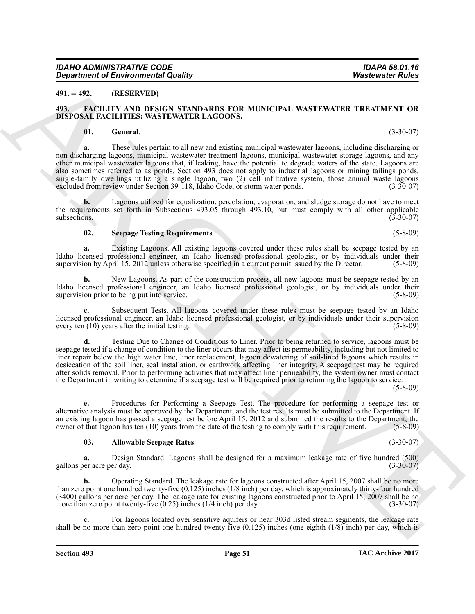#### <span id="page-50-0"></span>**491. -- 492. (RESERVED)**

#### <span id="page-50-1"></span>**493. FACILITY AND DESIGN STANDARDS FOR MUNICIPAL WASTEWATER TREATMENT OR DISPOSAL FACILITIES: WASTEWATER LAGOONS.**

#### <span id="page-50-4"></span><span id="page-50-2"></span>**01. General**. (3-30-07)

*Government of Environmental Quality* **Washesentz Plutes**<br> **491. 492. 492. The Latitude School Control is the control of the Control in the Control of the Control of the Control of the Control of the Control of the a.** These rules pertain to all new and existing municipal wastewater lagoons, including discharging or non-discharging lagoons, municipal wastewater treatment lagoons, municipal wastewater storage lagoons, and any other municipal wastewater lagoons that, if leaking, have the potential to degrade waters of the state. Lagoons are also sometimes referred to as ponds. Section 493 does not apply to industrial lagoons or mining tailings ponds, single-family dwellings utilizing a single lagoon, two (2) cell infiltrative system, those animal waste lagoons excluded from review under Section 39-118. Idaho Code, or storm water ponds. (3-30-07) excluded from review under Section 39-118, Idaho Code, or storm water ponds.

**b.** Lagoons utilized for equalization, percolation, evaporation, and sludge storage do not have to meet the requirements set forth in Subsections 493.05 through 493.10, but must comply with all other applicable subsections. (3-30-07)  $\omega$ subsections. (3-30-07)

#### <span id="page-50-5"></span>**02. Seepage Testing Requirements**. (5-8-09)

**a.** Existing Lagoons. All existing lagoons covered under these rules shall be seepage tested by an Idaho licensed professional engineer, an Idaho licensed professional geologist, or by individuals under their supervision by April 15, 2012 unless otherwise specified in a current permit issued by the Director. (5-8-09) supervision by April 15, 2012 unless otherwise specified in a current permit issued by the Director.

**b.** New Lagoons. As part of the construction process, all new lagoons must be seepage tested by an Idaho licensed professional engineer, an Idaho licensed professional geologist, or by individuals under their supervision prior to being put into service. (5-8-09) supervision prior to being put into service.

**c.** Subsequent Tests. All lagoons covered under these rules must be seepage tested by an Idaho licensed professional engineer, an Idaho licensed professional geologist, or by individuals under their supervision every ten  $(10)$  years after the initial testing.

**d.** Testing Due to Change of Conditions to Liner. Prior to being returned to service, lagoons must be seepage tested if a change of condition to the liner occurs that may affect its permeability, including but not limited to liner repair below the high water line, liner replacement, lagoon dewatering of soil-lined lagoons which results in desiccation of the soil liner, seal installation, or earthwork affecting liner integrity. A seepage test may be required after solids removal. Prior to performing activities that may affect liner permeability, the system owner must contact the Department in writing to determine if a seepage test will be required prior to returning the lagoon to service.

(5-8-09)

**e.** Procedures for Performing a Seepage Test. The procedure for performing a seepage test or alternative analysis must be approved by the Department, and the test results must be submitted to the Department. If an existing lagoon has passed a seepage test before April 15, 2012 and submitted the results to the Department, the owner of that lagoon has ten (10) years from the date of the testing to comply with this requirement. (5-8 owner of that lagoon has ten (10) years from the date of the testing to comply with this requirement.

#### <span id="page-50-3"></span>**03. Allowable Seepage Rates**. (3-30-07)

**a.** Design Standard. Lagoons shall be designed for a maximum leakage rate of five hundred (500) gallons per acre per day. (3-30-07)

**b.** Operating Standard. The leakage rate for lagoons constructed after April 15, 2007 shall be no more than zero point one hundred twenty-five (0.125) inches (1/8 inch) per day, which is approximately thirty-four hundred (3400) gallons per acre per day. The leakage rate for existing lagoons constructed prior to April 15, 2007 shall be no more than zero point twenty-five (0.25) inches (1/4 inch) per day. (3-30-07)

For lagoons located over sensitive aquifers or near 303d listed stream segments, the leakage rate shall be no more than zero point one hundred twenty-five  $(0.125)$  inches (one-eighth  $(1/8)$  inch) per day, which is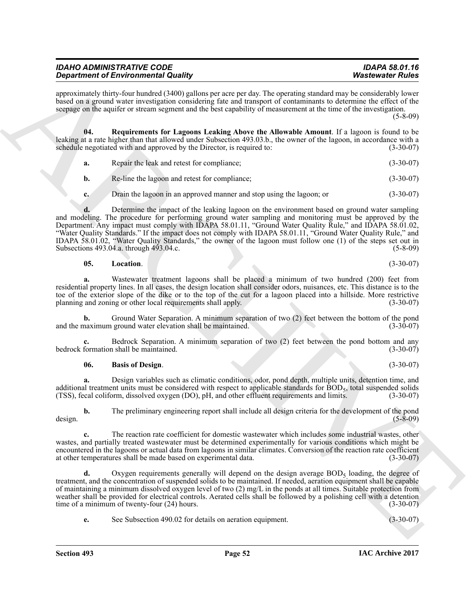| <b>IDAHO ADMINISTRATIVE CODE</b>           | <b>IDAPA 58.01.16</b>   |
|--------------------------------------------|-------------------------|
| <b>Department of Environmental Quality</b> | <b>Wastewater Rules</b> |

approximately thirty-four hundred (3400) gallons per acre per day. The operating standard may be considerably lower based on a ground water investigation considering fate and transport of contaminants to determine the effect of the seepage on the aquifer or stream segment and the best capability of measurement at the time of the investigation.

(5-8-09)

**04. Requirements for Lagoons Leaking Above the Allowable Amount**. If a lagoon is found to be leaking at a rate higher than that allowed under Subsection 493.03.b., the owner of the lagoon, in accordance with a schedule negotiated with and approved by the Director, is required to: (3-30-07)

<span id="page-51-2"></span>**a.** Repair the leak and retest for compliance; (3-30-07)

**b.** Re-line the lagoon and retest for compliance; (3-30-07)

**c.** Drain the lagoon in an approved manner and stop using the lagoon; or (3-30-07)

**Strained of Encyclopedia Country, the system, the system, the system and set that is a system of Euler Strained Strained Strained Strained Strained Strained Strained Strained Strained Strained Strained Strained Strained d.** Determine the impact of the leaking lagoon on the environment based on ground water sampling and modeling. The procedure for performing ground water sampling and monitoring must be approved by the Department. Any impact must comply with IDAPA 58.01.11, "Ground Water Quality Rule," and IDAPA 58.01.02, "Water Quality Standards." If the impact does not comply with IDAPA 58.01.11, "Ground Water Quality Rule," and IDAPA 58.01.02, "Water Quality Standards," the owner of the lagoon must follow one (1) of the steps set out in Subsections 493.04.a. through 493.04.c. (5-8-09)

## <span id="page-51-1"></span>**05.** Location. (3-30-07)

**a.** Wastewater treatment lagoons shall be placed a minimum of two hundred (200) feet from residential property lines. In all cases, the design location shall consider odors, nuisances, etc. This distance is to the toe of the exterior slope of the dike or to the top of the cut for a lagoon placed into a hillside. More restrictive planning and zoning or other local requirements shall apply. (3-30-07) planning and zoning or other local requirements shall apply.

**b.** Ground Water Separation. A minimum separation of two (2) feet between the bottom of the pond naximum ground water elevation shall be maintained. (3-30-07) and the maximum ground water elevation shall be maintained.

**c.** Bedrock Separation. A minimum separation of two (2) feet between the pond bottom and any formation shall be maintained. (3-30-07) bedrock formation shall be maintained.

#### <span id="page-51-0"></span>**06. Basis of Design**. (3-30-07)

**a.** Design variables such as climatic conditions, odor, pond depth, multiple units, detention time, and additional treatment units must be considered with respect to applicable standards for  $\text{BOD}_5$ , total suspended solids (TSS), fecal coliform, dissolved oxygen (DO), pH, and other effluent requirements and limits. (3-30-(TSS), fecal coliform, dissolved oxygen (DO), pH, and other effluent requirements and limits. (3-30-07)

**b.** The preliminary engineering report shall include all design criteria for the development of the pond design. (5-8-09)

**c.** The reaction rate coefficient for domestic wastewater which includes some industrial wastes, other wastes, and partially treated wastewater must be determined experimentally for various conditions which might be encountered in the lagoons or actual data from lagoons in similar climates. Conversion of the reaction rate coefficient at other temperatures shall be made based on experimental data. (3-30-07)

**d.** Oxygen requirements generally will depend on the design average  $BOD<sub>5</sub>$  loading, the degree of treatment, and the concentration of suspended solids to be maintained. If needed, aeration equipment shall be capable of maintaining a minimum dissolved oxygen level of two (2) mg/L in the ponds at all times. Suitable protection from weather shall be provided for electrical controls. Aerated cells shall be followed by a polishing cell with a detention time of a minimum of twenty-four (24) hours. (3-30-07)

**e.** See Subsection 490.02 for details on aeration equipment. (3-30-07)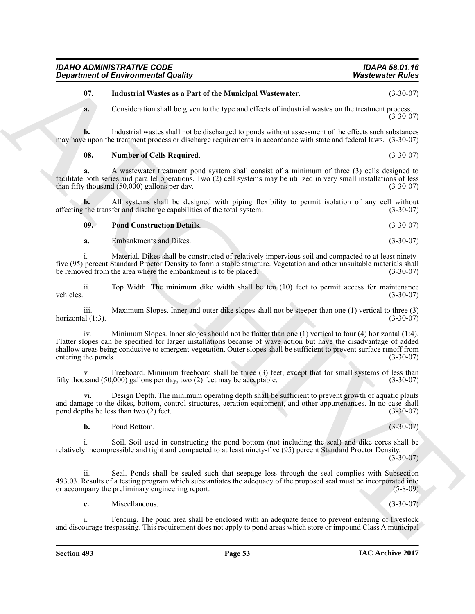## <span id="page-52-0"></span>**07. Industrial Wastes as a Part of the Municipal Wastewater**. (3-30-07)

**a.** Consideration shall be given to the type and effects of industrial wastes on the treatment process.  $(3 - 30 - 07)$ 

**b.** Industrial wastes shall not be discharged to ponds without assessment of the effects such substances may have upon the treatment process or discharge requirements in accordance with state and federal laws. (3-30-07)

#### <span id="page-52-1"></span>**08. Number of Cells Required**. (3-30-07)

**a.** A wastewater treatment pond system shall consist of a minimum of three (3) cells designed to facilitate both series and parallel operations. Two (2) cell systems may be utilized in very small installations of less than fifty thousand  $(50,000)$  gallons per day.

**b.** All systems shall be designed with piping flexibility to permit isolation of any cell without the transfer and discharge capabilities of the total system. (3-30-07) affecting the transfer and discharge capabilities of the total system.

<span id="page-52-2"></span>

| 09. | <b>Pond Construction Details.</b> | $(3-30-07)$ |
|-----|-----------------------------------|-------------|
|-----|-----------------------------------|-------------|

**a.** Embankments and Dikes. (3-30-07)

i. Material. Dikes shall be constructed of relatively impervious soil and compacted to at least ninetyfive (95) percent Standard Proctor Density to form a stable structure. Vegetation and other unsuitable materials shall<br>(3-30-07) eremoved from the area where the embankment is to be placed. be removed from the area where the embankment is to be placed.

ii. Top Width. The minimum dike width shall be ten (10) feet to permit access for maintenance vehicles. (3-30-07)

iii. Maximum Slopes. Inner and outer dike slopes shall not be steeper than one (1) vertical to three (3)  $(3-30-07)$ horizontal  $(1:3)$ .

**Expansion of Environmental County.** Washes were the systems of Paris 2011. Industrial Water at Equivariant Water to the Stuaring University of the Stuaring Construction of the Stuaring Construction of the Construction of iv. Minimum Slopes. Inner slopes should not be flatter than one (1) vertical to four (4) horizontal (1:4). Flatter slopes can be specified for larger installations because of wave action but have the disadvantage of added shallow areas being conducive to emergent vegetation. Outer slopes shall be sufficient to prevent surface runoff from entering the ponds. (3-30-07) entering the ponds.

v. Freeboard. Minimum freeboard shall be three  $(3)$  feet, except that for small systems of less than usand  $(50,000)$  gallons per day, two  $(2)$  feet may be acceptable.  $(3-30-07)$ fifty thousand  $(50,000)$  gallons per day, two  $(2)$  feet may be acceptable.

vi. Design Depth. The minimum operating depth shall be sufficient to prevent growth of aquatic plants and damage to the dikes, bottom, control structures, aeration equipment, and other appurtenances. In no case shall<br>(3-30-07) (3-30-07) (3-30-07) pond depths be less than two  $(2)$  feet.

**b.** Pond Bottom. (3-30-07)

i. Soil. Soil used in constructing the pond bottom (not including the seal) and dike cores shall be relatively incompressible and tight and compacted to at least ninety-five (95) percent Standard Proctor Density.

 $(3-30-07)$ 

ii. Seal. Ponds shall be sealed such that seepage loss through the seal complies with Subsection 493.03. Results of a testing program which substantiates the adequacy of the proposed seal must be incorporated into or accompany the preliminary engineering report. (5-8-09)

**c.** Miscellaneous. (3-30-07)

Fencing. The pond area shall be enclosed with an adequate fence to prevent entering of livestock and discourage trespassing. This requirement does not apply to pond areas which store or impound Class A municipal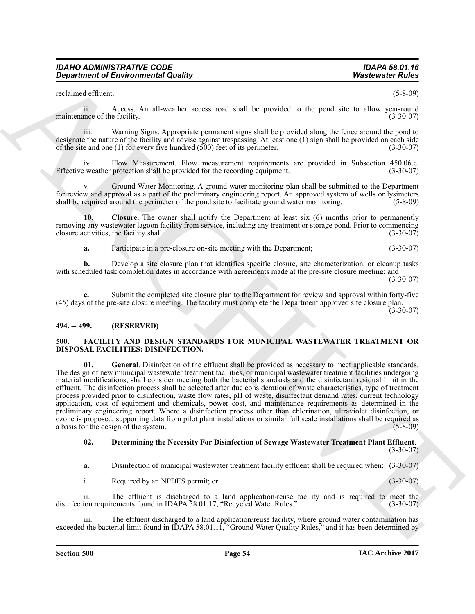reclaimed effluent. (5-8-09)

ii. Access. An all-weather access road shall be provided to the pond site to allow year-round maintenance of the facility.

iii. Warning Signs. Appropriate permanent signs shall be provided along the fence around the pond to designate the nature of the facility and advise against trespassing. At least one (1) sign shall be provided on each side of the site and one (1) for every five hundred  $(500)$  feet of its perimeter.  $(3-30-07)$ 

Flow Measurement. Flow measurement requirements are provided in Subsection 450.06.e. protection shall be provided for the recording equipment. (3-30-07) Effective weather protection shall be provided for the recording equipment.

v. Ground Water Monitoring. A ground water monitoring plan shall be submitted to the Department for review and approval as a part of the preliminary engineering report. An approved system of wells or lysimeters shall be required around the perimeter of the pond site to facilitate ground water monitoring. (5-8-09)

**10. Closure**. The owner shall notify the Department at least six (6) months prior to permanently removing any wastewater lagoon facility from service, including any treatment or storage pond. Prior to commencing closure activities, the facility shall: (3-30-07)

<span id="page-53-5"></span>**a.** Participate in a pre-closure on-site meeting with the Department;  $(3-30-07)$ 

**b.** Develop a site closure plan that identifies specific closure, site characterization, or cleanup tasks with scheduled task completion dates in accordance with agreements made at the pre-site closure meeting; and (3-30-07)

**c.** Submit the completed site closure plan to the Department for review and approval within forty-five (45) days of the pre-site closure meeting. The facility must complete the Department approved site closure plan.

 $(3 - 30 - 07)$ 

## <span id="page-53-0"></span>**494. -- 499. (RESERVED)**

#### <span id="page-53-4"></span><span id="page-53-2"></span><span id="page-53-1"></span>**500. FACILITY AND DESIGN STANDARDS FOR MUNICIPAL WASTEWATER TREATMENT OR DISPOSAL FACILITIES: DISINFECTION.**

**Equation of Environmental Guality 1998**<br>
Systematic Cheron control of the systematic scate wite duality is emotion to the proof of the systematic control of the systematic control of the systematic scattering the control **01. General**. Disinfection of the effluent shall be provided as necessary to meet applicable standards. The design of new municipal wastewater treatment facilities, or municipal wastewater treatment facilities undergoing material modifications, shall consider meeting both the bacterial standards and the disinfectant residual limit in the effluent. The disinfection process shall be selected after due consideration of waste characteristics, type of treatment process provided prior to disinfection, waste flow rates, pH of waste, disinfectant demand rates, current technology application, cost of equipment and chemicals, power cost, and maintenance requirements as determined in the preliminary engineering report. Where a disinfection process other than chlorination, ultraviolet disinfection, or ozone is proposed, supporting data from pilot plant installations or similar full scale installations shall be required as a basis for the design of the system.

#### <span id="page-53-3"></span>**02. Determining the Necessity For Disinfection of Sewage Wastewater Treatment Plant Effluent**.  $(3-30-07)$

**a.** Disinfection of municipal wastewater treatment facility effluent shall be required when: (3-30-07)

i. Required by an NPDES permit; or (3-30-07)

ii. The effluent is discharged to a land application/reuse facility and is required to meet the ion requirements found in IDAPA 58.01.17, "Recycled Water Rules." (3-30-07) disinfection requirements found in IDAPA 58.01.17, "Recycled Water Rules."

iii. The effluent discharged to a land application/reuse facility, where ground water contamination has exceeded the bacterial limit found in IDAPA 58.01.11, "Ground Water Quality Rules," and it has been determined by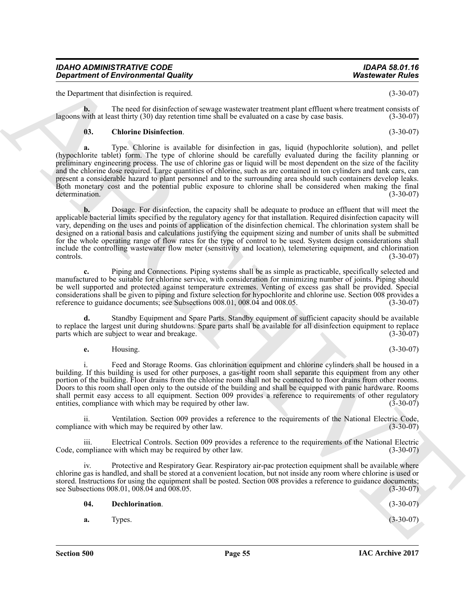the Department that disinfection is required. (3-30-07)

**b.** The need for disinfection of sewage wastewater treatment plant effluent where treatment consists of with at least thirty (30) day retention time shall be evaluated on a case by case basis. (3-30-07) lagoons with at least thirty  $(30)$  day retention time shall be evaluated on a case by case basis.

## <span id="page-54-0"></span>**03. Chlorine Disinfection**. (3-30-07)

**a.** Type. Chlorine is available for disinfection in gas, liquid (hypochlorite solution), and pellet (hypochlorite tablet) form. The type of chlorine should be carefully evaluated during the facility planning or preliminary engineering process. The use of chlorine gas or liquid will be most dependent on the size of the facility and the chlorine dose required. Large quantities of chlorine, such as are contained in ton cylinders and tank cars, can present a considerable hazard to plant personnel and to the surrounding area should such containers develop leaks. Both monetary cost and the potential public exposure to chlorine shall be considered when making the final determination. (3-30-07) determination. (3-30-07)

**Experiment of Environmental County.** Washesents Public to the Unit of the Unit of the Unit of the Unit of the Unit of the Unit of the Unit of the Unit of the Unit of the Unit of the Unit of the Unit of the Unit of the Un **b.** Dosage. For disinfection, the capacity shall be adequate to produce an effluent that will meet the applicable bacterial limits specified by the regulatory agency for that installation. Required disinfection capacity will vary, depending on the uses and points of application of the disinfection chemical. The chlorination system shall be designed on a rational basis and calculations justifying the equipment sizing and number of units shall be submitted for the whole operating range of flow rates for the type of control to be used. System design considerations shall include the controlling wastewater flow meter (sensitivity and location), telemetering equipment, and chlorination  $\frac{1}{3-30-07}$  (3-30-07)

**c.** Piping and Connections. Piping systems shall be as simple as practicable, specifically selected and manufactured to be suitable for chlorine service, with consideration for minimizing number of joints. Piping should be well supported and protected against temperature extremes. Venting of excess gas shall be provided. Special considerations shall be given to piping and fixture selection for hypochlorite and chlorine use. Section 008 provides a reference to guidance documents; see Subsections 008.01, 008.04 and 008.05.

**d.** Standby Equipment and Spare Parts. Standby equipment of sufficient capacity should be available to replace the largest unit during shutdowns. Spare parts shall be available for all disinfection equipment to replace parts which are subject to wear and breakage. (3-30-07) parts which are subject to wear and breakage.

**e.** Housing. (3-30-07)

i. Feed and Storage Rooms. Gas chlorination equipment and chlorine cylinders shall be housed in a building. If this building is used for other purposes, a gas-tight room shall separate this equipment from any other portion of the building. Floor drains from the chlorine room shall not be connected to floor drains from other rooms. Doors to this room shall open only to the outside of the building and shall be equipped with panic hardware. Rooms shall permit easy access to all equipment. Section 009 provides a reference to requirements of other regulatory<br>entities, compliance with which may be required by other law. entities, compliance with which may be required by other law.

ii. Ventilation. Section 009 provides a reference to the requirements of the National Electric Code, compliance with which may be required by other law.

iii. Electrical Controls. Section 009 provides a reference to the requirements of the National Electric Code, compliance with which may be required by other law.

iv. Protective and Respiratory Gear. Respiratory air-pac protection equipment shall be available where chlorine gas is handled, and shall be stored at a convenient location, but not inside any room where chlorine is used or stored. Instructions for using the equipment shall be posted. Section 008 provides a reference to guidance documents; see Subsections 008.01, 008.04 and 008.05. (3-30-07)

<span id="page-54-1"></span>**04. Dechlorination**. (3-30-07) **a.** Types. (3-30-07)

**IAC Archive 2017**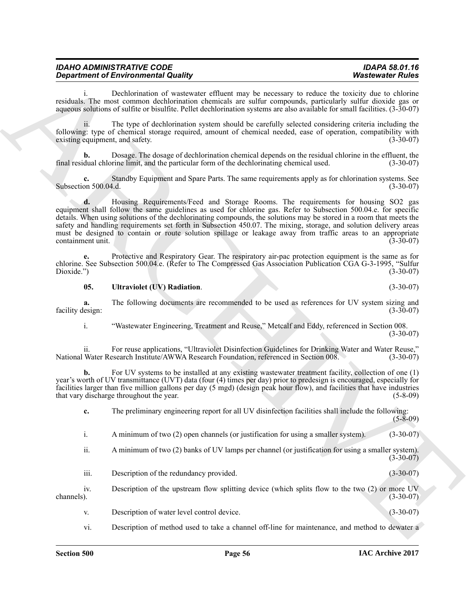| <b>IDAHO ADMINISTRATIVE CODE</b>           | <b>IDAPA 58.01.16</b>   |
|--------------------------------------------|-------------------------|
| <b>Department of Environmental Quality</b> | <b>Wastewater Rules</b> |

i. Dechlorination of wastewater effluent may be necessary to reduce the toxicity due to chlorine residuals. The most common dechlorination chemicals are sulfur compounds, particularly sulfur dioxide gas or aqueous solutions of sulfite or bisulfite. Pellet dechlorination systems are also available for small facilities. (3-30-07)

ii. The type of dechlorination system should be carefully selected considering criteria including the following: type of chemical storage required, amount of chemical needed, ease of operation, compatibility with existing equipment, and safety.

**b.** Dosage. The dosage of dechlorination chemical depends on the residual chlorine in the effluent, the final residual chlorine limit, and the particular form of the dechlorinating chemical used. (3-30-07)

**c.** Standby Equipment and Spare Parts. The same requirements apply as for chlorination systems. See<br>on 500.04.d. (3-30-07) Subsection 500.04.d.

**Equation of Environmental Country is the constant of the system in the system of the system of the system of the system of the system of the system of the system of the system of the system of the system of the system of d.** Housing Requirements/Feed and Storage Rooms. The requirements for housing SO2 gas equipment shall follow the same guidelines as used for chlorine gas. Refer to Subsection 500.04.e. for specific details. When using solutions of the dechlorinating compounds, the solutions may be stored in a room that meets the safety and handling requirements set forth in Subsection 450.07. The mixing, storage, and solution delivery areas must be designed to contain or route solution spillage or leakage away from traffic areas to an appropriate containment unit. containment unit.

**e.** Protective and Respiratory Gear. The respiratory air-pac protection equipment is the same as for chlorine. See Subsection 500.04.e. (Refer to The Compressed Gas Association Publication CGA G-3-1995, "Sulfur Dioxide.") (3-30-07)

#### <span id="page-55-0"></span>**05. Ultraviolet (UV) Radiation**. (3-30-07)

**a.** The following documents are recommended to be used as references for UV system sizing and lesign: (3-30-07) facility design:

i. "Wastewater Engineering, Treatment and Reuse," Metcalf and Eddy, referenced in Section 008.  $(3-30-07)$ 

ii. For reuse applications, "Ultraviolet Disinfection Guidelines for Drinking Water and Water Reuse," National Water Research Institute/AWWA Research Foundation, referenced in Section 008.

**b.** For UV systems to be installed at any existing wastewater treatment facility, collection of one (1) year's worth of UV transmittance (UVT) data (four (4) times per day) prior to predesign is encouraged, especially for facilities larger than five million gallons per day (5 mgd) (design peak hour flow), and facilities that have industries that vary discharge throughout the year.

**c.** The preliminary engineering report for all UV disinfection facilities shall include the following:  $(5-8-09)$ 

- i. A minimum of two (2) open channels (or justification for using a smaller system). (3-30-07)
- ii. A minimum of two (2) banks of UV lamps per channel (or justification for using a smaller system). (3-30-07)
- iii. Description of the redundancy provided. (3-30-07)

iv. Description of the upstream flow splitting device (which splits flow to the two (2) or more UV channels). (3-30-07) channels).  $(3-30-07)$ 

- v. Description of water level control device. (3-30-07)
- vi. Description of method used to take a channel off-line for maintenance, and method to dewater a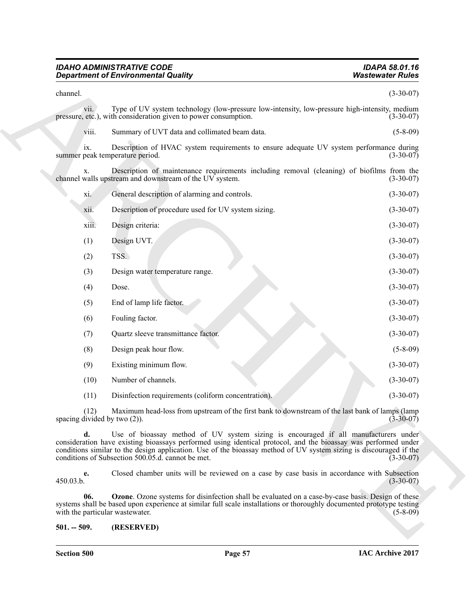<span id="page-56-1"></span>

| <b>IDAHO ADMINISTRATIVE CODE</b>           | <b>IDAPA 58.01.16</b>   |
|--------------------------------------------|-------------------------|
| <b>Department of Environmental Quality</b> | <b>Wastewater Rules</b> |

<span id="page-56-0"></span>

|                                      | <b>Department of Environmental Quality</b>                                                                                                                                                                                                                                                                                                                                       | <b>Wastewater Rules</b> |
|--------------------------------------|----------------------------------------------------------------------------------------------------------------------------------------------------------------------------------------------------------------------------------------------------------------------------------------------------------------------------------------------------------------------------------|-------------------------|
| channel.                             |                                                                                                                                                                                                                                                                                                                                                                                  | $(3-30-07)$             |
| V11.                                 | Type of UV system technology (low-pressure low-intensity, low-pressure high-intensity, medium<br>pressure, etc.), with consideration given to power consumption.                                                                                                                                                                                                                 | $(3-30-07)$             |
| viii.                                | Summary of UVT data and collimated beam data.                                                                                                                                                                                                                                                                                                                                    | $(5 - 8 - 09)$          |
| ix.                                  | Description of HVAC system requirements to ensure adequate UV system performance during<br>summer peak temperature period.                                                                                                                                                                                                                                                       | $(3-30-07)$             |
| X.                                   | Description of maintenance requirements including removal (cleaning) of biofilms from the<br>channel walls upstream and downstream of the UV system.                                                                                                                                                                                                                             | $(3-30-07)$             |
| xi.                                  | General description of alarming and controls.                                                                                                                                                                                                                                                                                                                                    | $(3-30-07)$             |
| xii.                                 | Description of procedure used for UV system sizing.                                                                                                                                                                                                                                                                                                                              | $(3-30-07)$             |
| xiii.                                | Design criteria:                                                                                                                                                                                                                                                                                                                                                                 | $(3-30-07)$             |
| (1)                                  | Design UVT.                                                                                                                                                                                                                                                                                                                                                                      | $(3-30-07)$             |
| (2)                                  | TSS.                                                                                                                                                                                                                                                                                                                                                                             | $(3-30-07)$             |
| (3)                                  | Design water temperature range.                                                                                                                                                                                                                                                                                                                                                  | $(3-30-07)$             |
| (4)                                  | Dose.                                                                                                                                                                                                                                                                                                                                                                            | $(3-30-07)$             |
| (5)                                  | End of lamp life factor.                                                                                                                                                                                                                                                                                                                                                         | $(3-30-07)$             |
| (6)                                  | Fouling factor.                                                                                                                                                                                                                                                                                                                                                                  | $(3-30-07)$             |
| (7)                                  | Quartz sleeve transmittance factor.                                                                                                                                                                                                                                                                                                                                              | $(3-30-07)$             |
| (8)                                  | Design peak hour flow.                                                                                                                                                                                                                                                                                                                                                           | $(5-8-09)$              |
| (9)                                  | Existing minimum flow.                                                                                                                                                                                                                                                                                                                                                           | $(3-30-07)$             |
| (10)                                 | Number of channels.                                                                                                                                                                                                                                                                                                                                                              | $(3-30-07)$             |
| (11)                                 | Disinfection requirements (coliform concentration).                                                                                                                                                                                                                                                                                                                              | $(3-30-07)$             |
| (12)<br>spacing divided by two (2)). | Maximum head-loss from upstream of the first bank to downstream of the last bank of lamps (lamp                                                                                                                                                                                                                                                                                  | $(3 - 30 - 0)$          |
| d.                                   | Use of bioassay method of UV system sizing is encouraged if all manufacturers under<br>consideration have existing bioassays performed using identical protocol, and the bioassay was performed under<br>conditions similar to the design application. Use of the bioassay method of UV system sizing is discouraged if the<br>conditions of Subsection 500.05.d. cannot be met. | $(3-30-07)$             |
| e.<br>450.03.b.                      | Closed chamber units will be reviewed on a case by case basis in accordance with Subsection                                                                                                                                                                                                                                                                                      | $(3-30-07)$             |
| 06.                                  | <b>Ozone</b> . Ozone systems for disinfection shall be evaluated on a case-by-case basis. Design of these<br>systems shall be based upon experience at similar full scale installations or thoroughly documented prototype testing<br>with the particular wastewater.                                                                                                            | $(5-8-09)$              |
| $501. - 509.$                        | (RESERVED)                                                                                                                                                                                                                                                                                                                                                                       |                         |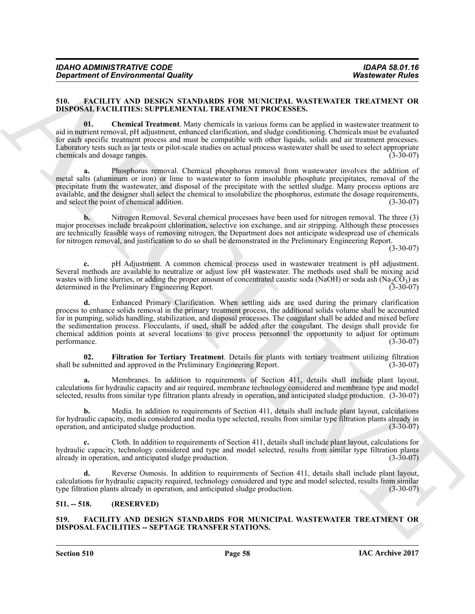| <b>IDAPA 58.01.16</b>   |
|-------------------------|
|                         |
| <b>Wastewater Rules</b> |
|                         |

#### <span id="page-57-3"></span><span id="page-57-0"></span>**510. FACILITY AND DESIGN STANDARDS FOR MUNICIPAL WASTEWATER TREATMENT OR DISPOSAL FACILITIES: SUPPLEMENTAL TREATMENT PROCESSES.**

<span id="page-57-4"></span>**01. Chemical Treatment**. Many chemicals in various forms can be applied in wastewater treatment to aid in nutrient removal, pH adjustment, enhanced clarification, and sludge conditioning. Chemicals must be evaluated for each specific treatment process and must be compatible with other liquids, solids and air treatment processes. Laboratory tests such as jar tests or pilot-scale studies on actual process wastewater shall be used to select appropriate chemicals and dosage ranges. (3-30-07)

**a.** Phosphorus removal. Chemical phosphorus removal from wastewater involves the addition of metal salts (aluminum or iron) or lime to wastewater to form insoluble phosphate precipitates, removal of the precipitate from the wastewater, and disposal of the precipitate with the settled sludge. Many process options are available, and the designer shall select the chemical to insolubilize the phosphorus, estimate the dosage requirements, and select the point of chemical addition. (3-30-07)

**b.** Nitrogen Removal. Several chemical processes have been used for nitrogen removal. The three (3) major processes include breakpoint chlorination, selective ion exchange, and air stripping. Although these processes are technically feasible ways of removing nitrogen, the Department does not anticipate widespread use of chemicals for nitrogen removal, and justification to do so shall be demonstrated in the Preliminary Engineering Report.

(3-30-07)

**c.** pH Adjustment. A common chemical process used in wastewater treatment is pH adjustment. Several methods are available to neutralize or adjust low pH wastewater. The methods used shall be mixing acid wastes with lime slurries, or adding the proper amount of concentrated caustic soda (NaOH) or soda ash (Na<sub>2</sub>CO<sub>3</sub>) as<br>determined in the Preliminary Engineering Report. determined in the Preliminary Engineering Report.

**Equation of Environmental Guality 1000**<br>S10. **EVALUATION SCIENCITY (AND ARCHIVEST) CONVERGENT VANDET PROTECTION** TO THE SET AND THE SET AND THE SET AND THE SET AND THE SET AND THE SET AND THE SET AND THE SET AND THE SE **d.** Enhanced Primary Clarification. When settling aids are used during the primary clarification process to enhance solids removal in the primary treatment process, the additional solids volume shall be accounted for in pumping, solids handling, stabilization, and disposal processes. The coagulant shall be added and mixed before the sedimentation process. Flocculants, if used, shall be added after the coagulant. The design shall provide for chemical addition points at several locations to give process personnel the opportunity to adjust for optimum<br>performance. (3-30-07) performance. (3-30-07)

<span id="page-57-5"></span>**02. Filtration for Tertiary Treatment**. Details for plants with tertiary treatment utilizing filtration shall be submitted and approved in the Preliminary Engineering Report. (3-30-07)

**a.** Membranes. In addition to requirements of Section 411, details shall include plant layout, calculations for hydraulic capacity and air required, membrane technology considered and membrane type and model selected, results from similar type filtration plants already in operation, and anticipated sludge production. (3-30-07)

**b.** Media. In addition to requirements of Section 411, details shall include plant layout, calculations for hydraulic capacity, media considered and media type selected, results from similar type filtration plants already in operation, and anticipated sludge production.

**c.** Cloth. In addition to requirements of Section 411, details shall include plant layout, calculations for hydraulic capacity, technology considered and type and model selected, results from similar type filtration plants already in operation, and anticipated sludge production. (3-30-07)

Reverse Osmosis. In addition to requirements of Section 411, details shall include plant layout, calculations for hydraulic capacity required, technology considered and type and model selected, results from similar type filtration plants already in operation, and anticipated sludge production. (3-30-07)

## <span id="page-57-1"></span>**511. -- 518. (RESERVED)**

## <span id="page-57-6"></span><span id="page-57-2"></span>**519. FACILITY AND DESIGN STANDARDS FOR MUNICIPAL WASTEWATER TREATMENT OR DISPOSAL FACILITIES -- SEPTAGE TRANSFER STATIONS.**

**Section 510 Page 58**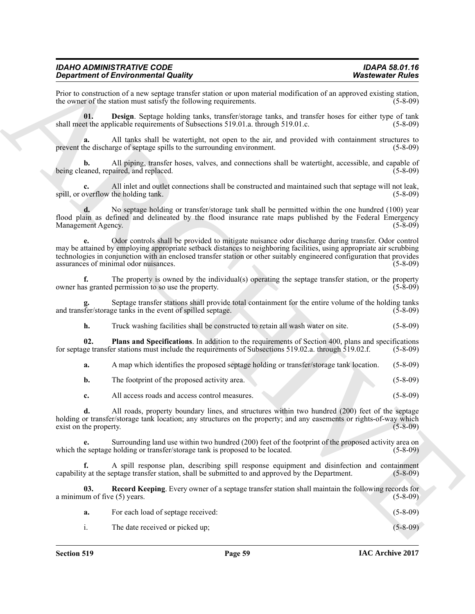| IDAHO ADMINISTRATIVE CODE                  |  |
|--------------------------------------------|--|
| <b>Department of Environmental Quality</b> |  |

Prior to construction of a new septage transfer station or upon material modification of an approved existing station, the owner of the station must satisfy the following requirements. the owner of the station must satisfy the following requirements.

<span id="page-58-0"></span>**01. Design**. Septage holding tanks, transfer/storage tanks, and transfer hoses for either type of tank shall meet the applicable requirements of Subsections 519.01.a. through 519.01.c. (5-8-09)

**a.** All tanks shall be watertight, not open to the air, and provided with containment structures to prevent the discharge of septage spills to the surrounding environment. (5-8-09)

**b.** All piping, transfer hoses, valves, and connections shall be watertight, accessible, and capable of caned, repaired, and replaced. (5-8-09) being cleaned, repaired, and replaced.

**c.** All inlet and outlet connections shall be constructed and maintained such that septage will not leak, overflow the holding tank. (5-8-09) spill, or overflow the holding tank.

**d.** No septage holding or transfer/storage tank shall be permitted within the one hundred (100) year flood plain as defined and delineated by the flood insurance rate maps published by the Federal Emergency Management Agency. (5-8-09) Management Agency.

**Signal method is the system by the system and the system and the system of the system and the system and the system and the system and the system and the system and the system and the system and the system and the system e.** Odor controls shall be provided to mitigate nuisance odor discharge during transfer. Odor control may be attained by employing appropriate setback distances to neighboring facilities, using appropriate air scrubbing technologies in conjunction with an enclosed transfer station or other suitably engineered configuration that provides assurances of minimal odor nuisances. assurances of minimal odor nuisances.

**f.** The property is owned by the individual(s) operating the septage transfer station, or the property as granted permission to so use the property. owner has granted permission to so use the property.

Septage transfer stations shall provide total containment for the entire volume of the holding tanks<br>ge tanks in the event of spilled septage. (5-8-09) and transfer/storage tanks in the event of spilled septage.

<span id="page-58-1"></span>**h.** Truck washing facilities shall be constructed to retain all wash water on site. (5-8-09)

**02. Plans and Specifications**. In addition to the requirements of Section 400, plans and specifications for septage transfer stations must include the requirements of Subsections 519.02.a. through 519.02.f. (5-8-09)

**a.** A map which identifies the proposed septage holding or transfer/storage tank location. (5-8-09)

**b.** The footprint of the proposed activity area. (5-8-09)

**c.** All access roads and access control measures. (5-8-09)

**d.** All roads, property boundary lines, and structures within two hundred (200) feet of the septage holding or transfer/storage tank location; any structures on the property; and any easements or rights-of-way which exist on the property. (5-8-09) exist on the property.

Surrounding land use within two hundred (200) feet of the footprint of the proposed activity area on holding or transfer/storage tank is proposed to be located. (5-8-09) which the septage holding or transfer/storage tank is proposed to be located.

**f.** A spill response plan, describing spill response equipment and disinfection and containment y at the septage transfer station, shall be submitted to and approved by the Department. (5-8-09) capability at the septage transfer station, shall be submitted to and approved by the Department.

**Record Keeping**. Every owner of a septage transfer station shall maintain the following records for e (5) years. a minimum of five  $(5)$  years.

|  | For each load of septage received: |  | $(5-8-09)$ |  |
|--|------------------------------------|--|------------|--|
|--|------------------------------------|--|------------|--|

i. The date received or picked up; (5-8-09)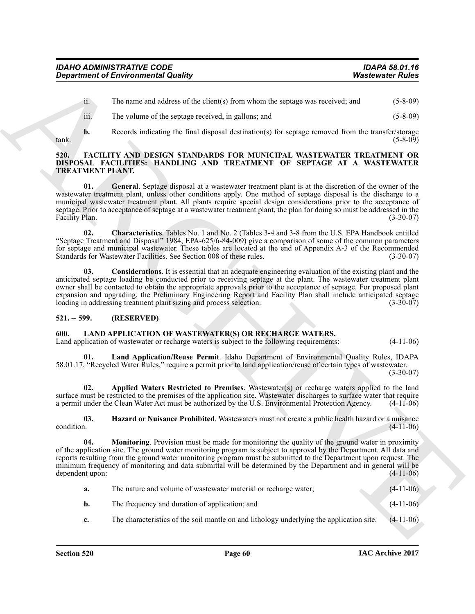ii. The name and address of the client(s) from whom the septage was received; and (5-8-09)

- <span id="page-59-3"></span>iii. The volume of the septage received, in gallons; and (5-8-09)
- 

**b.** Records indicating the final disposal destination(s) for septage removed from the transfer/storage (5-8-09) tank. (5-8-09)

#### <span id="page-59-0"></span>**520. FACILITY AND DESIGN STANDARDS FOR MUNICIPAL WASTEWATER TREATMENT OR DISPOSAL FACILITIES: HANDLING AND TREATMENT OF SEPTAGE AT A WASTEWATER TREATMENT PLANT.**

<span id="page-59-6"></span>**01. General**. Septage disposal at a wastewater treatment plant is at the discretion of the owner of the wastewater treatment plant, unless other conditions apply. One method of septage disposal is the discharge to a municipal wastewater treatment plant. All plants require special design considerations prior to the acceptance of septage. Prior to acceptance of septage at a wastewater treatment plant, the plan for doing so must be addressed in the Facility Plan. (3-30-07) Facility Plan.

<span id="page-59-4"></span>**02. Characteristics**. Tables No. 1 and No. 2 (Tables 3-4 and 3-8 from the U.S. EPA Handbook entitled "Septage Treatment and Disposal" 1984, EPA-625/6-84-009) give a comparison of some of the common parameters for septage and municipal wastewater. These tables are located at the end of Appendix A-3 of the Recommended Standards for Wastewater Facilities. See Section 008 of these rules.

<span id="page-59-5"></span>**03. Considerations**. It is essential that an adequate engineering evaluation of the existing plant and the anticipated septage loading be conducted prior to receiving septage at the plant. The wastewater treatment plant owner shall be contacted to obtain the appropriate approvals prior to the acceptance of septage. For proposed plant expansion and upgrading, the Preliminary Engineering Report and Facility Plan shall include anticipated septage loading in addressing treatment plant sizing and process selection. (3-30-07) loading in addressing treatment plant sizing and process selection.

## <span id="page-59-1"></span>**521. -- 599. (RESERVED)**

## <span id="page-59-2"></span>**600. LAND APPLICATION OF WASTEWATER(S) OR RECHARGE WATERS.**

Land application of wastewater or recharge waters is subject to the following requirements: (4-11-06)

<span id="page-59-9"></span>**01. Land Application/Reuse Permit**. Idaho Department of Environmental Quality Rules, IDAPA 58.01.17, "Recycled Water Rules," require a permit prior to land application/reuse of certain types of wastewater.

(3-30-07)

<span id="page-59-7"></span>**02. Applied Waters Restricted to Premises**. Wastewater(s) or recharge waters applied to the land surface must be restricted to the premises of the application site. Wastewater discharges to surface water that require a permit under the Clean Water Act must be authorized by the U.S. Environmental Protection Agency. (4a permit under the Clean Water Act must be authorized by the U.S. Environmental Protection Agency.

<span id="page-59-10"></span><span id="page-59-8"></span>**03.** Hazard or Nuisance Prohibited. Wastewaters must not create a public health hazard or a nuisance condition. (4-11-06)  $\epsilon$  condition. (4-11-06)

**Expansion of Environmental Guality (a)** Watercoate Paulus (a) Watercoate Paulus (4) (3) (b)<br>
in the name and understand the chemical paulus and<br>
in the name and space of the chemical papel of the state of the name and (3 **04. Monitoring**. Provision must be made for monitoring the quality of the ground water in proximity of the application site. The ground water monitoring program is subject to approval by the Department. All data and reports resulting from the ground water monitoring program must be submitted to the Department upon request. The minimum frequency of monitoring and data submittal will be determined by the Department and in general will be dependent upon: (4-11-06) dependent upon:

| а.             | The nature and volume of wastewater material or recharge water;                          | $(4-11-06)$ |
|----------------|------------------------------------------------------------------------------------------|-------------|
| b.             | The frequency and duration of application; and                                           | $(4-11-06)$ |
| $\mathbf{c}$ . | The characteristics of the soil mantle on and lithology underlying the application site. | $(4-11-06)$ |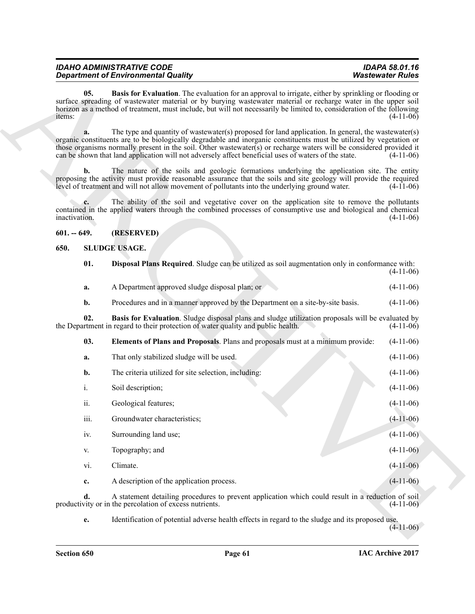<span id="page-60-2"></span>

| <b>IDAHO ADMINISTRATIVE CODE</b>           | <b>IDAPA 58.01.16</b>   |
|--------------------------------------------|-------------------------|
| <b>Department of Environmental Quality</b> | <b>Wastewater Rules</b> |

#### <span id="page-60-6"></span><span id="page-60-5"></span><span id="page-60-4"></span><span id="page-60-3"></span><span id="page-60-1"></span><span id="page-60-0"></span>**650. SLUDGE USAGE.**

|               | <b>Department of Environmental Quality</b>                                                                                                                                                                                                                                                                                                                                                                                                                | <b>Wastewater Rules</b> |  |
|---------------|-----------------------------------------------------------------------------------------------------------------------------------------------------------------------------------------------------------------------------------------------------------------------------------------------------------------------------------------------------------------------------------------------------------------------------------------------------------|-------------------------|--|
| 05.<br>items: | Basis for Evaluation. The evaluation for an approval to irrigate, either by sprinkling or flooding or<br>surface spreading of wastewater material or by burying wastewater material or recharge water in the upper soil<br>horizon as a method of treatment, must include, but will not necessarily be limited to, consideration of the following                                                                                                         | $(4-11-06)$             |  |
| a.            | The type and quantity of wastewater(s) proposed for land application. In general, the wastewater(s)<br>organic constituents are to be biologically degradable and inorganic constituents must be utilized by vegetation or<br>those organisms normally present in the soil. Other wastewater(s) or recharge waters will be considered provided it<br>can be shown that land application will not adversely affect beneficial uses of waters of the state. | $(4-11-06)$             |  |
| b.            | The nature of the soils and geologic formations underlying the application site. The entity<br>proposing the activity must provide reasonable assurance that the soils and site geology will provide the required<br>level of treatment and will not allow movement of pollutants into the underlying ground water.                                                                                                                                       | $(4-11-06)$             |  |
| inactivation. | The ability of the soil and vegetative cover on the application site to remove the pollutants<br>contained in the applied waters through the combined processes of consumptive use and biological and chemical                                                                                                                                                                                                                                            | $(4-11-06)$             |  |
| $601. - 649.$ | (RESERVED)                                                                                                                                                                                                                                                                                                                                                                                                                                                |                         |  |
| 650.          | <b>SLUDGE USAGE.</b>                                                                                                                                                                                                                                                                                                                                                                                                                                      |                         |  |
| 01.           | <b>Disposal Plans Required.</b> Sludge can be utilized as soil augmentation only in conformance with:                                                                                                                                                                                                                                                                                                                                                     | $(4-11-06)$             |  |
| a.            | A Department approved sludge disposal plan; or                                                                                                                                                                                                                                                                                                                                                                                                            | $(4-11-06)$             |  |
| b.            | Procedures and in a manner approved by the Department on a site-by-site basis.                                                                                                                                                                                                                                                                                                                                                                            | $(4-11-06)$             |  |
| 02.           | Basis for Evaluation. Sludge disposal plans and sludge utilization proposals will be evaluated by<br>the Department in regard to their protection of water quality and public health.                                                                                                                                                                                                                                                                     | $(4-11-06)$             |  |
| 03.           | Elements of Plans and Proposals. Plans and proposals must at a minimum provide:                                                                                                                                                                                                                                                                                                                                                                           | $(4-11-06)$             |  |
| a.            | That only stabilized sludge will be used.                                                                                                                                                                                                                                                                                                                                                                                                                 | $(4-11-06)$             |  |
| b.            | The criteria utilized for site selection, including:                                                                                                                                                                                                                                                                                                                                                                                                      | $(4-11-06)$             |  |
| i.            | Soil description;                                                                                                                                                                                                                                                                                                                                                                                                                                         | $(4-11-06)$             |  |
| ii.           | Geological features;                                                                                                                                                                                                                                                                                                                                                                                                                                      | $(4-11-06)$             |  |
| iii.          | Groundwater characteristics;                                                                                                                                                                                                                                                                                                                                                                                                                              | $(4-11-06)$             |  |
| iv.           | Surrounding land use;                                                                                                                                                                                                                                                                                                                                                                                                                                     | $(4-11-06)$             |  |
| V.            | Topography; and                                                                                                                                                                                                                                                                                                                                                                                                                                           | $(4-11-06)$             |  |
| vi.           | Climate.                                                                                                                                                                                                                                                                                                                                                                                                                                                  | $(4-11-06)$             |  |
| c.            | A description of the application process.                                                                                                                                                                                                                                                                                                                                                                                                                 | $(4-11-06)$             |  |
| d.            | A statement detailing procedures to prevent application which could result in a reduction of soil<br>productivity or in the percolation of excess nutrients.                                                                                                                                                                                                                                                                                              | $(4-11-06)$             |  |
| e.            | Identification of potential adverse health effects in regard to the sludge and its proposed use.                                                                                                                                                                                                                                                                                                                                                          | $(4-11-06)$             |  |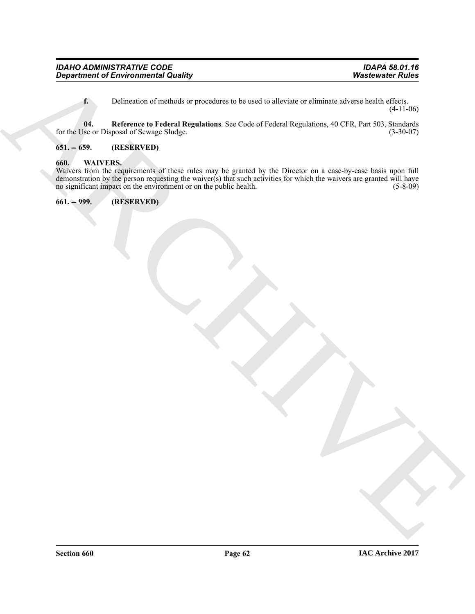<span id="page-61-3"></span>**f.** Delineation of methods or procedures to be used to alleviate or eliminate adverse health effects. (4-11-06)

**04. Reference to Federal Regulations**. See Code of Federal Regulations, 40 CFR, Part 503, Standards for the Use or Disposal of Sewage Sludge.

## <span id="page-61-0"></span>**651. -- 659. (RESERVED)**

#### <span id="page-61-4"></span><span id="page-61-1"></span>**660. WAIVERS.**

Department of Environmental Quality<br>
L. Delection of models by procedure to be med to allocate or eliminate adverse both  $\frac{164}{(11+1.06)}$ <br>
Archive at Henrican of Newton Regulations. See Cate of Foldrations, 40 CTR. Part Waivers from the requirements of these rules may be granted by the Director on a case-by-case basis upon full demonstration by the person requesting the waiver(s) that such activities for which the waivers are granted will have no significant impact on the environment or on the public health. (5-8-09) no significant impact on the environment or on the public health.

<span id="page-61-2"></span>**661. -- 999. (RESERVED)**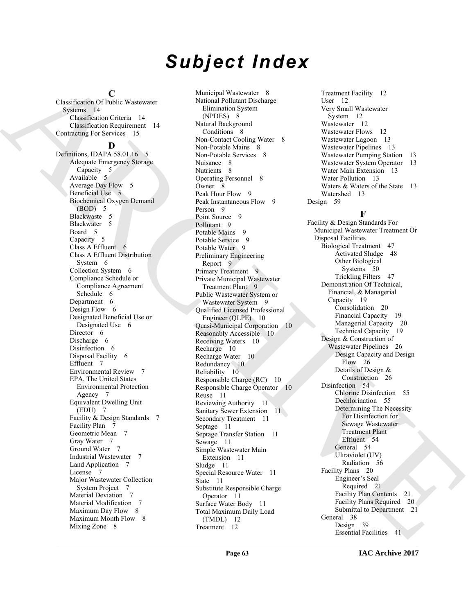# *Subject Index*

#### **C**

Classification Of Public Wastewater Systems 14 Classification Criteria 14 Classification Requirement 14 Contracting For Services 15

#### **D**

Definitions, IDAPA 58.01.16 5 Adequate Emergency Storage Capacity 5 Available 5 Average Day Flow 5 Beneficial Use 5 Biochemical Oxygen Demand (BOD) 5 Blackwaste 5 Blackwater 5 Board 5 Capacity 5 Class A Effluent 6 Class A Effluent Distribution System 6 Collection System 6 Compliance Schedule or Compliance Agreement Schedule 6 Department 6 Design Flow 6 Designated Beneficial Use or Designated Use 6 Director 6 Discharge 6 Disinfection 6 Disposal Facility 6 Effluent 7 Environmental Review 7 EPA, The United States Environmental Protection Agency 7 Equivalent Dwelling Unit (EDU) 7 Facility & Design Standards 7 Facility Plan 7 Geometric Mean 7 Gray Water 7 Ground Water 7 Industrial Wastewater 7 Land Application 7 License 7 Major Wastewater Collection System Project 7 Material Deviation 7 Material Modification 7 Maximum Day Flow 8 Maximum Month Flow 8 Mixing Zone 8

Characteristic Characteristic Characteristic Characteristic Characteristic Characteristic Characteristic Characteristic Characteristic Characteristic Characteristic Characteristic Characteristic Characteristic Characteris Municipal Wastewater 8 National Pollutant Discharge Elimination System (NPDES) 8 Natural Background Conditions 8 Non-Contact Cooling Water 8 Non-Potable Mains 8 Non-Potable Services 8 Nuisance 8 Nutrients 8 Operating Personnel 8 Owner 8 Peak Hour Flow 9 Peak Instantaneous Flow 9 Person 9 Point Source 9 Pollutant<sub>9</sub> Potable Mains 9 Potable Service 9 Potable Water 9 Preliminary Engineering Report 9 Primary Treatment 9 Private Municipal Wastewater Treatment Plant 9 Public Wastewater System or Wastewater System 9 Qualified Licensed Professional Engineer (QLPE) 10 Quasi-Municipal Corporation 10 Reasonably Accessible 10 Receiving Waters 10 Recharge 10 Recharge Water 10 Redundancy 10 Reliability 10 Responsible Charge (RC) 10 Responsible Charge Operator 10 Reuse 11 Reviewing Authority 11 Sanitary Sewer Extension 11 Secondary Treatment 11 Septage 11 Septage Transfer Station 11 Sewage 11 Simple Wastewater Main Extension 11 Sludge 11 Special Resource Water 11 State 11 Substitute Responsible Charge Operator 11 Surface Water Body 11 Total Maximum Daily Load (TMDL) 12 Treatment 12

Treatment Facility 12 User 12 Very Small Wastewater System 12 Wastewater 12 Wastewater Flows 12 Wastewater Lagoon 13 Wastewater Pipelines 13 Wastewater Pumping Station 13 Wastewater System Operator 13 Water Main Extension 13 Water Pollution 13 Waters & Waters of the State 13 Watershed 13 Design 59

## **F**

Facility & Design Standards For Municipal Wastewater Treatment Or Disposal Facilities Biological Treatment 47 Activated Sludge 48 Other Biological Systems 50 Trickling Filters 47 Demonstration Of Technical, Financial, & Managerial Capacity 19 Consolidation 20 Financial Capacity 19 Managerial Capacity 20 Technical Capacity 19 Design & Construction of Wastewater Pipelines 26 Design Capacity and Design Flow 26 Details of Design & Construction 26 Disinfection 54 Chlorine Disinfection 55 Dechlorination 55 Determining The Necessity For Disinfection for Sewage Wastewater Treatment Plant Effluent 54 General 54 Ultraviolet (UV) Radiation 56 Facility Plans 20 Engineer's Seal Required 21 Facility Plan Contents 21 Facility Plans Required 20 Submittal to Department 21 General 38 Design 39 Essential Facilities 41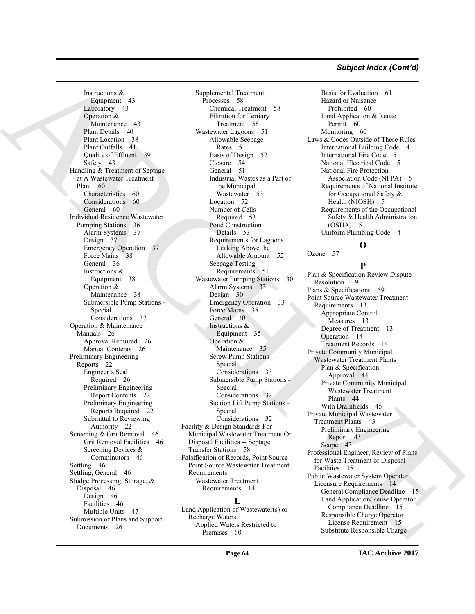#### *Subject Index (Cont'd)*

[AR](#page-59-3)[C](#page-51-2)[H](#page-32-2)[IV](#page-43-1)[E](#page-17-1) Instructions & Equipment 43 Laboratory 43 Operation & Maintenance 43 Plant Details 40 Plant Location 38 Plant Outfalls 41 Quality of Effluent 39 Safety 43 Handling & Treatment of Septage at A Wastewater Treatment Plant 60 Characteristics 60 Considerations 60 General 60 Individual Residence Wastewater Pumping Stations 36 Alarm Systems 37 Design 37 Emergency Operation 37 Force Mains 38 General 36 Instructions & Equipment 38 Operation & Maintenance 38 Submersible Pump Stations - Special Considerations 37 Operation & Maintenance Manuals 26 Approval Required 26 Manual Contents 26 Preliminary Engineering Reports 22 Engineer's Seal Required 26 Preliminary Engineering Report Contents 22 Preliminary Engineering Reports Required 22 Submittal to Reviewing Authority 22 Screening & Grit Removal 46 Grit Removal Facilities 46 Screening Devices & Comminutors 46 Settling 46 Settling, General 46 Sludge Processing, Storage, & Disposal 46 Design 46 Facilities 46 Multiple Units 47 Submission of Plans and Support Documents 26

Supplemental Treatment Processes 58 Chemical Treatment 58 Filtration for Tertiary Treatment 58 Wastewater Lagoons 51 Allowable Seepage Rates 51 Basis of Design 52 Closure 54 General 51 Industrial Wastes as a Part of the Municipal Wastewater 53 Location 52 Number of Cells Required 53 Pond Construction Details 53 Requirements for Lagoons Leaking Above the Allowable Amount 52 Seepage Testing Requirements 51 Wastewater Pumping Stations 30 Alarm Systems 33 Design 30 Emergency Operation 33 Force Mains 35 General 30 Instructions & Equipment 35 Operation & Maintenance 35 Screw Pump Stations - Special Considerations 33 Submersible Pump Stations - Special Considerations 32 Suction Lift Pump Stations - Special Considerations 32 Facility & Design Standards For Municipal Wastewater Treatment Or Disposal Facilities -- Septage Transfer Stations 58 Falsification of Records, Point Source Point Source Wastewater Treatment Requirements Wastewater Treatment Requirements 14

## **L**

Land Application of Wastewater(s) or Recharge Waters Applied Waters Restricted to Premises 60

Basis for Evaluation 61 Hazard or Nuisance Prohibited 60 Land Application & Reuse Permit 60 Monitoring 60 Laws & Codes Outside of These Rules International Building Code 4 International Fire Code 5 National Electrical Code 5 National Fire Protection Association Code (NFPA) 5 Requirements of National Institute for Occupational Safety & Health (NIOSH) 5 Requirements of the Occupational Safety & Health Administration (OSHA) 5 Uniform Plumbing Code 4

## **O**

Ozone 57

**P**

Plan & Specification Review Dispute Resolution 19 Plans & Specifications 59 Point Source Wastewater Treatment Requirements 13 Appropriate Control Measures 13 Degree of Treatment 13 Operation 14 Treatment Records 14 Private Community Municipal Wastewater Treatment Plants Plan & Specification Approval 44 Private Community Municipal Wastewater Treatment Plants 44 With Drainfields 45 Private Municipal Wastewater Treatment Plants 43 Preliminary Engineering Report 43 Scope 43 Professional Engineer, Review of Plans for Waste Treatment or Disposal Facilities 18 Public Wastewater System Operator Licensure Requirements 14 General Compliance Deadline 15 Land Application/Reuse Operator Compliance Deadline 15 Responsible Charge Operator License Requirement 15 Substitute Responsible Charge